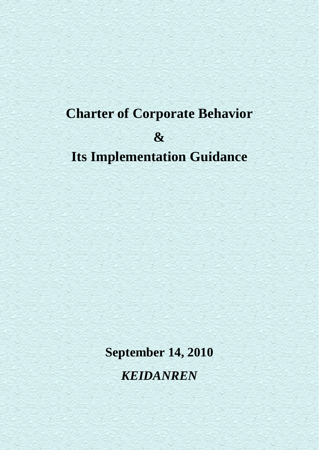# **Charter of Corporate Behavior & Its Implementation Guidance**

**September 14, 2010**  *KEIDANREN*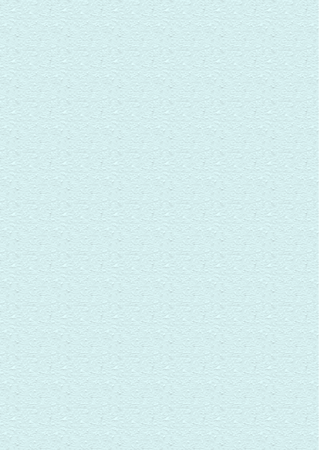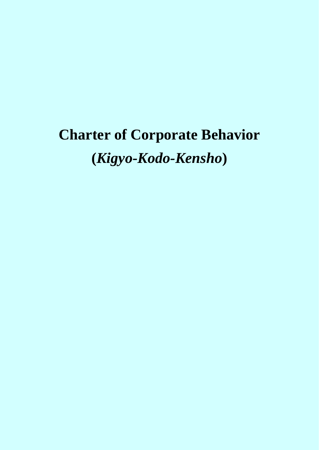# **Charter of Corporate Behavior (***Kigyo-Kodo-Kensho***)**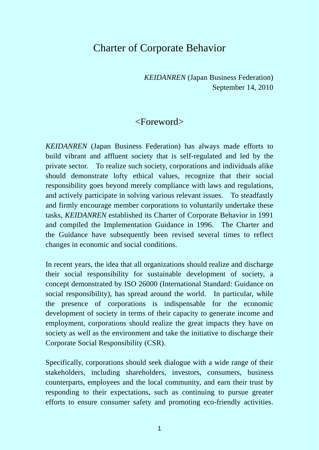# Charter of Corporate Behavior

*KEIDANREN* (Japan Business Federation) September 14, 2010

# <Foreword>

*KEIDANREN* (Japan Business Federation) has always made efforts to build vibrant and affluent society that is self-regulated and led by the private sector. To realize such society, corporations and individuals alike should demonstrate lofty ethical values, recognize that their social responsibility goes beyond merely compliance with laws and regulations, and actively participate in solving various relevant issues. To steadfastly and firmly encourage member corporations to voluntarily undertake these tasks, *KEIDANREN* established its Charter of Corporate Behavior in 1991 and compiled the Implementation Guidance in 1996. The Charter and the Guidance have subsequently been revised several times to reflect changes in economic and social conditions.

In recent years, the idea that all organizations should realize and discharge their social responsibility for sustainable development of society, a concept demonstrated by ISO 26000 (International Standard: Guidance on social responsibility), has spread around the world. In particular, while the presence of corporations is indispensable for the economic development of society in terms of their capacity to generate income and employment, corporations should realize the great impacts they have on society as well as the environment and take the initiative to discharge their Corporate Social Responsibility (CSR).

Specifically, corporations should seek dialogue with a wide range of their stakeholders, including shareholders, investors, consumers, business counterparts, employees and the local community, and earn their trust by responding to their expectations, such as continuing to pursue greater efforts to ensure consumer safety and promoting eco-friendly activities.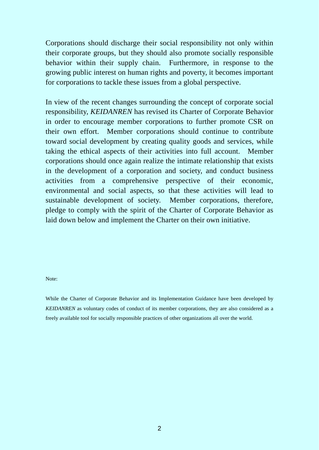Corporations should discharge their social responsibility not only within their corporate groups, but they should also promote socially responsible behavior within their supply chain. Furthermore, in response to the growing public interest on human rights and poverty, it becomes important for corporations to tackle these issues from a global perspective.

In view of the recent changes surrounding the concept of corporate social responsibility, *KEIDANREN* has revised its Charter of Corporate Behavior in order to encourage member corporations to further promote CSR on their own effort. Member corporations should continue to contribute toward social development by creating quality goods and services, while taking the ethical aspects of their activities into full account. Member corporations should once again realize the intimate relationship that exists in the development of a corporation and society, and conduct business activities from a comprehensive perspective of their economic, environmental and social aspects, so that these activities will lead to sustainable development of society. Member corporations, therefore, pledge to comply with the spirit of the Charter of Corporate Behavior as laid down below and implement the Charter on their own initiative.

Note:

While the Charter of Corporate Behavior and its Implementation Guidance have been developed by *KEIDANREN* as voluntary codes of conduct of its member corporations, they are also considered as a freely available tool for socially responsible practices of other organizations all over the world.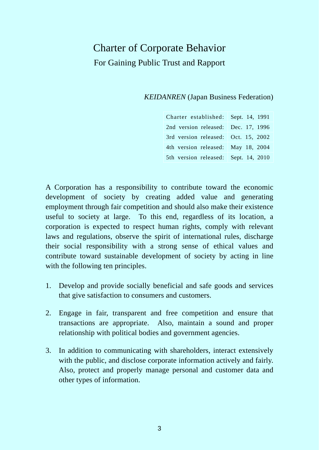# Charter of Corporate Behavior For Gaining Public Trust and Rapport

*KEIDANREN* (Japan Business Federation)

| Charter established: Sept. 14, 1991  |  |
|--------------------------------------|--|
| 2nd version released: Dec. 17, 1996  |  |
| 3rd version released: Oct. 15, 2002  |  |
| 4th version released: May 18, 2004   |  |
| 5th version released: Sept. 14, 2010 |  |

A Corporation has a responsibility to contribute toward the economic development of society by creating added value and generating employment through fair competition and should also make their existence useful to society at large. To this end, regardless of its location, a corporation is expected to respect human rights, comply with relevant laws and regulations, observe the spirit of international rules, discharge their social responsibility with a strong sense of ethical values and contribute toward sustainable development of society by acting in line with the following ten principles.

- 1. Develop and provide socially beneficial and safe goods and services that give satisfaction to consumers and customers.
- 2. Engage in fair, transparent and free competition and ensure that transactions are appropriate. Also, maintain a sound and proper relationship with political bodies and government agencies.
- 3. In addition to communicating with shareholders, interact extensively with the public, and disclose corporate information actively and fairly. Also, protect and properly manage personal and customer data and other types of information.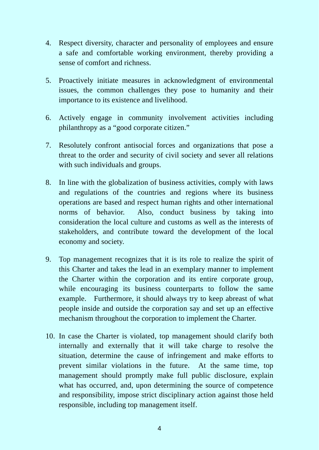- 4. Respect diversity, character and personality of employees and ensure a safe and comfortable working environment, thereby providing a sense of comfort and richness.
- 5. Proactively initiate measures in acknowledgment of environmental issues, the common challenges they pose to humanity and their importance to its existence and livelihood.
- 6. Actively engage in community involvement activities including philanthropy as a "good corporate citizen."
- 7. Resolutely confront antisocial forces and organizations that pose a threat to the order and security of civil society and sever all relations with such individuals and groups.
- 8. In line with the globalization of business activities, comply with laws and regulations of the countries and regions where its business operations are based and respect human rights and other international norms of behavior. Also, conduct business by taking into consideration the local culture and customs as well as the interests of stakeholders, and contribute toward the development of the local economy and society.
- 9. Top management recognizes that it is its role to realize the spirit of this Charter and takes the lead in an exemplary manner to implement the Charter within the corporation and its entire corporate group, while encouraging its business counterparts to follow the same example. Furthermore, it should always try to keep abreast of what people inside and outside the corporation say and set up an effective mechanism throughout the corporation to implement the Charter.
- 10. In case the Charter is violated, top management should clarify both internally and externally that it will take charge to resolve the situation, determine the cause of infringement and make efforts to prevent similar violations in the future. At the same time, top management should promptly make full public disclosure, explain what has occurred, and, upon determining the source of competence and responsibility, impose strict disciplinary action against those held responsible, including top management itself.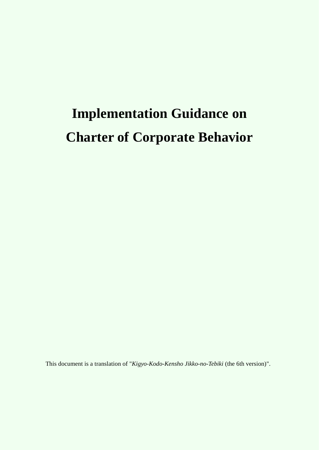# **Implementation Guidance on Charter of Corporate Behavior**

This document is a translation of "*Kigyo-Kodo-Kensho Jikko-no-Tebiki* (the 6th version)".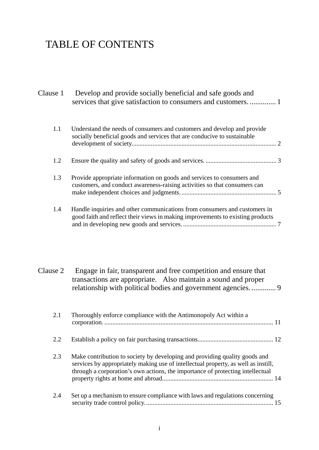# TABLE OF CONTENTS

| Clause 1 | Develop and provide socially beneficial and safe goods and<br>services that give satisfaction to consumers and customers 1                                                                                                                         |
|----------|----------------------------------------------------------------------------------------------------------------------------------------------------------------------------------------------------------------------------------------------------|
| 1.1      | Understand the needs of consumers and customers and develop and provide<br>socially beneficial goods and services that are conducive to sustainable                                                                                                |
| 1.2      |                                                                                                                                                                                                                                                    |
| 1.3      | Provide appropriate information on goods and services to consumers and<br>customers, and conduct awareness-raising activities so that consumers can                                                                                                |
| 1.4      | Handle inquiries and other communications from consumers and customers in<br>good faith and reflect their views in making improvements to existing products                                                                                        |
| Clause 2 | Engage in fair, transparent and free competition and ensure that<br>transactions are appropriate. Also maintain a sound and proper<br>relationship with political bodies and government agencies.  9                                               |
| 2.1      | Thoroughly enforce compliance with the Antimonopoly Act within a                                                                                                                                                                                   |
| 2.2      |                                                                                                                                                                                                                                                    |
| 2.3      | Make contribution to society by developing and providing quality goods and<br>services by appropriately making use of intellectual property, as well as instill,<br>through a corporation's own actions, the importance of protecting intellectual |
| 2.4      | Set up a mechanism to ensure compliance with laws and regulations concerning                                                                                                                                                                       |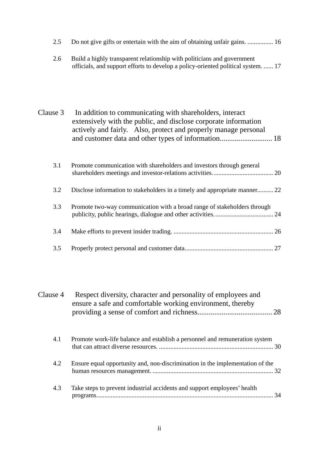| 2.5      | Do not give gifts or entertain with the aim of obtaining unfair gains.  16                                                                                                                                                                            |
|----------|-------------------------------------------------------------------------------------------------------------------------------------------------------------------------------------------------------------------------------------------------------|
| 2.6      | Build a highly transparent relationship with politicians and government<br>officials, and support efforts to develop a policy-oriented political system.  17                                                                                          |
| Clause 3 | In addition to communicating with shareholders, interact<br>extensively with the public, and disclose corporate information<br>actively and fairly. Also, protect and properly manage personal<br>and customer data and other types of information 18 |
| 3.1      | Promote communication with shareholders and investors through general                                                                                                                                                                                 |
| 3.2      | Disclose information to stakeholders in a timely and appropriate manner 22                                                                                                                                                                            |
| 3.3      | Promote two-way communication with a broad range of stakeholders through                                                                                                                                                                              |
| 3.4      |                                                                                                                                                                                                                                                       |
| 3.5      |                                                                                                                                                                                                                                                       |
| Clause 4 | Respect diversity, character and personality of employees and<br>ensure a safe and comfortable working environment, thereby                                                                                                                           |
| 4.1      | Promote work-life balance and establish a personnel and remuneration system                                                                                                                                                                           |
| 4.2      | Ensure equal opportunity and, non-discrimination in the implementation of the                                                                                                                                                                         |
| 4.3      | Take steps to prevent industrial accidents and support employees' health                                                                                                                                                                              |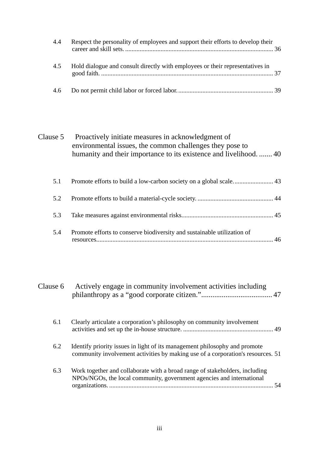| 4.4 | Respect the personality of employees and support their efforts to develop their |  |
|-----|---------------------------------------------------------------------------------|--|
| 4.5 | Hold dialogue and consult directly with employees or their representatives in   |  |
|     |                                                                                 |  |

| Clause 5 | Proactively initiate measures in acknowledgment of<br>environmental issues, the common challenges they pose to<br>humanity and their importance to its existence and livelihood40 |
|----------|-----------------------------------------------------------------------------------------------------------------------------------------------------------------------------------|
| 5.1      |                                                                                                                                                                                   |
| 5.2      |                                                                                                                                                                                   |
| 5.3      |                                                                                                                                                                                   |

5.4 Promote efforts to conserve biodiversity and sustainable utilization of resources.............................................................................................................. 46

| Clause 6 | Actively engage in community involvement activities including                                                                                                 |
|----------|---------------------------------------------------------------------------------------------------------------------------------------------------------------|
| 6.1      | Clearly articulate a corporation's philosophy on community involvement                                                                                        |
| 6.2      | Identify priority issues in light of its management philosophy and promote<br>community involvement activities by making use of a corporation's resources. 51 |
| 6.3      | Work together and collaborate with a broad range of stakeholders, including<br>NPOs/NGOs, the local community, government agencies and international<br>54    |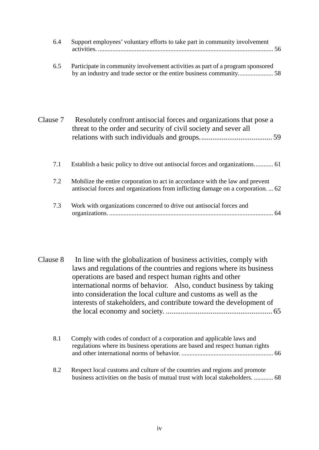| 6.4      | Support employees' voluntary efforts to take part in community involvement                                                                                      |
|----------|-----------------------------------------------------------------------------------------------------------------------------------------------------------------|
| 6.5      | Participate in community involvement activities as part of a program sponsored                                                                                  |
| Clause 7 | Resolutely confront antisocial forces and organizations that pose a<br>threat to the order and security of civil society and sever all                          |
| 7.1      |                                                                                                                                                                 |
| 7.2      | Mobilize the entire corporation to act in accordance with the law and prevent<br>antisocial forces and organizations from inflicting damage on a corporation 62 |
| 7.3      | Work with organizations concerned to drive out antisocial forces and                                                                                            |

Clause 8 In line with the globalization of business activities, comply with laws and regulations of the countries and regions where its business operations are based and respect human rights and other international norms of behavior. Also, conduct business by taking into consideration the local culture and customs as well as the interests of stakeholders, and contribute toward the development of the local economy and society. ......................................................... 65

- 8.1 Comply with codes of conduct of a corporation and applicable laws and regulations where its business operations are based and respect human rights and other international norms of behavior. ......................................................... 66
- 8.2 Respect local customs and culture of the countries and regions and promote business activities on the basis of mutual trust with local stakeholders. ............ 68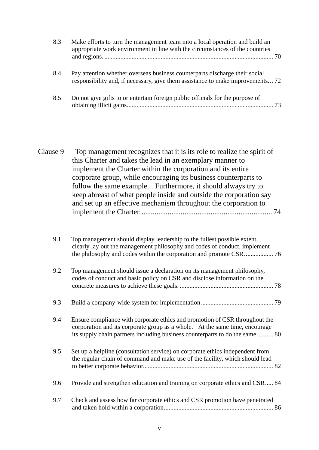| 8.3      | Make efforts to turn the management team into a local operation and build an<br>appropriate work environment in line with the circumstances of the countries  |  |
|----------|---------------------------------------------------------------------------------------------------------------------------------------------------------------|--|
| 8.4      | Pay attention whether overseas business counterparts discharge their social<br>responsibility and, if necessary, give them assistance to make improvements 72 |  |
| 8.5      | Do not give gifts to or entertain foreign public officials for the purpose of                                                                                 |  |
| Clause 9 | Top management recognizes that it is its role to realize the spirit of                                                                                        |  |

this Charter and takes the lead in an exemplary manner to implement the Charter within the corporation and its entire corporate group, while encouraging its business counterparts to follow the same example. Furthermore, it should always try to keep abreast of what people inside and outside the corporation say and set up an effective mechanism throughout the corporation to implement the Charter....................................................................... 74

| 9.1 | Top management should display leadership to the fullest possible extent,  |
|-----|---------------------------------------------------------------------------|
|     | clearly lay out the management philosophy and codes of conduct, implement |
|     |                                                                           |

9.2 Top management should issue a declaration on its management philosophy, codes of conduct and basic policy on CSR and disclose information on the concrete measures to achieve these goals. .......................................................... 78

9.3 Build a company-wide system for implementation............................................. 79

- 9.4 Ensure compliance with corporate ethics and promotion of CSR throughout the corporation and its corporate group as a whole. At the same time, encourage its supply chain partners including business counterparts to do the same. ......... 80
- 9.5 Set up a helpline (consultation service) on corporate ethics independent from the regular chain of command and make use of the facility, which should lead to better corporate behavior................................................................................. 82
- 9.6 Provide and strengthen education and training on corporate ethics and CSR..... 84
- 9.7 Check and assess how far corporate ethics and CSR promotion have penetrated and taken hold within a corporation.................................................................... 86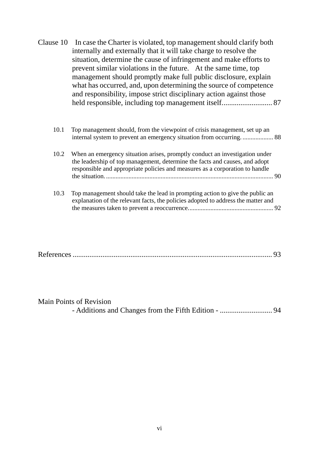| Clause 10 In case the Charter is violated, top management should clarify both |
|-------------------------------------------------------------------------------|
| internally and externally that it will take charge to resolve the             |
| situation, determine the cause of infringement and make efforts to            |
| prevent similar violations in the future. At the same time, top               |
| management should promptly make full public disclosure, explain               |
| what has occurred, and, upon determining the source of competence             |
| and responsibility, impose strict disciplinary action against those           |
|                                                                               |
|                                                                               |

| 10.1 | Top management should, from the viewpoint of crisis management, set up an                                                                                                                                                                                   |  |
|------|-------------------------------------------------------------------------------------------------------------------------------------------------------------------------------------------------------------------------------------------------------------|--|
| 10.2 | When an emergency situation arises, promptly conduct an investigation under<br>the leadership of top management, determine the facts and causes, and adopt<br>responsible and appropriate policies and measures as a corporation to handle<br>the situation |  |

10.3 Top management should take the lead in prompting action to give the public an explanation of the relevant facts, the policies adopted to address the matter and the measures taken to prevent a reoccurrence..................................................... 92

|--|

#### Main Points of Revision

- Additions and Changes from the Fifth Edition - ............................ 94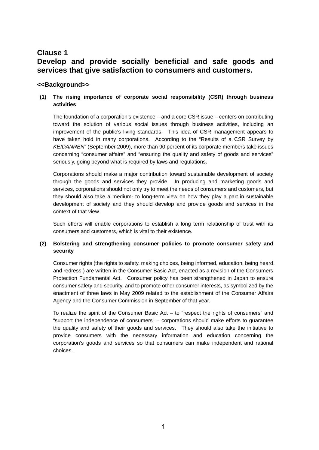# **Clause 1**

# **Develop and provide socially beneficial and safe goods and services that give satisfaction to consumers and customers.**

#### **<<Background>>**

#### **(1) The rising importance of corporate social responsibility (CSR) through business activities**

The foundation of a corporation's existence – and a core CSR issue – centers on contributing toward the solution of various social issues through business activities, including an improvement of the public's living standards. This idea of CSR management appears to have taken hold in many corporations. According to the "Results of a CSR Survey by *KEIDANREN*" (September 2009), more than 90 percent of its corporate members take issues concerning "consumer affairs" and "ensuring the quality and safety of goods and services" seriously, going beyond what is required by laws and regulations.

Corporations should make a major contribution toward sustainable development of society through the goods and services they provide. In producing and marketing goods and services, corporations should not only try to meet the needs of consumers and customers, but they should also take a medium- to long-term view on how they play a part in sustainable development of society and they should develop and provide goods and services in the context of that view.

Such efforts will enable corporations to establish a long term relationship of trust with its consumers and customers, which is vital to their existence.

#### **(2) Bolstering and strengthening consumer policies to promote consumer safety and security**

Consumer rights (the rights to safety, making choices, being informed, education, being heard, and redress.) are written in the Consumer Basic Act, enacted as a revision of the Consumers Protection Fundamental Act. Consumer policy has been strengthened in Japan to ensure consumer safety and security, and to promote other consumer interests, as symbolized by the enactment of three laws in May 2009 related to the establishment of the Consumer Affairs Agency and the Consumer Commission in September of that year.

To realize the spirit of the Consumer Basic  $Act - to$  "respect the rights of consumers" and "support the independence of consumers" – corporations should make efforts to guarantee the quality and safety of their goods and services. They should also take the initiative to provide consumers with the necessary information and education concerning the corporation's goods and services so that consumers can make independent and rational choices.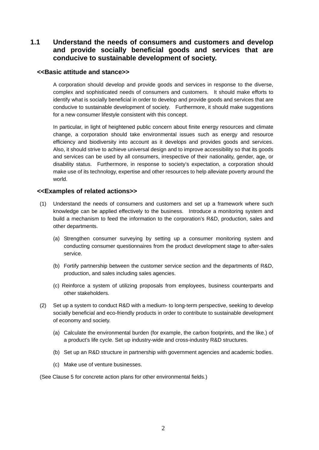# **1.1 Understand the needs of consumers and customers and develop and provide socially beneficial goods and services that are conducive to sustainable development of society.**

#### **<<Basic attitude and stance>>**

A corporation should develop and provide goods and services in response to the diverse, complex and sophisticated needs of consumers and customers. It should make efforts to identify what is socially beneficial in order to develop and provide goods and services that are conducive to sustainable development of society. Furthermore, it should make suggestions for a new consumer lifestyle consistent with this concept.

In particular, in light of heightened public concern about finite energy resources and climate change, a corporation should take environmental issues such as energy and resource efficiency and biodiversity into account as it develops and provides goods and services. Also, it should strive to achieve universal design and to improve accessibility so that its goods and services can be used by all consumers, irrespective of their nationality, gender, age, or disability status. Furthermore, in response to society's expectation, a corporation should make use of its technology, expertise and other resources to help alleviate poverty around the world.

#### **<<Examples of related actions>>**

- (1) Understand the needs of consumers and customers and set up a framework where such knowledge can be applied effectively to the business. Introduce a monitoring system and build a mechanism to feed the information to the corporation's R&D, production, sales and other departments.
	- (a) Strengthen consumer surveying by setting up a consumer monitoring system and conducting consumer questionnaires from the product development stage to after-sales service.
	- (b) Fortify partnership between the customer service section and the departments of R&D, production, and sales including sales agencies.
	- (c) Reinforce a system of utilizing proposals from employees, business counterparts and other stakeholders.
- (2) Set up a system to conduct R&D with a medium- to long-term perspective, seeking to develop socially beneficial and eco-friendly products in order to contribute to sustainable development of economy and society.
	- (a) Calculate the environmental burden (for example, the carbon footprints, and the like.) of a product's life cycle. Set up industry-wide and cross-industry R&D structures.
	- (b) Set up an R&D structure in partnership with government agencies and academic bodies.
	- (c) Make use of venture businesses.

(See Clause 5 for concrete action plans for other environmental fields.)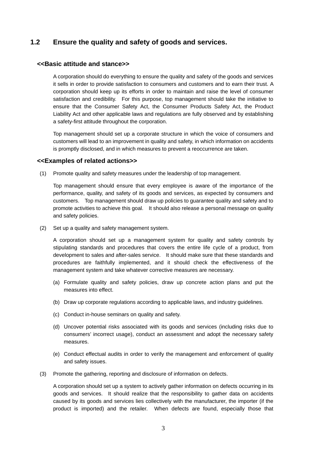# **1.2 Ensure the quality and safety of goods and services.**

#### **<<Basic attitude and stance>>**

A corporation should do everything to ensure the quality and safety of the goods and services it sells in order to provide satisfaction to consumers and customers and to earn their trust. A corporation should keep up its efforts in order to maintain and raise the level of consumer satisfaction and credibility. For this purpose, top management should take the initiative to ensure that the Consumer Safety Act, the Consumer Products Safety Act, the Product Liability Act and other applicable laws and regulations are fully observed and by establishing a safety-first attitude throughout the corporation.

Top management should set up a corporate structure in which the voice of consumers and customers will lead to an improvement in quality and safety, in which information on accidents is promptly disclosed, and in which measures to prevent a reoccurrence are taken.

#### **<<Examples of related actions>>**

(1) Promote quality and safety measures under the leadership of top management.

Top management should ensure that every employee is aware of the importance of the performance, quality, and safety of its goods and services, as expected by consumers and customers. Top management should draw up policies to guarantee quality and safety and to promote activities to achieve this goal. It should also release a personal message on quality and safety policies.

(2) Set up a quality and safety management system.

A corporation should set up a management system for quality and safety controls by stipulating standards and procedures that covers the entire life cycle of a product, from development to sales and after-sales service. It should make sure that these standards and procedures are faithfully implemented, and it should check the effectiveness of the management system and take whatever corrective measures are necessary.

- (a) Formulate quality and safety policies, draw up concrete action plans and put the measures into effect.
- (b) Draw up corporate regulations according to applicable laws, and industry guidelines.
- (c) Conduct in-house seminars on quality and safety.
- (d) Uncover potential risks associated with its goods and services (including risks due to consumers' incorrect usage), conduct an assessment and adopt the necessary safety measures.
- (e) Conduct effectual audits in order to verify the management and enforcement of quality and safety issues.
- (3) Promote the gathering, reporting and disclosure of information on defects.

A corporation should set up a system to actively gather information on defects occurring in its goods and services. It should realize that the responsibility to gather data on accidents caused by its goods and services lies collectively with the manufacturer, the importer (if the product is imported) and the retailer. When defects are found, especially those that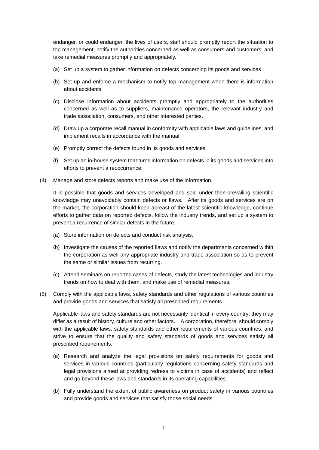endanger, or could endanger, the lives of users, staff should promptly report the situation to top management; notify the authorities concerned as well as consumers and customers; and take remedial measures promptly and appropriately.

- (a) Set up a system to gather information on defects concerning its goods and services.
- (b) Set up and enforce a mechanism to notify top management when there is information about accidents
- (c) Disclose information about accidents promptly and appropriately to the authorities concerned as well as to suppliers, maintenance operators, the relevant industry and trade association, consumers, and other interested parties.
- (d) Draw up a corporate recall manual in conformity with applicable laws and guidelines, and implement recalls in accordance with the manual.
- (e) Promptly correct the defects found in its goods and services.
- (f) Set up an in-house system that turns information on defects in its goods and services into efforts to prevent a reoccurrence.
- (4) Manage and store defects reports and make use of the information.

It is possible that goods and services developed and sold under then-prevailing scientific knowledge may unavoidably contain defects or flaws. After its goods and services are on the market, the corporation should keep abreast of the latest scientific knowledge, continue efforts to gather data on reported defects, follow the industry trends, and set up a system to prevent a recurrence of similar defects in the future.

- (a) Store information on defects and conduct risk analysis.
- (b) Investigate the causes of the reported flaws and notify the departments concerned within the corporation as well any appropriate industry and trade association so as to prevent the same or similar issues from recurring.
- (c) Attend seminars on reported cases of defects, study the latest technologies and industry trends on how to deal with them, and make use of remedial measures.
- (5) Comply with the applicable laws, safety standards and other regulations of various countries and provide goods and services that satisfy all prescribed requirements.

Applicable laws and safety standards are not necessarily identical in every country; they may differ as a result of history, culture and other factors. A corporation, therefore, should comply with the applicable laws, safety standards and other requirements of various countries, and strive to ensure that the quality and safety standards of goods and services satisfy all prescribed requirements.

- (a) Research and analyze the legal provisions on safety requirements for goods and services in various countries (particularly regulations concerning safety standards and legal provisions aimed at providing redress to victims in case of accidents) and reflect and go beyond these laws and standards in its operating capabilities.
- (b) Fully understand the extent of public awareness on product safety in various countries and provide goods and services that satisfy those social needs.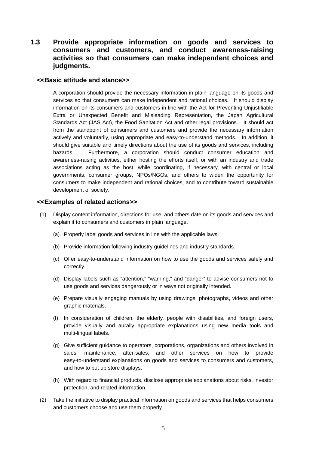# **1.3 Provide appropriate information on goods and services to consumers and customers, and conduct awareness-raising activities so that consumers can make independent choices and judgments.**

#### **<<Basic attitude and stance>>**

A corporation should provide the necessary information in plain language on its goods and services so that consumers can make independent and rational choices. It should display information on its consumers and customers in line with the Act for Preventing Unjustifiable Extra or Unexpected Benefit and Misleading Representation, the Japan Agricultural Standards Act (JAS Act), the Food Sanitation Act and other legal provisions. It should act from the standpoint of consumers and customers and provide the necessary information actively and voluntarily, using appropriate and easy-to-understand methods. In addition, it should give suitable and timely directions about the use of its goods and services, including hazards. Furthermore, a corporation should conduct consumer education and awareness-raising activities, either hosting the efforts itself, or with an industry and trade associations acting as the host, while coordinating, if necessary, with central or local governments, consumer groups, NPOs/NGOs, and others to widen the opportunity for consumers to make independent and rational choices, and to contribute toward sustainable development of society.

#### **<<Examples of related actions>>**

- (1) Display content information, directions for use, and others date on its goods and services and explain it to consumers and customers in plain language.
	- (a) Properly label goods and services in line with the applicable laws.
	- (b) Provide information following industry guidelines and industry standards.
	- (c) Offer easy-to-understand information on how to use the goods and services safely and correctly.
	- (d) Display labels such as "attention," "warning," and "danger" to advise consumers not to use goods and services dangerously or in ways not originally intended.
	- (e) Prepare visually engaging manuals by using drawings, photographs, videos and other graphic materials.
	- (f) In consideration of children, the elderly, people with disabilities, and foreign users, provide visually and aurally appropriate explanations using new media tools and multi-lingual labels.
	- (g) Give sufficient guidance to operators, corporations, organizations and others involved in sales, maintenance, after-sales, and other services on how to provide easy-to-understand explanations on goods and services to consumers and customers, and how to put up store displays.
	- (h) With regard to financial products, disclose appropriate explanations about risks, investor protection, and related information.
- (2) Take the initiative to display practical information on goods and services that helps consumers and customers choose and use them properly.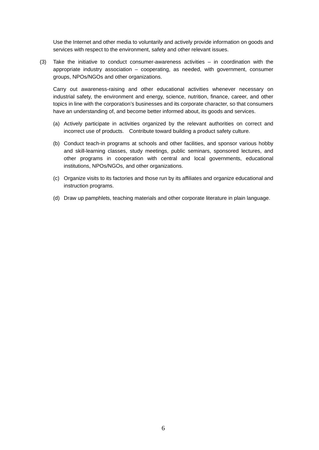Use the Internet and other media to voluntarily and actively provide information on goods and services with respect to the environment, safety and other relevant issues.

(3) Take the initiative to conduct consumer-awareness activities – in coordination with the appropriate industry association – cooperating, as needed, with government, consumer groups, NPOs/NGOs and other organizations.

Carry out awareness-raising and other educational activities whenever necessary on industrial safety, the environment and energy, science, nutrition, finance, career, and other topics in line with the corporation's businesses and its corporate character, so that consumers have an understanding of, and become better informed about, its goods and services.

- (a) Actively participate in activities organized by the relevant authorities on correct and incorrect use of products. Contribute toward building a product safety culture.
- (b) Conduct teach-in programs at schools and other facilities, and sponsor various hobby and skill-learning classes, study meetings, public seminars, sponsored lectures, and other programs in cooperation with central and local governments, educational institutions, NPOs/NGOs, and other organizations.
- (c) Organize visits to its factories and those run by its affiliates and organize educational and instruction programs.
- (d) Draw up pamphlets, teaching materials and other corporate literature in plain language.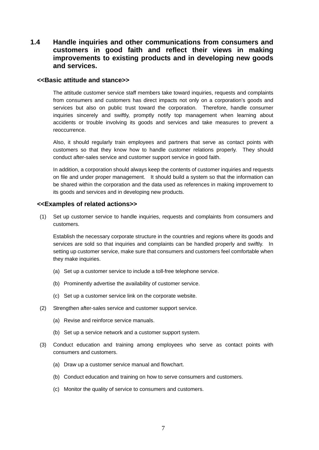## **1.4 Handle inquiries and other communications from consumers and customers in good faith and reflect their views in making improvements to existing products and in developing new goods and services.**

#### **<<Basic attitude and stance>>**

The attitude customer service staff members take toward inquiries, requests and complaints from consumers and customers has direct impacts not only on a corporation's goods and services but also on public trust toward the corporation. Therefore, handle consumer inquiries sincerely and swiftly, promptly notify top management when learning about accidents or trouble involving its goods and services and take measures to prevent a reoccurrence.

Also, it should regularly train employees and partners that serve as contact points with customers so that they know how to handle customer relations properly. They should conduct after-sales service and customer support service in good faith.

In addition, a corporation should always keep the contents of customer inquiries and requests on file and under proper management. It should build a system so that the information can be shared within the corporation and the data used as references in making improvement to its goods and services and in developing new products.

#### **<<Examples of related actions>>**

(1) Set up customer service to handle inquiries, requests and complaints from consumers and customers.

Establish the necessary corporate structure in the countries and regions where its goods and services are sold so that inquiries and complaints can be handled properly and swiftly. In setting up customer service, make sure that consumers and customers feel comfortable when they make inquiries.

- (a) Set up a customer service to include a toll-free telephone service.
- (b) Prominently advertise the availability of customer service.
- (c) Set up a customer service link on the corporate website.
- (2) Strengthen after-sales service and customer support service.
	- (a) Revise and reinforce service manuals.
	- (b) Set up a service network and a customer support system.
- (3) Conduct education and training among employees who serve as contact points with consumers and customers.
	- (a) Draw up a customer service manual and flowchart.
	- (b) Conduct education and training on how to serve consumers and customers.
	- (c) Monitor the quality of service to consumers and customers.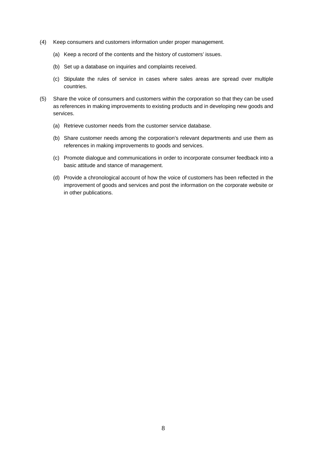- (4) Keep consumers and customers information under proper management.
	- (a) Keep a record of the contents and the history of customers' issues.
	- (b) Set up a database on inquiries and complaints received.
	- (c) Stipulate the rules of service in cases where sales areas are spread over multiple countries.
- (5) Share the voice of consumers and customers within the corporation so that they can be used as references in making improvements to existing products and in developing new goods and services.
	- (a) Retrieve customer needs from the customer service database.
	- (b) Share customer needs among the corporation's relevant departments and use them as references in making improvements to goods and services.
	- (c) Promote dialogue and communications in order to incorporate consumer feedback into a basic attitude and stance of management.
	- (d) Provide a chronological account of how the voice of customers has been reflected in the improvement of goods and services and post the information on the corporate website or in other publications.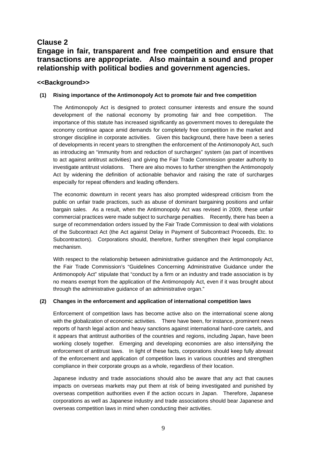# **Clause 2**

# **Engage in fair, transparent and free competition and ensure that transactions are appropriate. Also maintain a sound and proper relationship with political bodies and government agencies.**

#### **<<Background>>**

#### **(1) Rising importance of the Antimonopoly Act to promote fair and free competition**

The Antimonopoly Act is designed to protect consumer interests and ensure the sound development of the national economy by promoting fair and free competition. The importance of this statute has increased significantly as government moves to deregulate the economy continue apace amid demands for completely free competition in the market and stronger discipline in corporate activities. Given this background, there have been a series of developments in recent years to strengthen the enforcement of the Antimonopoly Act, such as introducing an "immunity from and reduction of surcharges" system (as part of incentives to act against antitrust activities) and giving the Fair Trade Commission greater authority to investigate antitrust violations. There are also moves to further strengthen the Antimonopoly Act by widening the definition of actionable behavior and raising the rate of surcharges especially for repeat offenders and leading offenders.

The economic downturn in recent years has also prompted widespread criticism from the public on unfair trade practices, such as abuse of dominant bargaining positions and unfair bargain sales. As a result, when the Antimonopoly Act was revised in 2009, these unfair commercial practices were made subject to surcharge penalties. Recently, there has been a surge of recommendation orders issued by the Fair Trade Commission to deal with violations of the Subcontract Act (the Act against Delay in Payment of Subcontract Proceeds, Etc. to Subcontractors). Corporations should, therefore, further strengthen their legal compliance mechanism.

With respect to the relationship between administrative guidance and the Antimonopoly Act, the Fair Trade Commission's "Guidelines Concerning Administrative Guidance under the Antimonopoly Act" stipulate that "conduct by a firm or an industry and trade association is by no means exempt from the application of the Antimonopoly Act, even if it was brought about through the administrative guidance of an administrative organ."

#### **(2) Changes in the enforcement and application of international competition laws**

Enforcement of competition laws has become active also on the international scene along with the globalization of economic activities. There have been, for instance, prominent news reports of harsh legal action and heavy sanctions against international hard-core cartels, and it appears that antitrust authorities of the countries and regions, including Japan, have been working closely together. Emerging and developing economies are also intensifying the enforcement of antitrust laws. In light of these facts, corporations should keep fully abreast of the enforcement and application of competition laws in various countries and strengthen compliance in their corporate groups as a whole, regardless of their location.

Japanese industry and trade associations should also be aware that any act that causes impacts on overseas markets may put them at risk of being investigated and punished by overseas competition authorities even if the action occurs in Japan. Therefore, Japanese corporations as well as Japanese industry and trade associations should bear Japanese and overseas competition laws in mind when conducting their activities.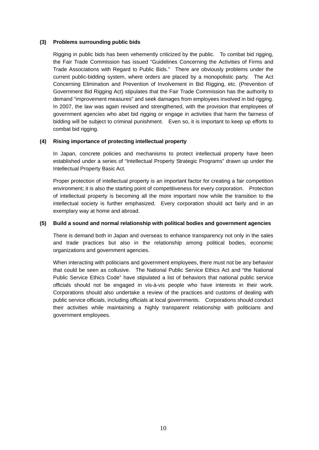#### **(3) Problems surrounding public bids**

Rigging in public bids has been vehemently criticized by the public. To combat bid rigging, the Fair Trade Commission has issued "Guidelines Concerning the Activities of Firms and Trade Associations with Regard to Public Bids." There are obviously problems under the current public-bidding system, where orders are placed by a monopolistic party. The Act Concerning Elimination and Prevention of Involvement in Bid Rigging, etc. (Prevention of Government Bid Rigging Act) stipulates that the Fair Trade Commission has the authority to demand "improvement measures" and seek damages from employees involved in bid rigging. In 2007, the law was again revised and strengthened, with the provision that employees of government agencies who abet bid rigging or engage in activities that harm the fairness of bidding will be subject to criminal punishment. Even so, it is important to keep up efforts to combat bid rigging.

#### **(4) Rising importance of protecting intellectual property**

In Japan, concrete policies and mechanisms to protect intellectual property have been established under a series of "Intellectual Property Strategic Programs" drawn up under the Intellectual Property Basic Act.

Proper protection of intellectual property is an important factor for creating a fair competition environment; it is also the starting point of competitiveness for every corporation. Protection of intellectual property is becoming all the more important now while the transition to the intellectual society is further emphasized. Every corporation should act fairly and in an exemplary way at home and abroad.

#### **(5) Build a sound and normal relationship with political bodies and government agencies**

There is demand both in Japan and overseas to enhance transparency not only in the sales and trade practices but also in the relationship among political bodies, economic organizations and government agencies.

When interacting with politicians and government employees, there must not be any behavior that could be seen as collusive. The National Public Service Ethics Act and "the National Public Service Ethics Code" have stipulated a list of behaviors that national public service officials should not be engaged in vis-à-vis people who have interests in their work. Corporations should also undertake a review of the practices and customs of dealing with public service officials, including officials at local governments. Corporations should conduct their activities while maintaining a highly transparent relationship with politicians and government employees.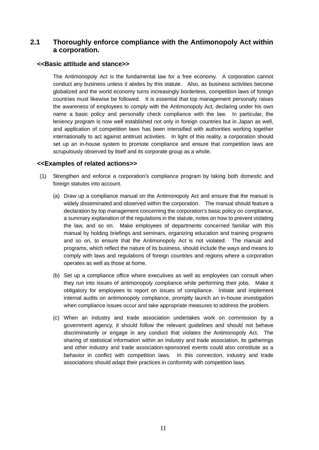## **2.1 Thoroughly enforce compliance with the Antimonopoly Act within a corporation.**

#### **<<Basic attitude and stance>>**

The Antimonopoly Act is the fundamental law for a free economy. A corporation cannot conduct any business unless it abides by this statute. Also, as business activities become globalized and the world economy turns increasingly borderless, competition laws of foreign countries must likewise be followed. It is essential that top management personally raises the awareness of employees to comply with the Antimonopoly Act, declaring under his own name a basic policy and personally check compliance with the law. In particular, the leniency program is now well established not only in foreign countries but in Japan as well, and application of competition laws has been intensified with authorities working together internationally to act against antitrust activities. In light of this reality, a corporation should set up an in-house system to promote compliance and ensure that competition laws are scrupulously observed by itself and its corporate group as a whole.

#### **<<Examples of related actions>>**

- (1) Strengthen and enforce a corporation's compliance program by taking both domestic and foreign statutes into account.
	- (a) Draw up a compliance manual on the Antimonopoly Act and ensure that the manual is widely disseminated and observed within the corporation. The manual should feature a declaration by top management concerning the corporation's basic policy on compliance, a summary explanation of the regulations in the statute, notes on how to prevent violating the law, and so on. Make employees of departments concerned familiar with this manual by holding briefings and seminars, organizing education and training programs and so on, to ensure that the Antimonopoly Act is not violated. The manual and programs, which reflect the nature of its business, should include the ways and means to comply with laws and regulations of foreign countries and regions where a corporation operates as well as those at home.
	- (b) Set up a compliance office where executives as well as employees can consult when they run into issues of antimonopoly compliance while performing their jobs. Make it obligatory for employees to report on issues of compliance. Initiate and implement internal audits on antimonopoly compliance, promptly launch an in-house investigation when compliance issues occur and take appropriate measures to address the problem.
	- (c) When an industry and trade association undertakes work on commission by a government agency, it should follow the relevant guidelines and should not behave discriminatorily or engage in any conduct that violates the Antimonopoly Act. The sharing of statistical information within an industry and trade association, its gatherings and other industry and trade association-sponsored events could also constitute as a behavior in conflict with competition laws. In this connection, industry and trade associations should adapt their practices in conformity with competition laws.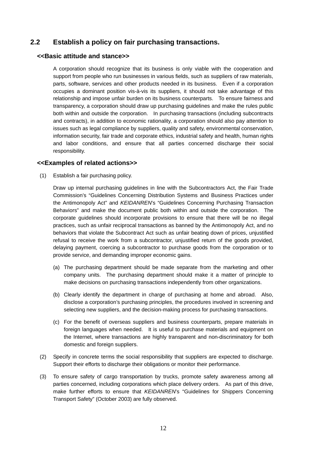# **2.2 Establish a policy on fair purchasing transactions.**

#### **<<Basic attitude and stance>>**

A corporation should recognize that its business is only viable with the cooperation and support from people who run businesses in various fields, such as suppliers of raw materials, parts, software, services and other products needed in its business. Even if a corporation occupies a dominant position vis-à-vis its suppliers, it should not take advantage of this relationship and impose unfair burden on its business counterparts. To ensure fairness and transparency, a corporation should draw up purchasing guidelines and make the rules public both within and outside the corporation. In purchasing transactions (including subcontracts and contracts), in addition to economic rationality, a corporation should also pay attention to issues such as legal compliance by suppliers, quality and safety, environmental conservation, information security, fair trade and corporate ethics, industrial safety and health, human rights and labor conditions, and ensure that all parties concerned discharge their social responsibility.

#### **<<Examples of related actions>>**

(1) Establish a fair purchasing policy.

Draw up internal purchasing guidelines in line with the Subcontractors Act, the Fair Trade Commission's "Guidelines Concerning Distribution Systems and Business Practices under the Antimonopoly Act" and *KEIDANREN*'s "Guidelines Concerning Purchasing Transaction Behaviors" and make the document public both within and outside the corporation. The corporate guidelines should incorporate provisions to ensure that there will be no illegal practices, such as unfair reciprocal transactions as banned by the Antimonopoly Act, and no behaviors that violate the Subcontract Act such as unfair beating down of prices, unjustified refusal to receive the work from a subcontractor, unjustified return of the goods provided, delaying payment, coercing a subcontractor to purchase goods from the corporation or to provide service, and demanding improper economic gains.

- (a) The purchasing department should be made separate from the marketing and other company units. The purchasing department should make it a matter of principle to make decisions on purchasing transactions independently from other organizations.
- (b) Clearly identify the department in charge of purchasing at home and abroad. Also, disclose a corporation's purchasing principles, the procedures involved in screening and selecting new suppliers, and the decision-making process for purchasing transactions.
- (c) For the benefit of overseas suppliers and business counterparts, prepare materials in foreign languages when needed. It is useful to purchase materials and equipment on the Internet, where transactions are highly transparent and non-discriminatory for both domestic and foreign suppliers.
- (2) Specify in concrete terms the social responsibility that suppliers are expected to discharge. Support their efforts to discharge their obligations or monitor their performance.
- (3) To ensure safety of cargo transportation by trucks, promote safety awareness among all parties concerned, including corporations which place delivery orders. As part of this drive, make further efforts to ensure that *KEIDANREN*'s "Guidelines for Shippers Concerning Transport Safety" (October 2003) are fully observed.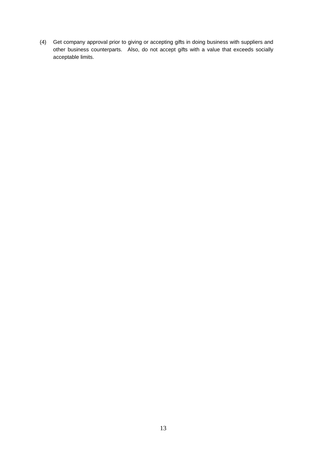(4) Get company approval prior to giving or accepting gifts in doing business with suppliers and other business counterparts. Also, do not accept gifts with a value that exceeds socially acceptable limits.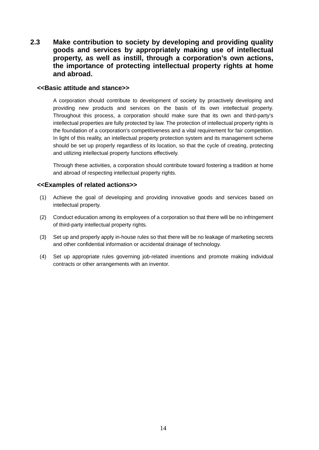**2.3 Make contribution to society by developing and providing quality goods and services by appropriately making use of intellectual property, as well as instill, through a corporation's own actions, the importance of protecting intellectual property rights at home and abroad.** 

#### **<<Basic attitude and stance>>**

A corporation should contribute to development of society by proactively developing and providing new products and services on the basis of its own intellectual property. Throughout this process, a corporation should make sure that its own and third-party's intellectual properties are fully protected by law. The protection of intellectual property rights is the foundation of a corporation's competitiveness and a vital requirement for fair competition. In light of this reality, an intellectual property protection system and its management scheme should be set up properly regardless of its location, so that the cycle of creating, protecting and utilizing intellectual property functions effectively.

Through these activities, a corporation should contribute toward fostering a tradition at home and abroad of respecting intellectual property rights.

#### **<<Examples of related actions>>**

- (1) Achieve the goal of developing and providing innovative goods and services based on intellectual property.
- (2) Conduct education among its employees of a corporation so that there will be no infringement of third-party intellectual property rights.
- (3) Set up and properly apply in-house rules so that there will be no leakage of marketing secrets and other confidential information or accidental drainage of technology.
- (4) Set up appropriate rules governing job-related inventions and promote making individual contracts or other arrangements with an inventor.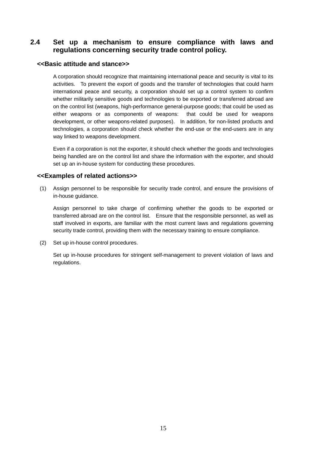## **2.4 Set up a mechanism to ensure compliance with laws and regulations concerning security trade control policy.**

#### **<<Basic attitude and stance>>**

A corporation should recognize that maintaining international peace and security is vital to its activities. To prevent the export of goods and the transfer of technologies that could harm international peace and security, a corporation should set up a control system to confirm whether militarily sensitive goods and technologies to be exported or transferred abroad are on the control list (weapons, high-performance general-purpose goods; that could be used as either weapons or as components of weapons: that could be used for weapons development, or other weapons-related purposes). In addition, for non-listed products and technologies, a corporation should check whether the end-use or the end-users are in any way linked to weapons development.

Even if a corporation is not the exporter, it should check whether the goods and technologies being handled are on the control list and share the information with the exporter, and should set up an in-house system for conducting these procedures.

#### **<<Examples of related actions>>**

(1) Assign personnel to be responsible for security trade control, and ensure the provisions of in-house guidance.

Assign personnel to take charge of confirming whether the goods to be exported or transferred abroad are on the control list. Ensure that the responsible personnel, as well as staff involved in exports, are familiar with the most current laws and regulations governing security trade control, providing them with the necessary training to ensure compliance.

(2) Set up in-house control procedures.

Set up in-house procedures for stringent self-management to prevent violation of laws and regulations.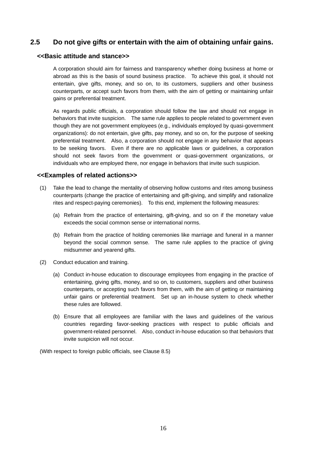# **2.5 Do not give gifts or entertain with the aim of obtaining unfair gains.**

#### **<<Basic attitude and stance>>**

A corporation should aim for fairness and transparency whether doing business at home or abroad as this is the basis of sound business practice. To achieve this goal, it should not entertain, give gifts, money, and so on, to its customers, suppliers and other business counterparts, or accept such favors from them, with the aim of getting or maintaining unfair gains or preferential treatment.

As regards public officials, a corporation should follow the law and should not engage in behaviors that invite suspicion. The same rule applies to people related to government even though they are not government employees (e.g., individuals employed by quasi-government organizations): do not entertain, give gifts, pay money, and so on, for the purpose of seeking preferential treatment. Also, a corporation should not engage in any behavior that appears to be seeking favors. Even if there are no applicable laws or guidelines, a corporation should not seek favors from the government or quasi-government organizations, or individuals who are employed there, nor engage in behaviors that invite such suspicion.

#### **<<Examples of related actions>>**

- (1) Take the lead to change the mentality of observing hollow customs and rites among business counterparts (change the practice of entertaining and gift-giving, and simplify and rationalize rites and respect-paying ceremonies). To this end, implement the following measures:
	- (a) Refrain from the practice of entertaining, gift-giving, and so on if the monetary value exceeds the social common sense or international norms.
	- (b) Refrain from the practice of holding ceremonies like marriage and funeral in a manner beyond the social common sense. The same rule applies to the practice of giving midsummer and yearend gifts.
- (2) Conduct education and training.
	- (a) Conduct in-house education to discourage employees from engaging in the practice of entertaining, giving gifts, money, and so on, to customers, suppliers and other business counterparts, or accepting such favors from them, with the aim of getting or maintaining unfair gains or preferential treatment. Set up an in-house system to check whether these rules are followed.
	- (b) Ensure that all employees are familiar with the laws and guidelines of the various countries regarding favor-seeking practices with respect to public officials and government-related personnel. Also, conduct in-house education so that behaviors that invite suspicion will not occur.

(With respect to foreign public officials, see Clause 8.5)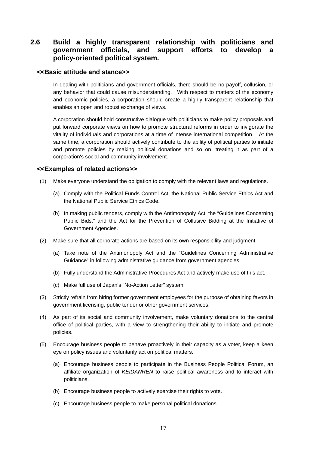# **2.6 Build a highly transparent relationship with politicians and government officials, and support efforts to develop a policy-oriented political system.**

#### **<<Basic attitude and stance>>**

In dealing with politicians and government officials, there should be no payoff, collusion, or any behavior that could cause misunderstanding. With respect to matters of the economy and economic policies, a corporation should create a highly transparent relationship that enables an open and robust exchange of views.

A corporation should hold constructive dialogue with politicians to make policy proposals and put forward corporate views on how to promote structural reforms in order to invigorate the vitality of individuals and corporations at a time of intense international competition. At the same time, a corporation should actively contribute to the ability of political parties to initiate and promote policies by making political donations and so on, treating it as part of a corporation's social and community involvement.

#### **<<Examples of related actions>>**

- (1) Make everyone understand the obligation to comply with the relevant laws and regulations.
	- (a) Comply with the Political Funds Control Act, the National Public Service Ethics Act and the National Public Service Ethics Code.
	- (b) In making public tenders, comply with the Antimonopoly Act, the "Guidelines Concerning Public Bids," and the Act for the Prevention of Collusive Bidding at the Initiative of Government Agencies.
- (2) Make sure that all corporate actions are based on its own responsibility and judgment.
	- (a) Take note of the Antimonopoly Act and the "Guidelines Concerning Administrative Guidance" in following administrative guidance from government agencies.
	- (b) Fully understand the Administrative Procedures Act and actively make use of this act.
	- (c) Make full use of Japan's "No-Action Letter" system.
- (3) Strictly refrain from hiring former government employees for the purpose of obtaining favors in government licensing, public tender or other government services.
- (4) As part of its social and community involvement, make voluntary donations to the central office of political parties, with a view to strengthening their ability to initiate and promote policies.
- (5) Encourage business people to behave proactively in their capacity as a voter, keep a keen eye on policy issues and voluntarily act on political matters.
	- (a) Encourage business people to participate in the Business People Political Forum, an affiliate organization of *KEIDANREN* to raise political awareness and to interact with politicians.
	- (b) Encourage business people to actively exercise their rights to vote.
	- (c) Encourage business people to make personal political donations.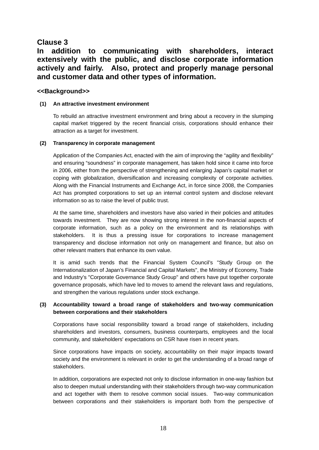# **Clause 3**

**In addition to communicating with shareholders, interact extensively with the public, and disclose corporate information actively and fairly. Also, protect and properly manage personal and customer data and other types of information.** 

#### **<<Background>>**

#### **(1) An attractive investment environment**

To rebuild an attractive investment environment and bring about a recovery in the slumping capital market triggered by the recent financial crisis, corporations should enhance their attraction as a target for investment.

#### **(2) Transparency in corporate management**

Application of the Companies Act, enacted with the aim of improving the "agility and flexibility" and ensuring "soundness" in corporate management, has taken hold since it came into force in 2006, either from the perspective of strengthening and enlarging Japan's capital market or coping with globalization, diversification and increasing complexity of corporate activities. Along with the Financial Instruments and Exchange Act, in force since 2008, the Companies Act has prompted corporations to set up an internal control system and disclose relevant information so as to raise the level of public trust.

At the same time, shareholders and investors have also varied in their policies and attitudes towards investment. They are now showing strong interest in the non-financial aspects of corporate information, such as a policy on the environment and its relationships with stakeholders. It is thus a pressing issue for corporations to increase management transparency and disclose information not only on management and finance, but also on other relevant matters that enhance its own value.

It is amid such trends that the Financial System Council's "Study Group on the Internationalization of Japan's Financial and Capital Markets", the Ministry of Economy, Trade and Industry's "Corporate Governance Study Group" and others have put together corporate governance proposals, which have led to moves to amend the relevant laws and regulations, and strengthen the various regulations under stock exchange.

#### **(3) Accountability toward a broad range of stakeholders and two-way communication between corporations and their stakeholders**

Corporations have social responsibility toward a broad range of stakeholders, including shareholders and investors, consumers, business counterparts, employees and the local community, and stakeholders' expectations on CSR have risen in recent years.

Since corporations have impacts on society, accountability on their major impacts toward society and the environment is relevant in order to get the understanding of a broad range of stakeholders.

In addition, corporations are expected not only to disclose information in one-way fashion but also to deepen mutual understanding with their stakeholders through two-way communication and act together with them to resolve common social issues. Two-way communication between corporations and their stakeholders is important both from the perspective of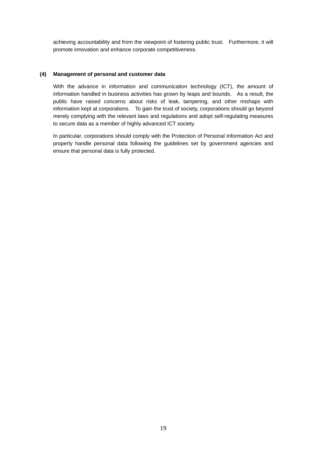achieving accountability and from the viewpoint of fostering public trust. Furthermore, it will promote innovation and enhance corporate competitiveness.

#### **(4) Management of personal and customer data**

With the advance in information and communication technology (ICT), the amount of information handled in business activities has grown by leaps and bounds. As a result, the public have raised concerns about risks of leak, tampering, and other mishaps with information kept at corporations. To gain the trust of society, corporations should go beyond merely complying with the relevant laws and regulations and adopt self-regulating measures to secure data as a member of highly advanced ICT society.

In particular, corporations should comply with the Protection of Personal Information Act and properly handle personal data following the guidelines set by government agencies and ensure that personal data is fully protected.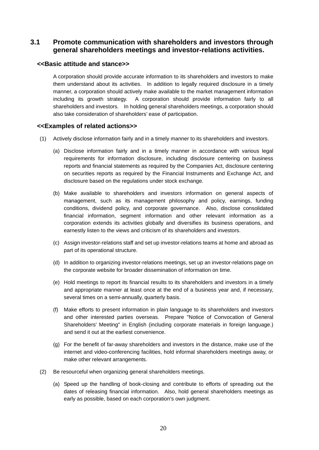## **3.1 Promote communication with shareholders and investors through general shareholders meetings and investor-relations activities.**

#### **<<Basic attitude and stance>>**

A corporation should provide accurate information to its shareholders and investors to make them understand about its activities. In addition to legally required disclosure in a timely manner, a corporation should actively make available to the market management information including its growth strategy. A corporation should provide information fairly to all shareholders and investors. In holding general shareholders meetings, a corporation should also take consideration of shareholders' ease of participation.

#### **<<Examples of related actions>>**

- (1) Actively disclose information fairly and in a timely manner to its shareholders and investors.
	- (a) Disclose information fairly and in a timely manner in accordance with various legal requirements for information disclosure, including disclosure centering on business reports and financial statements as required by the Companies Act, disclosure centering on securities reports as required by the Financial Instruments and Exchange Act, and disclosure based on the regulations under stock exchange.
	- (b) Make available to shareholders and investors information on general aspects of management, such as its management philosophy and policy, earnings, funding conditions, dividend policy, and corporate governance. Also, disclose consolidated financial information, segment information and other relevant information as a corporation extends its activities globally and diversifies its business operations, and earnestly listen to the views and criticism of its shareholders and investors.
	- (c) Assign investor-relations staff and set up investor-relations teams at home and abroad as part of its operational structure.
	- (d) In addition to organizing investor-relations meetings, set up an investor-relations page on the corporate website for broader dissemination of information on time.
	- (e) Hold meetings to report its financial results to its shareholders and investors in a timely and appropriate manner at least once at the end of a business year and, if necessary, several times on a semi-annually, quarterly basis.
	- (f) Make efforts to present information in plain language to its shareholders and investors and other interested parties overseas. Prepare "Notice of Convocation of General Shareholders' Meeting" in English (including corporate materials in foreign language.) and send it out at the earliest convenience.
	- (g) For the benefit of far-away shareholders and investors in the distance, make use of the internet and video-conferencing facilities, hold informal shareholders meetings away, or make other relevant arrangements.
- (2) Be resourceful when organizing general shareholders meetings.
	- (a) Speed up the handling of book-closing and contribute to efforts of spreading out the dates of releasing financial information. Also, hold general shareholders meetings as early as possible, based on each corporation's own judgment.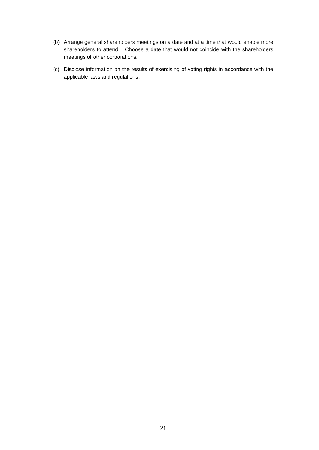- (b) Arrange general shareholders meetings on a date and at a time that would enable more shareholders to attend. Choose a date that would not coincide with the shareholders meetings of other corporations.
- (c) Disclose information on the results of exercising of voting rights in accordance with the applicable laws and regulations.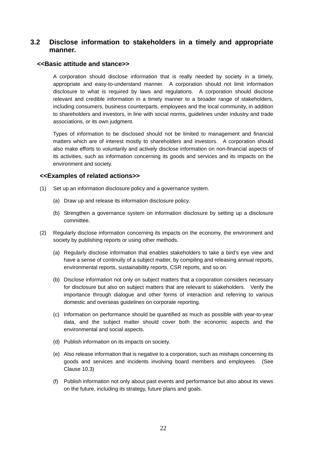# **3.2 Disclose information to stakeholders in a timely and appropriate manner.**

### **<<Basic attitude and stance>>**

A corporation should disclose information that is really needed by society in a timely, appropriate and easy-to-understand manner. A corporation should not limit information disclosure to what is required by laws and regulations. A corporation should disclose relevant and credible information in a timely manner to a broader range of stakeholders, including consumers, business counterparts, employees and the local community, in addition to shareholders and investors, in line with social norms, guidelines under industry and trade associations, or its own judgment.

Types of information to be disclosed should not be limited to management and financial matters which are of interest mostly to shareholders and investors. A corporation should also make efforts to voluntarily and actively disclose information on non-financial aspects of its activities, such as information concerning its goods and services and its impacts on the environment and society.

- (1) Set up an information disclosure policy and a governance system.
	- (a) Draw up and release its information disclosure policy.
	- (b) Strengthen a governance system on information disclosure by setting up a disclosure committee.
- (2) Regularly disclose information concerning its impacts on the economy, the environment and society by publishing reports or using other methods.
	- (a) Regularly disclose information that enables stakeholders to take a bird's eye view and have a sense of continuity of a subject matter, by compiling and releasing annual reports, environmental reports, sustainability reports, CSR reports, and so on.
	- (b) Disclose information not only on subject matters that a corporation considers necessary for disclosure but also on subject matters that are relevant to stakeholders. Verify the importance through dialogue and other forms of interaction and referring to various domestic and overseas guidelines on corporate reporting.
	- (c) Information on performance should be quantified as much as possible with year-to-year data, and the subject matter should cover both the economic aspects and the environmental and social aspects.
	- (d) Publish information on its impacts on society.
	- (e) Also release information that is negative to a corporation, such as mishaps concerning its goods and services and incidents involving board members and employees. (See Clause 10.3)
	- (f) Publish information not only about past events and performance but also about its views on the future, including its strategy, future plans and goals.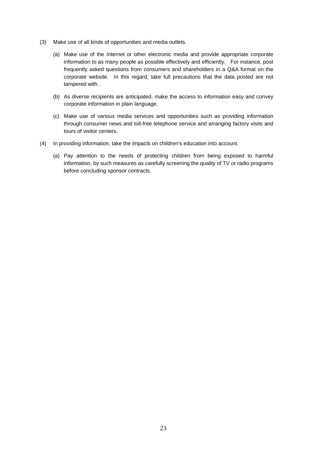- (3) Make use of all kinds of opportunities and media outlets.
	- (a) Make use of the Internet or other electronic media and provide appropriate corporate information to as many people as possible effectively and efficiently. For instance, post frequently asked questions from consumers and shareholders in a Q&A format on the corporate website. In this regard, take full precautions that the data posted are not tampered with.
	- (b) As diverse recipients are anticipated, make the access to information easy and convey corporate information in plain language.
	- (c) Make use of various media services and opportunities such as providing information through consumer news and toll-free telephone service and arranging factory visits and tours of visitor centers.
- (4) In providing information, take the impacts on children's education into account.
	- (a) Pay attention to the needs of protecting children from being exposed to harmful information, by such measures as carefully screening the quality of TV or radio programs before concluding sponsor contracts.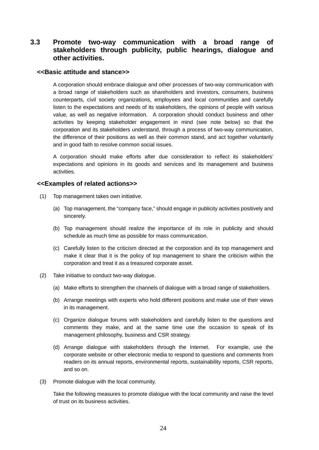# **3.3 Promote two-way communication with a broad range of stakeholders through publicity, public hearings, dialogue and other activities.**

### **<<Basic attitude and stance>>**

A corporation should embrace dialogue and other processes of two-way communication with a broad range of stakeholders such as shareholders and investors, consumers, business counterparts, civil society organizations, employees and local communities and carefully listen to the expectations and needs of its stakeholders, the opinions of people with various value, as well as negative information. A corporation should conduct business and other activities by keeping stakeholder engagement in mind (see note below) so that the corporation and its stakeholders understand, through a process of two-way communication, the difference of their positions as well as their common stand, and act together voluntarily and in good faith to resolve common social issues.

A corporation should make efforts after due consideration to reflect its stakeholders' expectations and opinions in its goods and services and its management and business activities.

### **<<Examples of related actions>>**

- (1) Top management takes own initiative.
	- (a) Top management, the "company face," should engage in publicity activities positively and sincerely.
	- (b) Top management should realize the importance of its role in publicity and should schedule as much time as possible for mass communication.
	- (c) Carefully listen to the criticism directed at the corporation and its top management and make it clear that it is the policy of top management to share the criticism within the corporation and treat it as a treasured corporate asset.
- (2) Take initiative to conduct two-way dialogue.
	- (a) Make efforts to strengthen the channels of dialogue with a broad range of stakeholders.
	- (b) Arrange meetings with experts who hold different positions and make use of their views in its management.
	- (c) Organize dialogue forums with stakeholders and carefully listen to the questions and comments they make, and at the same time use the occasion to speak of its management philosophy, business and CSR strategy.
	- (d) Arrange dialogue with stakeholders through the Internet. For example, use the corporate website or other electronic media to respond to questions and comments from readers on its annual reports, environmental reports, sustainability reports, CSR reports, and so on.
- (3) Promote dialogue with the local community.

Take the following measures to promote dialogue with the local community and raise the level of trust on its business activities.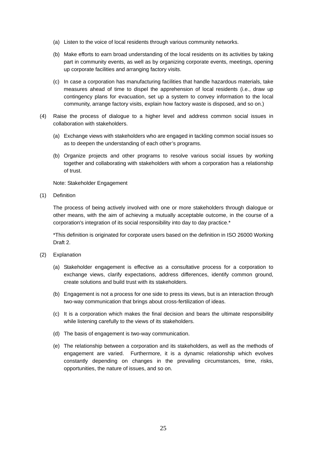- (a) Listen to the voice of local residents through various community networks.
- (b) Make efforts to earn broad understanding of the local residents on its activities by taking part in community events, as well as by organizing corporate events, meetings, opening up corporate facilities and arranging factory visits.
- (c) In case a corporation has manufacturing facilities that handle hazardous materials, take measures ahead of time to dispel the apprehension of local residents (i.e., draw up contingency plans for evacuation, set up a system to convey information to the local community, arrange factory visits, explain how factory waste is disposed, and so on.)
- (4) Raise the process of dialogue to a higher level and address common social issues in collaboration with stakeholders.
	- (a) Exchange views with stakeholders who are engaged in tackling common social issues so as to deepen the understanding of each other's programs.
	- (b) Organize projects and other programs to resolve various social issues by working together and collaborating with stakeholders with whom a corporation has a relationship of trust.

Note: Stakeholder Engagement

(1) Definition

The process of being actively involved with one or more stakeholders through dialogue or other means, with the aim of achieving a mutually acceptable outcome, in the course of a corporation's integration of its social responsibility into day to day practice.\*

\*This definition is originated for corporate users based on the definition in ISO 26000 Working Draft 2.

- (2) Explanation
	- (a) Stakeholder engagement is effective as a consultative process for a corporation to exchange views, clarify expectations, address differences, identify common ground, create solutions and build trust with its stakeholders.
	- (b) Engagement is not a process for one side to press its views, but is an interaction through two-way communication that brings about cross-fertilization of ideas.
	- (c) It is a corporation which makes the final decision and bears the ultimate responsibility while listening carefully to the views of its stakeholders.
	- (d) The basis of engagement is two-way communication.
	- (e) The relationship between a corporation and its stakeholders, as well as the methods of engagement are varied. Furthermore, it is a dynamic relationship which evolves constantly depending on changes in the prevailing circumstances, time, risks, opportunities, the nature of issues, and so on.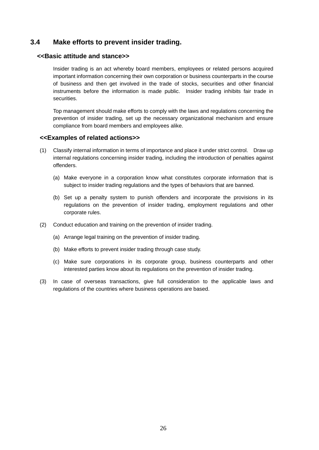# **3.4 Make efforts to prevent insider trading.**

### **<<Basic attitude and stance>>**

Insider trading is an act whereby board members, employees or related persons acquired important information concerning their own corporation or business counterparts in the course of business and then get involved in the trade of stocks, securities and other financial instruments before the information is made public. Insider trading inhibits fair trade in securities.

Top management should make efforts to comply with the laws and regulations concerning the prevention of insider trading, set up the necessary organizational mechanism and ensure compliance from board members and employees alike.

- (1) Classify internal information in terms of importance and place it under strict control. Draw up internal regulations concerning insider trading, including the introduction of penalties against offenders.
	- (a) Make everyone in a corporation know what constitutes corporate information that is subject to insider trading regulations and the types of behaviors that are banned.
	- (b) Set up a penalty system to punish offenders and incorporate the provisions in its regulations on the prevention of insider trading, employment regulations and other corporate rules.
- (2) Conduct education and training on the prevention of insider trading.
	- (a) Arrange legal training on the prevention of insider trading.
	- (b) Make efforts to prevent insider trading through case study.
	- (c) Make sure corporations in its corporate group, business counterparts and other interested parties know about its regulations on the prevention of insider trading.
- (3) In case of overseas transactions, give full consideration to the applicable laws and regulations of the countries where business operations are based.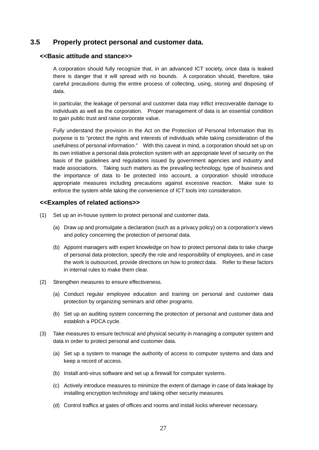# **3.5 Properly protect personal and customer data.**

### **<<Basic attitude and stance>>**

A corporation should fully recognize that, in an advanced ICT society, once data is leaked there is danger that it will spread with no bounds. A corporation should, therefore, take careful precautions during the entire process of collecting, using, storing and disposing of data.

In particular, the leakage of personal and customer data may inflict irrecoverable damage to individuals as well as the corporation. Proper management of data is an essential condition to gain public trust and raise corporate value.

Fully understand the provision in the Act on the Protection of Personal Information that its purpose is to "protect the rights and interests of individuals while taking consideration of the usefulness of personal information." With this caveat in mind, a corporation should set up on its own initiative a personal data protection system with an appropriate level of security on the basis of the guidelines and regulations issued by government agencies and industry and trade associations. Taking such matters as the prevailing technology, type of business and the importance of data to be protected into account, a corporation should introduce appropriate measures including precautions against excessive reaction. Make sure to enforce the system while taking the convenience of ICT tools into consideration.

- (1) Set up an in-house system to protect personal and customer data.
	- (a) Draw up and promulgate a declaration (such as a privacy policy) on a corporation's views and policy concerning the protection of personal data.
	- (b) Appoint managers with expert knowledge on how to protect personal data to take charge of personal data protection, specify the role and responsibility of employees, and in case the work is outsourced, provide directions on how to protect data. Refer to these factors in internal rules to make them clear.
- (2) Strengthen measures to ensure effectiveness.
	- (a) Conduct regular employee education and training on personal and customer data protection by organizing seminars and other programs.
	- (b) Set up an auditing system concerning the protection of personal and customer data and establish a PDCA cycle.
- (3) Take measures to ensure technical and physical security in managing a computer system and data in order to protect personal and customer data.
	- (a) Set up a system to manage the authority of access to computer systems and data and keep a record of access.
	- (b) Install anti-virus software and set up a firewall for computer systems.
	- (c) Actively introduce measures to minimize the extent of damage in case of data leakage by installing encryption technology and taking other security measures.
	- (d) Control traffics at gates of offices and rooms and install locks wherever necessary.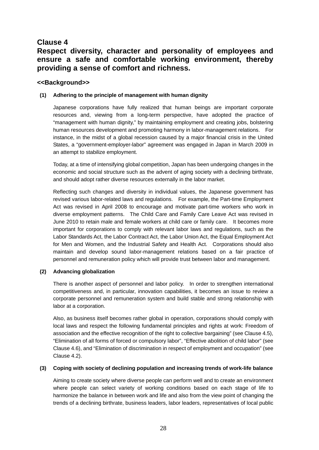# **Clause 4**

# **Respect diversity, character and personality of employees and ensure a safe and comfortable working environment, thereby providing a sense of comfort and richness.**

### **<<Background>>**

### **(1) Adhering to the principle of management with human dignity**

Japanese corporations have fully realized that human beings are important corporate resources and, viewing from a long-term perspective, have adopted the practice of "management with human dignity," by maintaining employment and creating jobs, bolstering human resources development and promoting harmony in labor-management relations. For instance, in the midst of a global recession caused by a major financial crisis in the United States, a "government-employer-labor" agreement was engaged in Japan in March 2009 in an attempt to stabilize employment.

Today, at a time of intensifying global competition, Japan has been undergoing changes in the economic and social structure such as the advent of aging society with a declining birthrate, and should adopt rather diverse resources externally in the labor market.

Reflecting such changes and diversity in individual values, the Japanese government has revised various labor-related laws and regulations. For example, the Part-time Employment Act was revised in April 2008 to encourage and motivate part-time workers who work in diverse employment patterns. The Child Care and Family Care Leave Act was revised in June 2010 to retain male and female workers at child care or family care. It becomes more important for corporations to comply with relevant labor laws and regulations, such as the Labor Standards Act, the Labor Contract Act, the Labor Union Act, the Equal Employment Act for Men and Women, and the Industrial Safety and Health Act. Corporations should also maintain and develop sound labor-management relations based on a fair practice of personnel and remuneration policy which will provide trust between labor and management.

### **(2) Advancing globalization**

There is another aspect of personnel and labor policy. In order to strengthen international competitiveness and, in particular, innovation capabilities, it becomes an issue to review a corporate personnel and remuneration system and build stable and strong relationship with labor at a corporation.

Also, as business itself becomes rather global in operation, corporations should comply with local laws and respect the following fundamental principles and rights at work: Freedom of association and the effective recognition of the right to collective bargaining" (see Clause 4.5), "Elimination of all forms of forced or compulsory labor", "Effective abolition of child labor" (see Clause 4.6), and "Elimination of discrimination in respect of employment and occupation" (see Clause 4.2).

### **(3) Coping with society of declining population and increasing trends of work-life balance**

Aiming to create society where diverse people can perform well and to create an environment where people can select variety of working conditions based on each stage of life to harmonize the balance in between work and life and also from the view point of changing the trends of a declining birthrate, business leaders, labor leaders, representatives of local public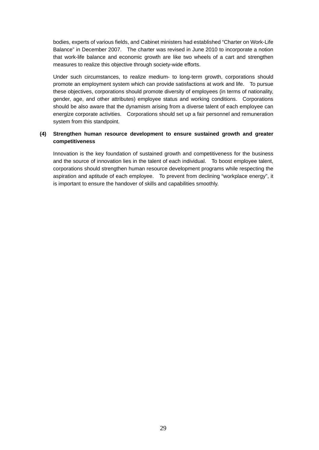bodies, experts of various fields, and Cabinet ministers had established "Charter on Work-Life Balance" in December 2007. The charter was revised in June 2010 to incorporate a notion that work-life balance and economic growth are like two wheels of a cart and strengthen measures to realize this objective through society-wide efforts.

Under such circumstances, to realize medium- to long-term growth, corporations should promote an employment system which can provide satisfactions at work and life. To pursue these objectives, corporations should promote diversity of employees (in terms of nationality, gender, age, and other attributes) employee status and working conditions. Corporations should be also aware that the dynamism arising from a diverse talent of each employee can energize corporate activities. Corporations should set up a fair personnel and remuneration system from this standpoint.

### **(4) Strengthen human resource development to ensure sustained growth and greater competitiveness**

Innovation is the key foundation of sustained growth and competitiveness for the business and the source of innovation lies in the talent of each individual. To boost employee talent, corporations should strengthen human resource development programs while respecting the aspiration and aptitude of each employee. To prevent from declining "workplace energy", it is important to ensure the handover of skills and capabilities smoothly.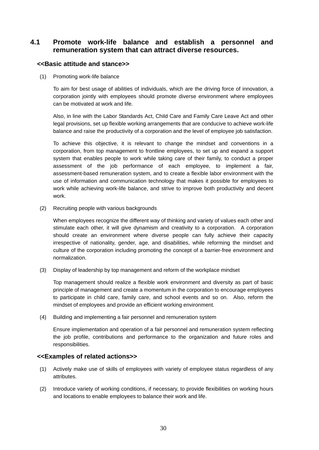## **4.1 Promote work-life balance and establish a personnel and remuneration system that can attract diverse resources.**

### **<<Basic attitude and stance>>**

(1) Promoting work-life balance

To aim for best usage of abilities of individuals, which are the driving force of innovation, a corporation jointly with employees should promote diverse environment where employees can be motivated at work and life.

Also, in line with the Labor Standards Act, Child Care and Family Care Leave Act and other legal provisions, set up flexible working arrangements that are conducive to achieve work-life balance and raise the productivity of a corporation and the level of employee job satisfaction.

To achieve this objective, it is relevant to change the mindset and conventions in a corporation, from top management to frontline employees, to set up and expand a support system that enables people to work while taking care of their family, to conduct a proper assessment of the job performance of each employee, to implement a fair, assessment-based remuneration system, and to create a flexible labor environment with the use of information and communication technology that makes it possible for employees to work while achieving work-life balance, and strive to improve both productivity and decent work.

(2) Recruiting people with various backgrounds

When employees recognize the different way of thinking and variety of values each other and stimulate each other, it will give dynamism and creativity to a corporation. A corporation should create an environment where diverse people can fully achieve their capacity irrespective of nationality, gender, age, and disabilities, while reforming the mindset and culture of the corporation including promoting the concept of a barrier-free environment and normalization.

(3) Display of leadership by top management and reform of the workplace mindset

Top management should realize a flexible work environment and diversity as part of basic principle of management and create a momentum in the corporation to encourage employees to participate in child care, family care, and school events and so on. Also, reform the mindset of employees and provide an efficient working environment.

(4) Building and implementing a fair personnel and remuneration system

Ensure implementation and operation of a fair personnel and remuneration system reflecting the job profile, contributions and performance to the organization and future roles and responsibilities.

- (1) Actively make use of skills of employees with variety of employee status regardless of any attributes.
- (2) Introduce variety of working conditions, if necessary, to provide flexibilities on working hours and locations to enable employees to balance their work and life.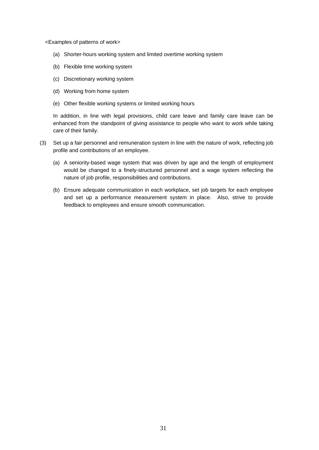<Examples of patterns of work>

- (a) Shorter-hours working system and limited overtime working system
- (b) Flexible time working system
- (c) Discretionary working system
- (d) Working from home system
- (e) Other flexible working systems or limited working hours

In addition, in line with legal provisions, child care leave and family care leave can be enhanced from the standpoint of giving assistance to people who want to work while taking care of their family.

- (3) Set up a fair personnel and remuneration system in line with the nature of work, reflecting job profile and contributions of an employee.
	- (a) A seniority-based wage system that was driven by age and the length of employment would be changed to a finely-structured personnel and a wage system reflecting the nature of job profile, responsibilities and contributions.
	- (b) Ensure adequate communication in each workplace, set job targets for each employee and set up a performance measurement system in place. Also, strive to provide feedback to employees and ensure smooth communication.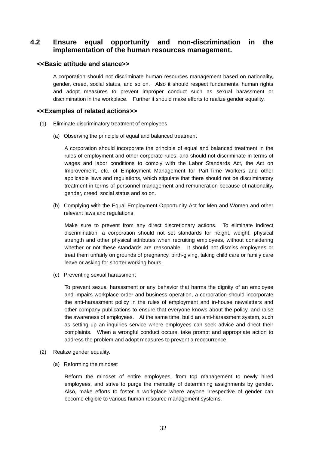## **4.2 Ensure equal opportunity and non-discrimination in the implementation of the human resources management.**

### **<<Basic attitude and stance>>**

A corporation should not discriminate human resources management based on nationality, gender, creed, social status, and so on. Also it should respect fundamental human rights and adopt measures to prevent improper conduct such as sexual harassment or discrimination in the workplace. Further it should make efforts to realize gender equality.

### **<<Examples of related actions>>**

- (1) Eliminate discriminatory treatment of employees
	- (a) Observing the principle of equal and balanced treatment

A corporation should incorporate the principle of equal and balanced treatment in the rules of employment and other corporate rules, and should not discriminate in terms of wages and labor conditions to comply with the Labor Standards Act, the Act on Improvement, etc. of Employment Management for Part-Time Workers and other applicable laws and regulations, which stipulate that there should not be discriminatory treatment in terms of personnel management and remuneration because of nationality, gender, creed, social status and so on.

(b) Complying with the Equal Employment Opportunity Act for Men and Women and other relevant laws and regulations

Make sure to prevent from any direct discretionary actions. To eliminate indirect discrimination, a corporation should not set standards for height, weight, physical strength and other physical attributes when recruiting employees, without considering whether or not these standards are reasonable. It should not dismiss employees or treat them unfairly on grounds of pregnancy, birth-giving, taking child care or family care leave or asking for shorter working hours.

(c) Preventing sexual harassment

To prevent sexual harassment or any behavior that harms the dignity of an employee and impairs workplace order and business operation, a corporation should incorporate the anti-harassment policy in the rules of employment and in-house newsletters and other company publications to ensure that everyone knows about the policy, and raise the awareness of employees. At the same time, build an anti-harassment system, such as setting up an inquiries service where employees can seek advice and direct their complaints. When a wrongful conduct occurs, take prompt and appropriate action to address the problem and adopt measures to prevent a reoccurrence.

- (2) Realize gender equality.
	- (a) Reforming the mindset

Reform the mindset of entire employees, from top management to newly hired employees, and strive to purge the mentality of determining assignments by gender. Also, make efforts to foster a workplace where anyone irrespective of gender can become eligible to various human resource management systems.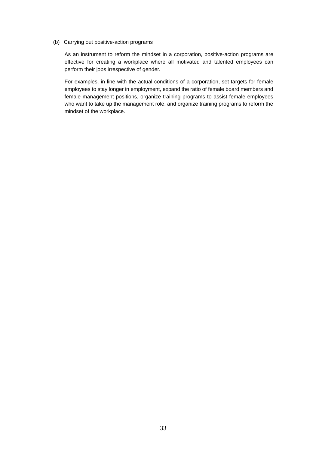#### (b) Carrying out positive-action programs

As an instrument to reform the mindset in a corporation, positive-action programs are effective for creating a workplace where all motivated and talented employees can perform their jobs irrespective of gender.

For examples, in line with the actual conditions of a corporation, set targets for female employees to stay longer in employment, expand the ratio of female board members and female management positions, organize training programs to assist female employees who want to take up the management role, and organize training programs to reform the mindset of the workplace.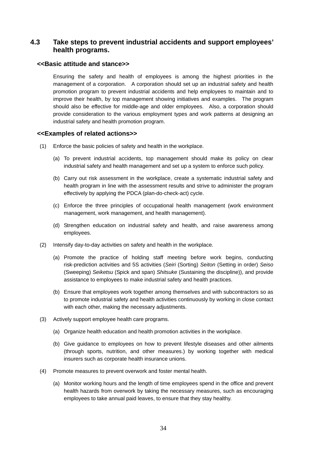### **4.3 Take steps to prevent industrial accidents and support employees' health programs.**

### **<<Basic attitude and stance>>**

Ensuring the safety and health of employees is among the highest priorities in the management of a corporation. A corporation should set up an industrial safety and health promotion program to prevent industrial accidents and help employees to maintain and to improve their health, by top management showing initiatives and examples. The program should also be effective for middle-age and older employees. Also, a corporation should provide consideration to the various employment types and work patterns at designing an industrial safety and health promotion program.

- (1) Enforce the basic policies of safety and health in the workplace.
	- (a) To prevent industrial accidents, top management should make its policy on clear industrial safety and health management and set up a system to enforce such policy.
	- (b) Carry out risk assessment in the workplace, create a systematic industrial safety and health program in line with the assessment results and strive to administer the program effectively by applying the PDCA (plan-do-check-act) cycle.
	- (c) Enforce the three principles of occupational health management (work environment management, work management, and health management).
	- (d) Strengthen education on industrial safety and health, and raise awareness among employees.
- (2) Intensify day-to-day activities on safety and health in the workplace.
	- (a) Promote the practice of holding staff meeting before work begins, conducting risk-prediction activities and 5S activities (*Seiri* (Sorting) *Seiton* (Setting in order) *Seiso* (Sweeping) *Seiketsu* (Spick and span) *Shitsuke* (Sustaining the discipline)), and provide assistance to employees to make industrial safety and health practices.
	- (b) Ensure that employees work together among themselves and with subcontractors so as to promote industrial safety and health activities continuously by working in close contact with each other, making the necessary adjustments.
- (3) Actively support employee health care programs.
	- (a) Organize health education and health promotion activities in the workplace.
	- (b) Give guidance to employees on how to prevent lifestyle diseases and other ailments (through sports, nutrition, and other measures.) by working together with medical insurers such as corporate health insurance unions.
- (4) Promote measures to prevent overwork and foster mental health.
	- (a) Monitor working hours and the length of time employees spend in the office and prevent health hazards from overwork by taking the necessary measures, such as encouraging employees to take annual paid leaves, to ensure that they stay healthy.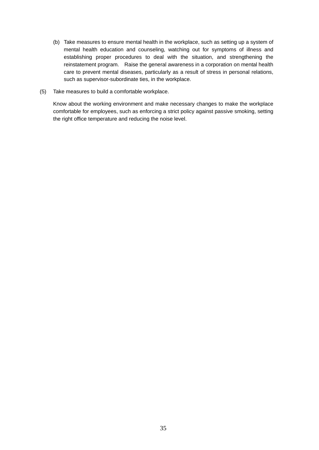- (b) Take measures to ensure mental health in the workplace, such as setting up a system of mental health education and counseling, watching out for symptoms of illness and establishing proper procedures to deal with the situation, and strengthening the reinstatement program. Raise the general awareness in a corporation on mental health care to prevent mental diseases, particularly as a result of stress in personal relations, such as supervisor-subordinate ties, in the workplace.
- (5) Take measures to build a comfortable workplace.

Know about the working environment and make necessary changes to make the workplace comfortable for employees, such as enforcing a strict policy against passive smoking, setting the right office temperature and reducing the noise level.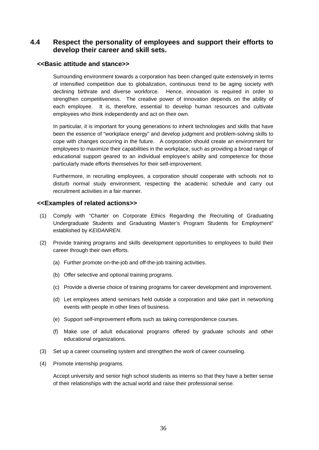## **4.4 Respect the personality of employees and support their efforts to develop their career and skill sets.**

### **<<Basic attitude and stance>>**

Surrounding environment towards a corporation has been changed quite extensively in terms of intensified competition due to globalization, continuous trend to be aging society with declining birthrate and diverse workforce. Hence, innovation is required in order to strengthen competitiveness. The creative power of innovation depends on the ability of each employee. It is, therefore, essential to develop human resources and cultivate employees who think independently and act on their own.

In particular, it is important for young generations to inherit technologies and skills that have been the essence of "workplace energy" and develop judgment and problem-solving skills to cope with changes occurring in the future. A corporation should create an environment for employees to maximize their capabilities in the workplace, such as providing a broad range of educational support geared to an individual employee's ability and competence for those particularly made efforts themselves for their self-improvement.

Furthermore, in recruiting employees, a corporation should cooperate with schools not to disturb normal study environment, respecting the academic schedule and carry out recruitment activities in a fair manner.

### **<<Examples of related actions>>**

- (1) Comply with "Charter on Corporate Ethics Regarding the Recruiting of Graduating Undergraduate Students and Graduating Master's Program Students for Employment" established by *KEIDANREN*.
- (2) Provide training programs and skills development opportunities to employees to build their career through their own efforts.
	- (a) Further promote on-the-job and off-the-job training activities.
	- (b) Offer selective and optional training programs.
	- (c) Provide a diverse choice of training programs for career development and improvement.
	- (d) Let employees attend seminars held outside a corporation and take part in networking events with people in other lines of business.
	- (e) Support self-improvement efforts such as taking correspondence courses.
	- (f) Make use of adult educational programs offered by graduate schools and other educational organizations.
- (3) Set up a career counseling system and strengthen the work of career counseling.
- (4) Promote internship programs.

Accept university and senior high school students as interns so that they have a better sense of their relationships with the actual world and raise their professional sense.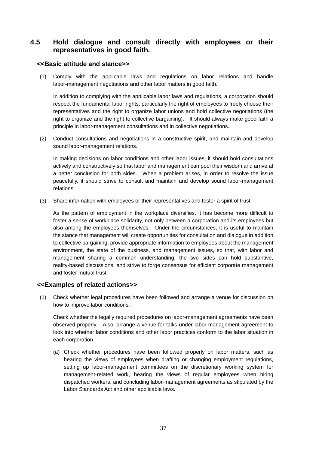# **4.5 Hold dialogue and consult directly with employees or their representatives in good faith.**

### **<<Basic attitude and stance>>**

(1) Comply with the applicable laws and regulations on labor relations and handle labor-management negotiations and other labor matters in good faith.

In addition to complying with the applicable labor laws and regulations, a corporation should respect the fundamental labor rights, particularly the right of employees to freely choose their representatives and the right to organize labor unions and hold collective negotiations (the right to organize and the right to collective bargaining). It should always make good faith a principle in labor-management consultations and in collective negotiations.

(2) Conduct consultations and negotiations in a constructive spirit, and maintain and develop sound labor-management relations.

In making decisions on labor conditions and other labor issues, it should hold consultations actively and constructively so that labor and management can pool their wisdom and arrive at a better conclusion for both sides. When a problem arises, in order to resolve the issue peacefully, it should strive to consult and maintain and develop sound labor-management relations.

(3) Share information with employees or their representatives and foster a spirit of trust.

As the pattern of employment in the workplace diversifies, it has become more difficult to foster a sense of workplace solidarity, not only between a corporation and its employees but also among the employees themselves. Under the circumstances, it is useful to maintain the stance that management will create opportunities for consultation and dialogue in addition to collective bargaining, provide appropriate information to employees about the management environment, the state of the business, and management issues, so that, with labor and management sharing a common understanding, the two sides can hold substantive, reality-based discussions, and strive to forge consensus for efficient corporate management and foster mutual trust.

### **<<Examples of related actions>>**

(1) Check whether legal procedures have been followed and arrange a venue for discussion on how to improve labor conditions.

Check whether the legally required procedures on labor-management agreements have been observed properly. Also, arrange a venue for talks under labor-management agreement to look into whether labor conditions and other labor practices conform to the labor situation in each corporation.

(a) Check whether procedures have been followed properly on labor matters, such as hearing the views of employees when drafting or changing employment regulations, setting up labor-management committees on the discretionary working system for management-related work, hearing the views of regular employees when hiring dispatched workers, and concluding labor-management agreements as stipulated by the Labor Standards Act and other applicable laws.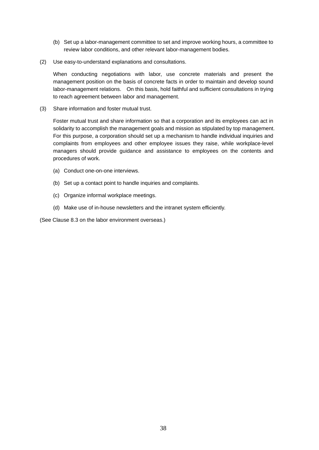- (b) Set up a labor-management committee to set and improve working hours, a committee to review labor conditions, and other relevant labor-management bodies.
- (2) Use easy-to-understand explanations and consultations.

When conducting negotiations with labor, use concrete materials and present the management position on the basis of concrete facts in order to maintain and develop sound labor-management relations. On this basis, hold faithful and sufficient consultations in trying to reach agreement between labor and management.

(3) Share information and foster mutual trust.

Foster mutual trust and share information so that a corporation and its employees can act in solidarity to accomplish the management goals and mission as stipulated by top management. For this purpose, a corporation should set up a mechanism to handle individual inquiries and complaints from employees and other employee issues they raise, while workplace-level managers should provide guidance and assistance to employees on the contents and procedures of work.

- (a) Conduct one-on-one interviews.
- (b) Set up a contact point to handle inquiries and complaints.
- (c) Organize informal workplace meetings.
- (d) Make use of in-house newsletters and the intranet system efficiently.

(See Clause 8.3 on the labor environment overseas.)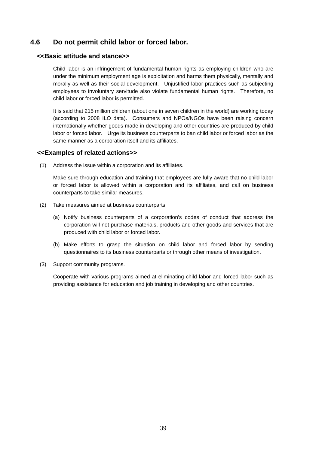# **4.6 Do not permit child labor or forced labor.**

### **<<Basic attitude and stance>>**

Child labor is an infringement of fundamental human rights as employing children who are under the minimum employment age is exploitation and harms them physically, mentally and morally as well as their social development. Unjustified labor practices such as subjecting employees to involuntary servitude also violate fundamental human rights. Therefore, no child labor or forced labor is permitted.

It is said that 215 million children (about one in seven children in the world) are working today (according to 2008 ILO data). Consumers and NPOs/NGOs have been raising concern internationally whether goods made in developing and other countries are produced by child labor or forced labor. Urge its business counterparts to ban child labor or forced labor as the same manner as a corporation itself and its affiliates.

### **<<Examples of related actions>>**

(1) Address the issue within a corporation and its affiliates.

Make sure through education and training that employees are fully aware that no child labor or forced labor is allowed within a corporation and its affiliates, and call on business counterparts to take similar measures.

- (2) Take measures aimed at business counterparts.
	- (a) Notify business counterparts of a corporation's codes of conduct that address the corporation will not purchase materials, products and other goods and services that are produced with child labor or forced labor.
	- (b) Make efforts to grasp the situation on child labor and forced labor by sending questionnaires to its business counterparts or through other means of investigation.
- (3) Support community programs.

Cooperate with various programs aimed at eliminating child labor and forced labor such as providing assistance for education and job training in developing and other countries.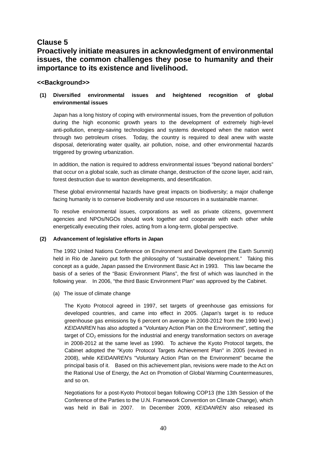# **Clause 5**

**Proactively initiate measures in acknowledgment of environmental issues, the common challenges they pose to humanity and their importance to its existence and livelihood.** 

### **<<Background>>**

### **(1) Diversified environmental issues and heightened recognition of global environmental issues**

Japan has a long history of coping with environmental issues, from the prevention of pollution during the high economic growth years to the development of extremely high-level anti-pollution, energy-saving technologies and systems developed when the nation went through two petroleum crises. Today, the country is required to deal anew with waste disposal, deteriorating water quality, air pollution, noise, and other environmental hazards triggered by growing urbanization.

In addition, the nation is required to address environmental issues "beyond national borders" that occur on a global scale, such as climate change, destruction of the ozone layer, acid rain, forest destruction due to wanton developments, and desertification.

These global environmental hazards have great impacts on biodiversity; a major challenge facing humanity is to conserve biodiversity and use resources in a sustainable manner.

To resolve environmental issues, corporations as well as private citizens, government agencies and NPOs/NGOs should work together and cooperate with each other while energetically executing their roles, acting from a long-term, global perspective.

#### **(2) Advancement of legislative efforts in Japan**

The 1992 United Nations Conference on Environment and Development (the Earth Summit) held in Rio de Janeiro put forth the philosophy of "sustainable development." Taking this concept as a guide, Japan passed the Environment Basic Act in 1993. This law became the basis of a series of the "Basic Environment Plans", the first of which was launched in the following year. In 2006, "the third Basic Environment Plan" was approved by the Cabinet.

(a) The issue of climate change

The Kyoto Protocol agreed in 1997, set targets of greenhouse gas emissions for developed countries, and came into effect in 2005. (Japan's target is to reduce greenhouse gas emissions by 6 percent on average in 2008-2012 from the 1990 level.) *KEIDANREN* has also adopted a "Voluntary Action Plan on the Environment", setting the target of  $CO<sub>2</sub>$  emissions for the industrial and energy transformation sectors on average in 2008-2012 at the same level as 1990. To achieve the Kyoto Protocol targets, the Cabinet adopted the "Kyoto Protocol Targets Achievement Plan" in 2005 (revised in 2008), while *KEIDANREN*'s "Voluntary Action Plan on the Environment" became the principal basis of it. Based on this achievement plan, revisions were made to the Act on the Rational Use of Energy, the Act on Promotion of Global Warming Countermeasures, and so on.

Negotiations for a post-Kyoto Protocol began following COP13 (the 13th Session of the Conference of the Parties to the U.N. Framework Convention on Climate Change), which was held in Bali in 2007. In December 2009, *KEIDANREN* also released its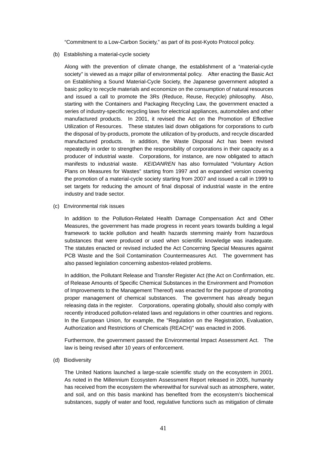"Commitment to a Low-Carbon Society," as part of its post-Kyoto Protocol policy.

(b) Establishing a material-cycle society

Along with the prevention of climate change, the establishment of a "material-cycle society" is viewed as a major pillar of environmental policy. After enacting the Basic Act on Establishing a Sound Material-Cycle Society, the Japanese government adopted a basic policy to recycle materials and economize on the consumption of natural resources and issued a call to promote the 3Rs (Reduce, Reuse, Recycle) philosophy. Also, starting with the Containers and Packaging Recycling Law, the government enacted a series of industry-specific recycling laws for electrical appliances, automobiles and other manufactured products. In 2001, it revised the Act on the Promotion of Effective Utilization of Resources. These statutes laid down obligations for corporations to curb the disposal of by-products, promote the utilization of by-products, and recycle discarded manufactured products. In addition, the Waste Disposal Act has been revised repeatedly in order to strengthen the responsibility of corporations in their capacity as a producer of industrial waste. Corporations, for instance, are now obligated to attach manifests to industrial waste. *KEIDANREN* has also formulated "Voluntary Action Plans on Measures for Wastes" starting from 1997 and an expanded version covering the promotion of a material-cycle society starting from 2007 and issued a call in 1999 to set targets for reducing the amount of final disposal of industrial waste in the entire industry and trade sector.

(c) Environmental risk issues

In addition to the Pollution-Related Health Damage Compensation Act and Other Measures, the government has made progress in recent years towards building a legal framework to tackle pollution and health hazards stemming mainly from hazardous substances that were produced or used when scientific knowledge was inadequate. The statutes enacted or revised included the Act Concerning Special Measures against PCB Waste and the Soil Contamination Countermeasures Act. The government has also passed legislation concerning asbestos-related problems.

In addition, the Pollutant Release and Transfer Register Act (the Act on Confirmation, etc. of Release Amounts of Specific Chemical Substances in the Environment and Promotion of Improvements to the Management Thereof) was enacted for the purpose of promoting proper management of chemical substances. The government has already begun releasing data in the register. Corporations, operating globally, should also comply with recently introduced pollution-related laws and regulations in other countries and regions. In the European Union, for example, the "Regulation on the Registration, Evaluation, Authorization and Restrictions of Chemicals (REACH)" was enacted in 2006.

Furthermore, the government passed the Environmental Impact Assessment Act. The law is being revised after 10 years of enforcement.

(d) Biodiversity

The United Nations launched a large-scale scientific study on the ecosystem in 2001. As noted in the Millennium Ecosystem Assessment Report released in 2005, humanity has received from the ecosystem the wherewithal for survival such as atmosphere, water, and soil, and on this basis mankind has benefited from the ecosystem's biochemical substances, supply of water and food, regulative functions such as mitigation of climate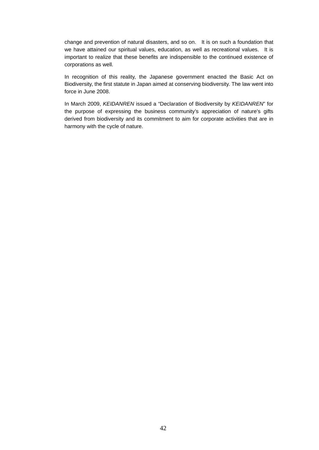change and prevention of natural disasters, and so on. It is on such a foundation that we have attained our spiritual values, education, as well as recreational values. It is important to realize that these benefits are indispensible to the continued existence of corporations as well.

In recognition of this reality, the Japanese government enacted the Basic Act on Biodiversity, the first statute in Japan aimed at conserving biodiversity. The law went into force in June 2008.

In March 2009, *KEIDANREN* issued a "Declaration of Biodiversity by *KEIDANREN*" for the purpose of expressing the business community's appreciation of nature's gifts derived from biodiversity and its commitment to aim for corporate activities that are in harmony with the cycle of nature.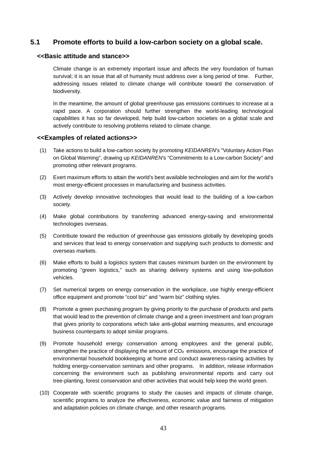# **5.1 Promote efforts to build a low-carbon society on a global scale.**

### **<<Basic attitude and stance>>**

Climate change is an extremely important issue and affects the very foundation of human survival; it is an issue that all of humanity must address over a long period of time. Further, addressing issues related to climate change will contribute toward the conservation of biodiversity.

In the meantime, the amount of global greenhouse gas emissions continues to increase at a rapid pace. A corporation should further strengthen the world-leading technological capabilities it has so far developed, help build low-carbon societies on a global scale and actively contribute to resolving problems related to climate change.

- (1) Take actions to build a low-carbon society by promoting *KEIDANREN*'s "Voluntary Action Plan on Global Warming", drawing up *KEIDANREN*'s "Commitments to a Low-carbon Society" and promoting other relevant programs.
- (2) Exert maximum efforts to attain the world's best available technologies and aim for the world's most energy-efficient processes in manufacturing and business activities.
- (3) Actively develop innovative technologies that would lead to the building of a low-carbon society.
- (4) Make global contributions by transferring advanced energy-saving and environmental technologies overseas.
- (5) Contribute toward the reduction of greenhouse gas emissions globally by developing goods and services that lead to energy conservation and supplying such products to domestic and overseas markets.
- (6) Make efforts to build a logistics system that causes minimum burden on the environment by promoting "green logistics," such as sharing delivery systems and using low-pollution vehicles.
- (7) Set numerical targets on energy conservation in the workplace, use highly energy-efficient office equipment and promote "cool biz" and "warm biz" clothing styles.
- (8) Promote a green purchasing program by giving priority to the purchase of products and parts that would lead to the prevention of climate change and a green investment and loan program that gives priority to corporations which take anti-global warming measures, and encourage business counterparts to adopt similar programs.
- (9) Promote household energy conservation among employees and the general public, strengthen the practice of displaying the amount of  $CO<sub>2</sub>$  emissions, encourage the practice of environmental household bookkeeping at home and conduct awareness-raising activities by holding energy-conservation seminars and other programs. In addition, release information concerning the environment such as publishing environmental reports and carry out tree-planting, forest conservation and other activities that would help keep the world green.
- (10) Cooperate with scientific programs to study the causes and impacts of climate change, scientific programs to analyze the effectiveness, economic value and fairness of mitigation and adaptation policies on climate change, and other research programs.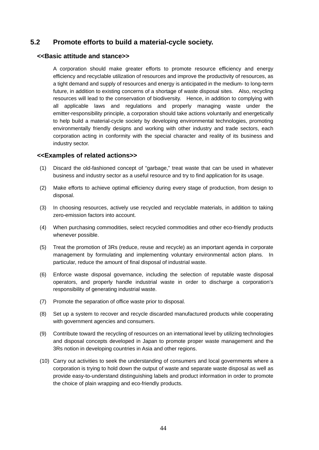# **5.2 Promote efforts to build a material-cycle society.**

### **<<Basic attitude and stance>>**

A corporation should make greater efforts to promote resource efficiency and energy efficiency and recyclable utilization of resources and improve the productivity of resources, as a tight demand and supply of resources and energy is anticipated in the medium- to long-term future, in addition to existing concerns of a shortage of waste disposal sites. Also, recycling resources will lead to the conservation of biodiversity. Hence, in addition to complying with all applicable laws and regulations and properly managing waste under the emitter-responsibility principle, a corporation should take actions voluntarily and energetically to help build a material-cycle society by developing environmental technologies, promoting environmentally friendly designs and working with other industry and trade sectors, each corporation acting in conformity with the special character and reality of its business and industry sector.

- (1) Discard the old-fashioned concept of "garbage," treat waste that can be used in whatever business and industry sector as a useful resource and try to find application for its usage.
- (2) Make efforts to achieve optimal efficiency during every stage of production, from design to disposal.
- (3) In choosing resources, actively use recycled and recyclable materials, in addition to taking zero-emission factors into account.
- (4) When purchasing commodities, select recycled commodities and other eco-friendly products whenever possible.
- (5) Treat the promotion of 3Rs (reduce, reuse and recycle) as an important agenda in corporate management by formulating and implementing voluntary environmental action plans. In particular, reduce the amount of final disposal of industrial waste.
- (6) Enforce waste disposal governance, including the selection of reputable waste disposal operators, and properly handle industrial waste in order to discharge a corporation's responsibility of generating industrial waste.
- (7) Promote the separation of office waste prior to disposal.
- (8) Set up a system to recover and recycle discarded manufactured products while cooperating with government agencies and consumers.
- (9) Contribute toward the recycling of resources on an international level by utilizing technologies and disposal concepts developed in Japan to promote proper waste management and the 3Rs notion in developing countries in Asia and other regions.
- (10) Carry out activities to seek the understanding of consumers and local governments where a corporation is trying to hold down the output of waste and separate waste disposal as well as provide easy-to-understand distinguishing labels and product information in order to promote the choice of plain wrapping and eco-friendly products.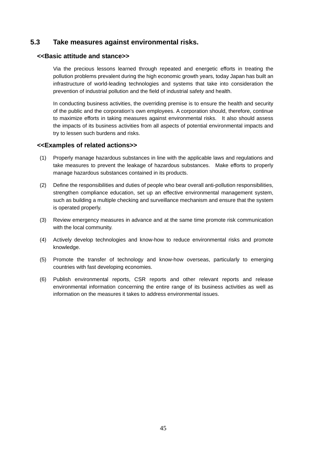# **5.3 Take measures against environmental risks.**

### **<<Basic attitude and stance>>**

Via the precious lessons learned through repeated and energetic efforts in treating the pollution problems prevalent during the high economic growth years, today Japan has built an infrastructure of world-leading technologies and systems that take into consideration the prevention of industrial pollution and the field of industrial safety and health.

In conducting business activities, the overriding premise is to ensure the health and security of the public and the corporation's own employees. A corporation should, therefore, continue to maximize efforts in taking measures against environmental risks. It also should assess the impacts of its business activities from all aspects of potential environmental impacts and try to lessen such burdens and risks.

- (1) Properly manage hazardous substances in line with the applicable laws and regulations and take measures to prevent the leakage of hazardous substances. Make efforts to properly manage hazardous substances contained in its products.
- (2) Define the responsibilities and duties of people who bear overall anti-pollution responsibilities, strengthen compliance education, set up an effective environmental management system, such as building a multiple checking and surveillance mechanism and ensure that the system is operated properly.
- (3) Review emergency measures in advance and at the same time promote risk communication with the local community.
- (4) Actively develop technologies and know-how to reduce environmental risks and promote knowledge.
- (5) Promote the transfer of technology and know-how overseas, particularly to emerging countries with fast developing economies.
- (6) Publish environmental reports, CSR reports and other relevant reports and release environmental information concerning the entire range of its business activities as well as information on the measures it takes to address environmental issues.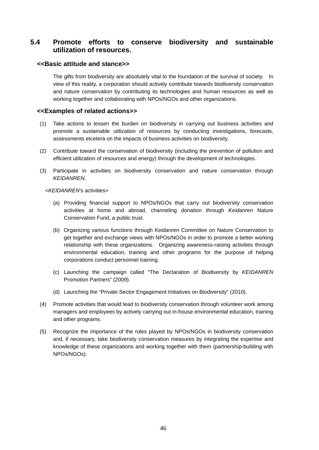# **5.4 Promote efforts to conserve biodiversity and sustainable utilization of resources.**

### **<<Basic attitude and stance>>**

The gifts from biodiversity are absolutely vital to the foundation of the survival of society. In view of this reality, a corporation should actively contribute towards biodiversity conservation and nature conservation by contributing its technologies and human resources as well as working together and collaborating with NPOs/NGOs and other organizations.

### **<<Examples of related actions>>**

- (1) Take actions to lessen the burden on biodiversity in carrying out business activities and promote a sustainable utilization of resources by conducting investigations, forecasts, assessments etcetera on the impacts of business activities on biodiversity.
- (2) Contribute toward the conservation of biodiversity (including the prevention of pollution and efficient utilization of resources and energy) through the development of technologies.
- (3) Participate in activities on biodiversity conservation and nature conservation through *KEIDANREN*.

<*KEIDANREN*'s activities>

- (a) Providing financial support to NPOs/NGOs that carry out biodiversity conservation activities at home and abroad, channeling donation through *Keidanren* Nature Conservation Fund, a public trust.
- (b) Organizing various functions through *Keidanren* Committee on Nature Conservation to get together and exchange views with NPOs/NGOs in order to promote a better working relationship with these organizations. Organizing awareness-raising activities through environmental education, training and other programs for the purpose of helping corporations conduct personnel training.
- (c) Launching the campaign called "The Declaration of Biodiversity by *KEIDANREN* Promotion Partners" (2009).
- (d) Launching the "Private-Sector Engagement Initiatives on Biodiversity" (2010).
- (4) Promote activities that would lead to biodiversity conservation through volunteer work among managers and employees by actively carrying out in-house environmental education, training and other programs.
- (5) Recognize the importance of the roles played by NPOs/NGOs in biodiversity conservation and, if necessary, take biodiversity conservation measures by integrating the expertise and knowledge of these organizations and working together with them (partnership-building with NPOs/NGOs).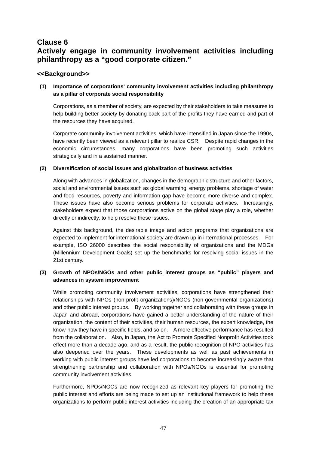# **Clause 6 Actively engage in community involvement activities including philanthropy as a "good corporate citizen."**

### **<<Background>>**

### **(1) Importance of corporations' community involvement activities including philanthropy as a pillar of corporate social responsibility**

Corporations, as a member of society, are expected by their stakeholders to take measures to help building better society by donating back part of the profits they have earned and part of the resources they have acquired.

Corporate community involvement activities, which have intensified in Japan since the 1990s, have recently been viewed as a relevant pillar to realize CSR. Despite rapid changes in the economic circumstances, many corporations have been promoting such activities strategically and in a sustained manner.

#### **(2) Diversification of social issues and globalization of business activities**

Along with advances in globalization, changes in the demographic structure and other factors, social and environmental issues such as global warming, energy problems, shortage of water and food resources, poverty and information gap have become more diverse and complex. These issues have also become serious problems for corporate activities. Increasingly, stakeholders expect that those corporations active on the global stage play a role, whether directly or indirectly, to help resolve these issues.

Against this background, the desirable image and action programs that organizations are expected to implement for international society are drawn up in international processes. For example, ISO 26000 describes the social responsibility of organizations and the MDGs (Millennium Development Goals) set up the benchmarks for resolving social issues in the 21st century.

### **(3) Growth of NPOs/NGOs and other public interest groups as "public" players and advances in system improvement**

While promoting community involvement activities, corporations have strengthened their relationships with NPOs (non-profit organizations)/NGOs (non-governmental organizations) and other public interest groups. By working together and collaborating with these groups in Japan and abroad, corporations have gained a better understanding of the nature of their organization, the content of their activities, their human resources, the expert knowledge, the know-how they have in specific fields, and so on. A more effective performance has resulted from the collaboration. Also, in Japan, the Act to Promote Specified Nonprofit Activities took effect more than a decade ago, and as a result, the public recognition of NPO activities has also deepened over the years. These developments as well as past achievements in working with public interest groups have led corporations to become increasingly aware that strengthening partnership and collaboration with NPOs/NGOs is essential for promoting community involvement activities.

Furthermore, NPOs/NGOs are now recognized as relevant key players for promoting the public interest and efforts are being made to set up an institutional framework to help these organizations to perform public interest activities including the creation of an appropriate tax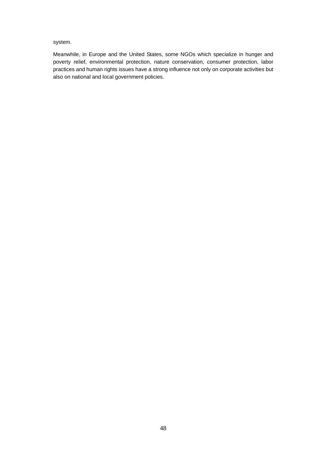system.

Meanwhile, in Europe and the United States, some NGOs which specialize in hunger and poverty relief, environmental protection, nature conservation, consumer protection, labor practices and human rights issues have a strong influence not only on corporate activities but also on national and local government policies.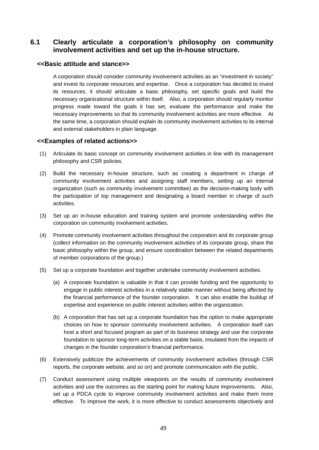# **6.1 Clearly articulate a corporation's philosophy on community involvement activities and set up the in-house structure.**

### **<<Basic attitude and stance>>**

A corporation should consider community involvement activities as an "investment in society" and invest its corporate resources and expertise. Once a corporation has decided to invest its resources, it should articulate a basic philosophy, set specific goals and build the necessary organizational structure within itself. Also, a corporation should regularly monitor progress made toward the goals it has set, evaluate the performance and make the necessary improvements so that its community involvement activities are more effective. At the same time, a corporation should explain its community involvement activities to its internal and external stakeholders in plain language.

- (1) Articulate its basic concept on community involvement activities in line with its management philosophy and CSR policies.
- (2) Build the necessary in-house structure, such as creating a department in charge of community involvement activities and assigning staff members, setting up an internal organization (such as community involvement committee) as the decision-making body with the participation of top management and designating a board member in charge of such activities.
- (3) Set up an in-house education and training system and promote understanding within the corporation on community involvement activities.
- (4) Promote community involvement activities throughout the corporation and its corporate group (collect information on the community involvement activities of its corporate group, share the basic philosophy within the group, and ensure coordination between the related departments of member corporations of the group.)
- (5) Set up a corporate foundation and together undertake community involvement activities.
	- (a) A corporate foundation is valuable in that it can provide funding and the opportunity to engage in public interest activities in a relatively stable manner without being affected by the financial performance of the founder corporation. It can also enable the buildup of expertise and experience on public interest activities within the organization.
	- (b) A corporation that has set up a corporate foundation has the option to make appropriate choices on how to sponsor community involvement activities. A corporation itself can host a short and focused program as part of its business strategy and use the corporate foundation to sponsor long-term activities on a stable basis, insulated from the impacts of changes in the founder corporation's financial performance.
- (6) Extensively publicize the achievements of community involvement activities (through CSR reports, the corporate website, and so on) and promote communication with the public.
- (7) Conduct assessment using multiple viewpoints on the results of community involvement activities and use the outcomes as the starting point for making future improvements. Also, set up a PDCA cycle to improve community involvement activities and make them more effective. To improve the work, it is more effective to conduct assessments objectively and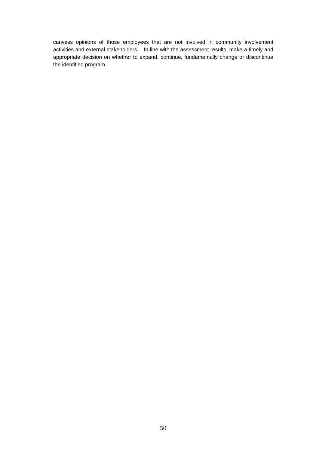canvass opinions of those employees that are not involved in community involvement activities and external stakeholders. In line with the assessment results, make a timely and appropriate decision on whether to expand, continue, fundamentally change or discontinue the identified program.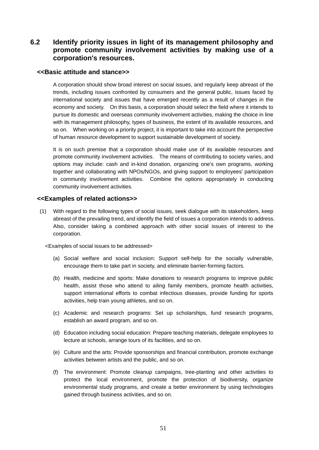# **6.2 Identify priority issues in light of its management philosophy and promote community involvement activities by making use of a corporation's resources.**

### **<<Basic attitude and stance>>**

A corporation should show broad interest on social issues, and regularly keep abreast of the trends, including issues confronted by consumers and the general public, issues faced by international society and issues that have emerged recently as a result of changes in the economy and society. On this basis, a corporation should select the field where it intends to pursue its domestic and overseas community involvement activities, making the choice in line with its management philosophy, types of business, the extent of its available resources, and so on. When working on a priority project, it is important to take into account the perspective of human resource development to support sustainable development of society.

It is on such premise that a corporation should make use of its available resources and promote community involvement activities. The means of contributing to society varies, and options may include: cash and in-kind donation, organizing one's own programs, working together and collaborating with NPOs/NGOs, and giving support to employees' participation in community involvement activities. Combine the options appropriately in conducting community involvement activities.

### **<<Examples of related actions>>**

(1) With regard to the following types of social issues, seek dialogue with its stakeholders, keep abreast of the prevailing trend, and identify the field of issues a corporation intends to address. Also, consider taking a combined approach with other social issues of interest to the corporation.

<Examples of social issues to be addressed>

- (a) Social welfare and social inclusion: Support self-help for the socially vulnerable, encourage them to take part in society, and eliminate barrier-forming factors.
- (b) Health, medicine and sports: Make donations to research programs to improve public health, assist those who attend to ailing family members, promote health activities, support international efforts to combat infectious diseases, provide funding for sports activities, help train young athletes, and so on.
- (c) Academic and research programs: Set up scholarships, fund research programs, establish an award program, and so on.
- (d) Education including social education: Prepare teaching materials, delegate employees to lecture at schools, arrange tours of its facilities, and so on.
- (e) Culture and the arts: Provide sponsorships and financial contribution, promote exchange activities between artists and the public, and so on.
- (f) The environment: Promote cleanup campaigns, tree-planting and other activities to protect the local environment, promote the protection of biodiversity, organize environmental study programs, and create a better environment by using technologies gained through business activities, and so on.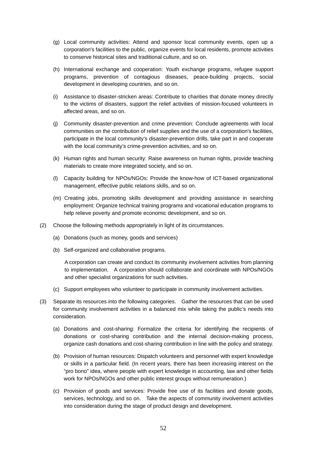- (g) Local community activities: Attend and sponsor local community events, open up a corporation's facilities to the public, organize events for local residents, promote activities to conserve historical sites and traditional culture, and so on.
- (h) International exchange and cooperation: Youth exchange programs, refugee support programs, prevention of contagious diseases, peace-building projects, social development in developing countries, and so on.
- (i) Assistance to disaster-stricken areas: Contribute to charities that donate money directly to the victims of disasters, support the relief activities of mission-focused volunteers in affected areas, and so on.
- (j) Community disaster-prevention and crime prevention: Conclude agreements with local communities on the contribution of relief supplies and the use of a corporation's facilities, participate in the local community's disaster-prevention drills, take part in and cooperate with the local community's crime-prevention activities, and so on.
- (k) Human rights and human security: Raise awareness on human rights, provide teaching materials to create more integrated society, and so on.
- (l) Capacity building for NPOs/NGOs: Provide the know-how of ICT-based organizational management, effective public relations skills, and so on.
- (m) Creating jobs, promoting skills development and providing assistance in searching employment: Organize technical training programs and vocational education programs to help relieve poverty and promote economic development, and so on.
- (2) Choose the following methods appropriately in light of its circumstances.
	- (a) Donations (such as money, goods and services)
	- (b) Self-organized and collaborative programs.

A corporation can create and conduct its community involvement activities from planning to implementation. A corporation should collaborate and coordinate with NPOs/NGOs and other specialist organizations for such activities.

- (c) Support employees who volunteer to participate in community involvement activities.
- (3) Separate its resources into the following categories. Gather the resources that can be used for community involvement activities in a balanced mix while taking the public's needs into consideration.
	- (a) Donations and cost-sharing: Formalize the criteria for identifying the recipients of donations or cost-sharing contribution and the internal decision-making process, organize cash donations and cost-sharing contribution in line with the policy and strategy.
	- (b) Provision of human resources: Dispatch volunteers and personnel with expert knowledge or skills in a particular field. (In recent years, there has been increasing interest on the "pro bono" idea, where people with expert knowledge in accounting, law and other fields work for NPOs/NGOs and other public interest groups without remuneration.)
	- (c) Provision of goods and services: Provide free use of its facilities and donate goods, services, technology, and so on. Take the aspects of community involvement activities into consideration during the stage of product design and development.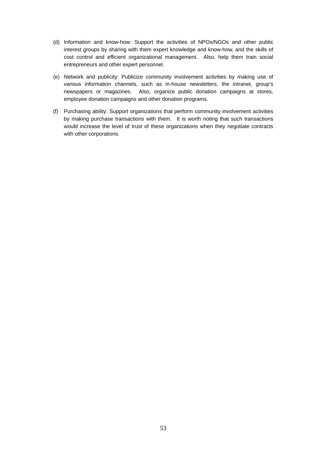- (d) Information and know-how: Support the activities of NPOs/NGOs and other public interest groups by sharing with them expert knowledge and know-how, and the skills of cost control and efficient organizational management. Also, help them train social entrepreneurs and other expert personnel.
- (e) Network and publicity: Publicize community involvement activities by making use of various information channels, such as in-house newsletters, the intranet, group's newspapers or magazines. Also, organize public donation campaigns at stores, employee donation campaigns and other donation programs.
- (f) Purchasing ability: Support organizations that perform community involvement activities by making purchase transactions with them. It is worth noting that such transactions would increase the level of trust of these organizations when they negotiate contracts with other corporations.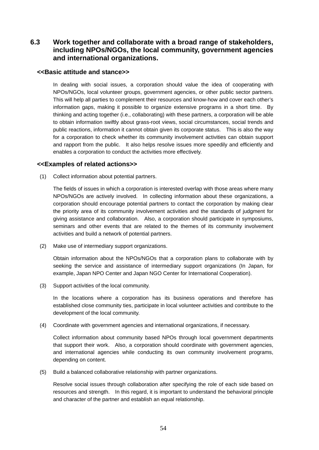# **6.3 Work together and collaborate with a broad range of stakeholders, including NPOs/NGOs, the local community, government agencies and international organizations.**

### **<<Basic attitude and stance>>**

In dealing with social issues, a corporation should value the idea of cooperating with NPOs/NGOs, local volunteer groups, government agencies, or other public sector partners. This will help all parties to complement their resources and know-how and cover each other's information gaps, making it possible to organize extensive programs in a short time. By thinking and acting together (i.e., collaborating) with these partners, a corporation will be able to obtain information swiftly about grass-root views, social circumstances, social trends and public reactions, information it cannot obtain given its corporate status. This is also the way for a corporation to check whether its community involvement activities can obtain support and rapport from the public. It also helps resolve issues more speedily and efficiently and enables a corporation to conduct the activities more effectively.

### **<<Examples of related actions>>**

(1) Collect information about potential partners.

The fields of issues in which a corporation is interested overlap with those areas where many NPOs/NGOs are actively involved. In collecting information about these organizations, a corporation should encourage potential partners to contact the corporation by making clear the priority area of its community involvement activities and the standards of judgment for giving assistance and collaboration. Also, a corporation should participate in symposiums, seminars and other events that are related to the themes of its community involvement activities and build a network of potential partners.

(2) Make use of intermediary support organizations.

Obtain information about the NPOs/NGOs that a corporation plans to collaborate with by seeking the service and assistance of intermediary support organizations (In Japan, for example, Japan NPO Center and Japan NGO Center for International Cooperation).

(3) Support activities of the local community.

In the locations where a corporation has its business operations and therefore has established close community ties, participate in local volunteer activities and contribute to the development of the local community.

(4) Coordinate with government agencies and international organizations, if necessary.

Collect information about community based NPOs through local government departments that support their work. Also, a corporation should coordinate with government agencies, and international agencies while conducting its own community involvement programs, depending on content.

(5) Build a balanced collaborative relationship with partner organizations.

Resolve social issues through collaboration after specifying the role of each side based on resources and strength. In this regard, it is important to understand the behavioral principle and character of the partner and establish an equal relationship.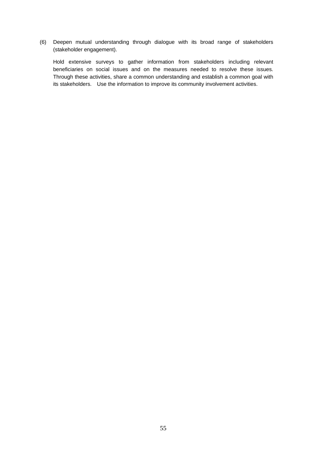(6) Deepen mutual understanding through dialogue with its broad range of stakeholders (stakeholder engagement).

Hold extensive surveys to gather information from stakeholders including relevant beneficiaries on social issues and on the measures needed to resolve these issues. Through these activities, share a common understanding and establish a common goal with its stakeholders. Use the information to improve its community involvement activities.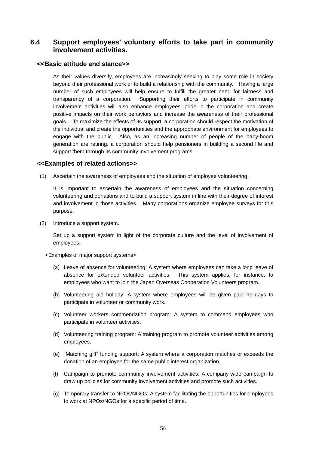## **6.4 Support employees' voluntary efforts to take part in community involvement activities.**

### **<<Basic attitude and stance>>**

As their values diversify, employees are increasingly seeking to play some role in society beyond their professional work or to build a relationship with the community. Having a large number of such employees will help ensure to fulfill the greater need for fairness and transparency of a corporation. Supporting their efforts to participate in community involvement activities will also enhance employees' pride in the corporation and create positive impacts on their work behaviors and increase the awareness of their professional goals. To maximize the effects of its support, a corporation should respect the motivation of the individual and create the opportunities and the appropriate environment for employees to engage with the public. Also, as an increasing number of people of the baby-boom generation are retiring, a corporation should help pensioners in building a second life and support them through its community involvement programs.

### **<<Examples of related actions>>**

(1) Ascertain the awareness of employees and the situation of employee volunteering.

It is important to ascertain the awareness of employees and the situation concerning volunteering and donations and to build a support system in line with their degree of interest and involvement in those activities. Many corporations organize employee surveys for this purpose.

(2) Introduce a support system.

Set up a support system in light of the corporate culture and the level of involvement of employees.

<Examples of major support systems>

- (a) Leave of absence for volunteering: A system where employees can take a long leave of absence for extended volunteer activities. This system applies, for instance, to employees who want to join the Japan Overseas Cooperation Volunteers program.
- (b) Volunteering aid holiday: A system where employees will be given paid holidays to participate in volunteer or community work.
- (c) Volunteer workers commendation program: A system to commend employees who participate in volunteer activities.
- (d) Volunteering training program: A training program to promote volunteer activities among employees.
- (e) "Matching gift" funding support: A system where a corporation matches or exceeds the donation of an employee for the same public interest organization.
- (f) Campaign to promote community involvement activities: A company-wide campaign to draw up policies for community involvement activities and promote such activities.
- (g) Temporary transfer to NPOs/NGOs: A system facilitating the opportunities for employees to work at NPOs/NGOs for a specific period of time.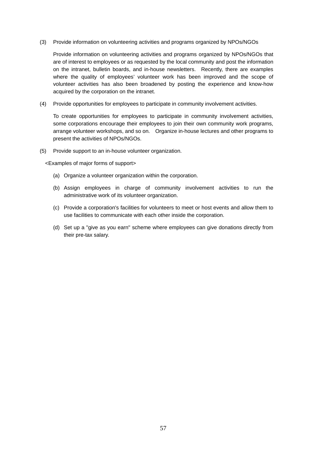(3) Provide information on volunteering activities and programs organized by NPOs/NGOs

Provide information on volunteering activities and programs organized by NPOs/NGOs that are of interest to employees or as requested by the local community and post the information on the intranet, bulletin boards, and in-house newsletters. Recently, there are examples where the quality of employees' volunteer work has been improved and the scope of volunteer activities has also been broadened by posting the experience and know-how acquired by the corporation on the intranet.

(4) Provide opportunities for employees to participate in community involvement activities.

To create opportunities for employees to participate in community involvement activities, some corporations encourage their employees to join their own community work programs, arrange volunteer workshops, and so on. Organize in-house lectures and other programs to present the activities of NPOs/NGOs.

(5) Provide support to an in-house volunteer organization.

<Examples of major forms of support>

- (a) Organize a volunteer organization within the corporation.
- (b) Assign employees in charge of community involvement activities to run the administrative work of its volunteer organization.
- (c) Provide a corporation's facilities for volunteers to meet or host events and allow them to use facilities to communicate with each other inside the corporation.
- (d) Set up a "give as you earn" scheme where employees can give donations directly from their pre-tax salary.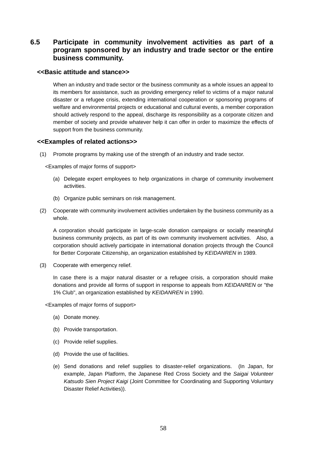## **6.5 Participate in community involvement activities as part of a program sponsored by an industry and trade sector or the entire business community.**

### **<<Basic attitude and stance>>**

When an industry and trade sector or the business community as a whole issues an appeal to its members for assistance, such as providing emergency relief to victims of a major natural disaster or a refugee crisis, extending international cooperation or sponsoring programs of welfare and environmental projects or educational and cultural events, a member corporation should actively respond to the appeal, discharge its responsibility as a corporate citizen and member of society and provide whatever help it can offer in order to maximize the effects of support from the business community.

### **<<Examples of related actions>>**

(1) Promote programs by making use of the strength of an industry and trade sector.

<Examples of major forms of support>

- (a) Delegate expert employees to help organizations in charge of community involvement activities.
- (b) Organize public seminars on risk management.
- (2) Cooperate with community involvement activities undertaken by the business community as a whole.

A corporation should participate in large-scale donation campaigns or socially meaningful business community projects, as part of its own community involvement activities. Also, a corporation should actively participate in international donation projects through the Council for Better Corporate Citizenship, an organization established by *KEIDANREN* in 1989.

(3) Cooperate with emergency relief.

In case there is a major natural disaster or a refugee crisis, a corporation should make donations and provide all forms of support in response to appeals from *KEIDANREN* or "the 1% Club", an organization established by *KEIDANREN* in 1990.

<Examples of major forms of support>

- (a) Donate money.
- (b) Provide transportation.
- (c) Provide relief supplies.
- (d) Provide the use of facilities.
- (e) Send donations and relief supplies to disaster-relief organizations. (In Japan, for example, Japan Platform, the Japanese Red Cross Society and the *Saigai Volunteer Katsudo Sien Project Kaigi* (Joint Committee for Coordinating and Supporting Voluntary Disaster Relief Activities)).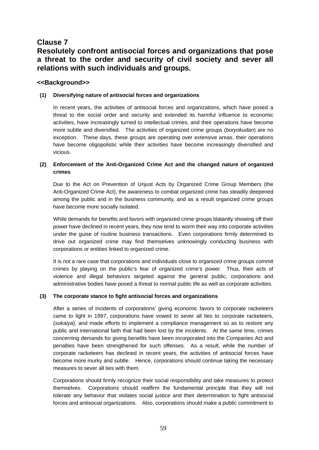# **Clause 7**

# **Resolutely confront antisocial forces and organizations that pose a threat to the order and security of civil society and sever all relations with such individuals and groups.**

## **<<Background>>**

### **(1) Diversifying nature of antisocial forces and organizations**

In recent years, the activities of antisocial forces and organizations, which have posed a threat to the social order and security and extended its harmful influence to economic activities, have increasingly turned to intellectual crimes, and their operations have become more subtle and diversified. The activities of organized crime groups (*boryokudan*) are no exception. These days, these groups are operating over extensive areas, their operations have become oligopolistic while their activities have become increasingly diversified and vicious.

## **(2) Enforcement of the Anti-Organized Crime Act and the changed nature of organized crimes**

Due to the Act on Prevention of Unjust Acts by Organized Crime Group Members (the Anti-Organized Crime Act), the awareness to combat organized crime has steadily deepened among the public and in the business community, and as a result organized crime groups have become more socially isolated.

While demands for benefits and favors with organized crime groups blatantly showing off their power have declined in recent years, they now tend to worm their way into corporate activities under the guise of routine business transactions. Even corporations firmly determined to drive out organized crime may find themselves unknowingly conducting business with corporations or entities linked to organized crime.

It is not a rare case that corporations and individuals close to organized crime groups commit crimes by playing on the public's fear of organized crime's power. Thus, their acts of violence and illegal behaviors targeted against the general public, corporations and administrative bodies have posed a threat to normal public life as well as corporate activities.

#### **(3) The corporate stance to fight antisocial forces and organizations**

After a series of incidents of corporations' giving economic favors to corporate racketeers came to light in 1997, corporations have vowed to sever all ties to corporate racketeers, (*sokaiya*), and made efforts to implement a compliance management so as to restore any public and international faith that had been lost by the incidents. At the same time, crimes concerning demands for giving benefits have been incorporated into the Companies Act and penalties have been strengthened for such offenses. As a result, while the number of corporate racketeers has declined in recent years, the activities of antisocial forces have become more murky and subtle. Hence, corporations should continue taking the necessary measures to sever all ties with them.

Corporations should firmly recognize their social responsibility and take measures to protect themselves. Corporations should reaffirm the fundamental principle that they will not tolerate any behavior that violates social justice and their determination to fight antisocial forces and antisocial organizations. Also, corporations should make a public commitment to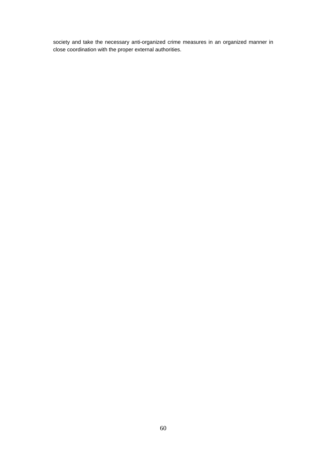society and take the necessary anti-organized crime measures in an organized manner in close coordination with the proper external authorities.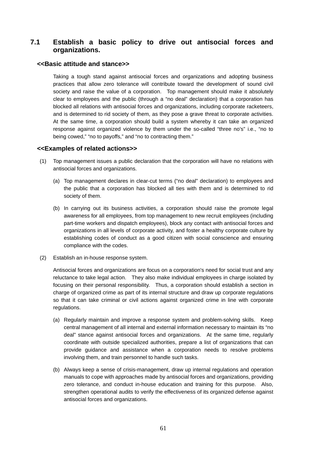## **7.1 Establish a basic policy to drive out antisocial forces and organizations.**

### **<<Basic attitude and stance>>**

Taking a tough stand against antisocial forces and organizations and adopting business practices that allow zero tolerance will contribute toward the development of sound civil society and raise the value of a corporation. Top management should make it absolutely clear to employees and the public (through a "no deal" declaration) that a corporation has blocked all relations with antisocial forces and organizations, including corporate racketeers, and is determined to rid society of them, as they pose a grave threat to corporate activities. At the same time, a corporation should build a system whereby it can take an organized response against organized violence by them under the so-called "three no's" i.e., "no to being cowed," "no to payoffs," and "no to contracting them."

## **<<Examples of related actions>>**

- (1) Top management issues a public declaration that the corporation will have no relations with antisocial forces and organizations.
	- (a) Top management declares in clear-cut terms ("no deal" declaration) to employees and the public that a corporation has blocked all ties with them and is determined to rid society of them.
	- (b) In carrying out its business activities, a corporation should raise the promote legal awareness for all employees, from top management to new recruit employees (including part-time workers and dispatch employees), block any contact with antisocial forces and organizations in all levels of corporate activity, and foster a healthy corporate culture by establishing codes of conduct as a good citizen with social conscience and ensuring compliance with the codes.
- (2) Establish an in-house response system.

Antisocial forces and organizations are focus on a corporation's need for social trust and any reluctance to take legal action. They also make individual employees in charge isolated by focusing on their personal responsibility. Thus, a corporation should establish a section in charge of organized crime as part of its internal structure and draw up corporate regulations so that it can take criminal or civil actions against organized crime in line with corporate regulations.

- (a) Regularly maintain and improve a response system and problem-solving skills. Keep central management of all internal and external information necessary to maintain its "no deal" stance against antisocial forces and organizations. At the same time, regularly coordinate with outside specialized authorities, prepare a list of organizations that can provide guidance and assistance when a corporation needs to resolve problems involving them, and train personnel to handle such tasks.
- (b) Always keep a sense of crisis-management, draw up internal regulations and operation manuals to cope with approaches made by antisocial forces and organizations, providing zero tolerance, and conduct in-house education and training for this purpose. Also, strengthen operational audits to verify the effectiveness of its organized defense against antisocial forces and organizations.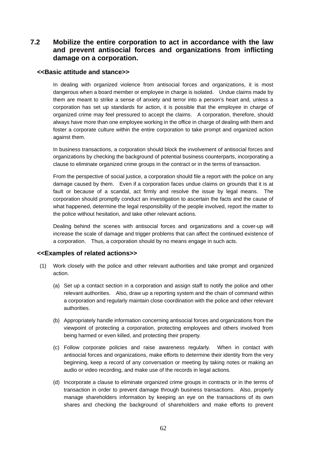## **7.2 Mobilize the entire corporation to act in accordance with the law and prevent antisocial forces and organizations from inflicting damage on a corporation.**

### **<<Basic attitude and stance>>**

In dealing with organized violence from antisocial forces and organizations, it is most dangerous when a board member or employee in charge is isolated. Undue claims made by them are meant to strike a sense of anxiety and terror into a person's heart and, unless a corporation has set up standards for action, it is possible that the employee in charge of organized crime may feel pressured to accept the claims. A corporation, therefore, should always have more than one employee working in the office in charge of dealing with them and foster a corporate culture within the entire corporation to take prompt and organized action against them.

In business transactions, a corporation should block the involvement of antisocial forces and organizations by checking the background of potential business counterparts, incorporating a clause to eliminate organized crime groups in the contract or in the terms of transaction.

From the perspective of social justice, a corporation should file a report with the police on any damage caused by them. Even if a corporation faces undue claims on grounds that it is at fault or because of a scandal, act firmly and resolve the issue by legal means. The corporation should promptly conduct an investigation to ascertain the facts and the cause of what happened, determine the legal responsibility of the people involved, report the matter to the police without hesitation, and take other relevant actions.

Dealing behind the scenes with antisocial forces and organizations and a cover-up will increase the scale of damage and trigger problems that can affect the continued existence of a corporation. Thus, a corporation should by no means engage in such acts.

- (1) Work closely with the police and other relevant authorities and take prompt and organized action.
	- (a) Set up a contact section in a corporation and assign staff to notify the police and other relevant authorities. Also, draw up a reporting system and the chain of command within a corporation and regularly maintain close coordination with the police and other relevant authorities.
	- (b) Appropriately handle information concerning antisocial forces and organizations from the viewpoint of protecting a corporation, protecting employees and others involved from being harmed or even killed, and protecting their property.
	- (c) Follow corporate policies and raise awareness regularly. When in contact with antisocial forces and organizations, make efforts to determine their identity from the very beginning, keep a record of any conversation or meeting by taking notes or making an audio or video recording, and make use of the records in legal actions.
	- (d) Incorporate a clause to eliminate organized crime groups in contracts or in the terms of transaction in order to prevent damage through business transactions. Also, properly manage shareholders information by keeping an eye on the transactions of its own shares and checking the background of shareholders and make efforts to prevent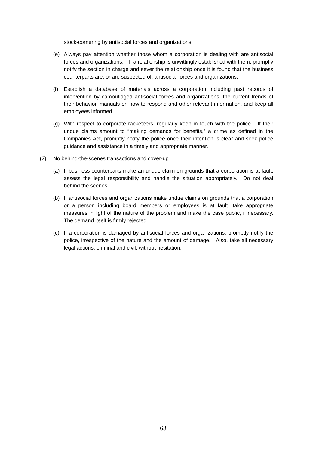stock-cornering by antisocial forces and organizations.

- (e) Always pay attention whether those whom a corporation is dealing with are antisocial forces and organizations. If a relationship is unwittingly established with them, promptly notify the section in charge and sever the relationship once it is found that the business counterparts are, or are suspected of, antisocial forces and organizations.
- (f) Establish a database of materials across a corporation including past records of intervention by camouflaged antisocial forces and organizations, the current trends of their behavior, manuals on how to respond and other relevant information, and keep all employees informed.
- (g) With respect to corporate racketeers, regularly keep in touch with the police. If their undue claims amount to "making demands for benefits," a crime as defined in the Companies Act, promptly notify the police once their intention is clear and seek police guidance and assistance in a timely and appropriate manner.
- (2) No behind-the-scenes transactions and cover-up.
	- (a) If business counterparts make an undue claim on grounds that a corporation is at fault, assess the legal responsibility and handle the situation appropriately. Do not deal behind the scenes.
	- (b) If antisocial forces and organizations make undue claims on grounds that a corporation or a person including board members or employees is at fault, take appropriate measures in light of the nature of the problem and make the case public, if necessary. The demand itself is firmly rejected.
	- (c) If a corporation is damaged by antisocial forces and organizations, promptly notify the police, irrespective of the nature and the amount of damage. Also, take all necessary legal actions, criminal and civil, without hesitation.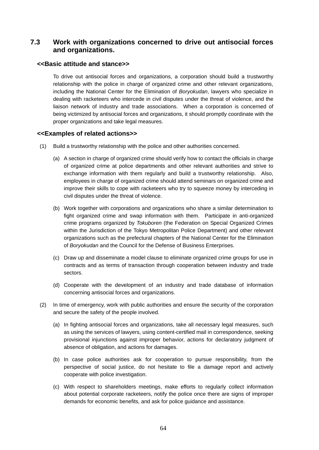## **7.3 Work with organizations concerned to drive out antisocial forces and organizations.**

### **<<Basic attitude and stance>>**

To drive out antisocial forces and organizations, a corporation should build a trustworthy relationship with the police in charge of organized crime and other relevant organizations, including the National Center for the Elimination of *Boryokudan*, lawyers who specialize in dealing with racketeers who intercede in civil disputes under the threat of violence, and the liaison network of industry and trade associations. When a corporation is concerned of being victimized by antisocial forces and organizations, it should promptly coordinate with the proper organizations and take legal measures.

- (1) Build a trustworthy relationship with the police and other authorities concerned.
	- (a) A section in charge of organized crime should verify how to contact the officials in charge of organized crime at police departments and other relevant authorities and strive to exchange information with them regularly and build a trustworthy relationship. Also, employees in charge of organized crime should attend seminars on organized crime and improve their skills to cope with racketeers who try to squeeze money by interceding in civil disputes under the threat of violence.
	- (b) Work together with corporations and organizations who share a similar determination to fight organized crime and swap information with them. Participate in anti-organized crime programs organized by *Tokuboren* (the Federation on Special Organized Crimes within the Jurisdiction of the Tokyo Metropolitan Police Department) and other relevant organizations such as the prefectural chapters of the National Center for the Elimination of *Boryokudan* and the Council for the Defense of Business Enterprises.
	- (c) Draw up and disseminate a model clause to eliminate organized crime groups for use in contracts and as terms of transaction through cooperation between industry and trade sectors.
	- (d) Cooperate with the development of an industry and trade database of information concerning antisocial forces and organizations.
- (2) In time of emergency, work with public authorities and ensure the security of the corporation and secure the safety of the people involved.
	- (a) In fighting antisocial forces and organizations, take all necessary legal measures, such as using the services of lawyers, using content-certified mail in correspondence, seeking provisional injunctions against improper behavior, actions for declaratory judgment of absence of obligation, and actions for damages.
	- (b) In case police authorities ask for cooperation to pursue responsibility, from the perspective of social justice, do not hesitate to file a damage report and actively cooperate with police investigation.
	- (c) With respect to shareholders meetings, make efforts to regularly collect information about potential corporate racketeers, notify the police once there are signs of improper demands for economic benefits, and ask for police guidance and assistance.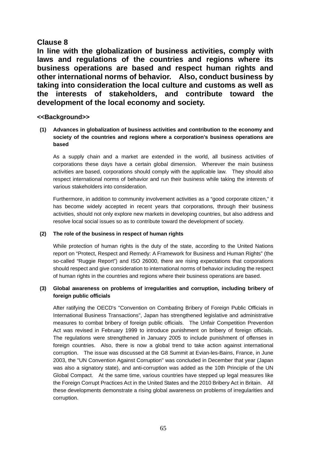# **Clause 8**

**In line with the globalization of business activities, comply with laws and regulations of the countries and regions where its business operations are based and respect human rights and other international norms of behavior. Also, conduct business by taking into consideration the local culture and customs as well as the interests of stakeholders, and contribute toward the development of the local economy and society.** 

## **<<Background>>**

**(1) Advances in globalization of business activities and contribution to the economy and society of the countries and regions where a corporation's business operations are based** 

As a supply chain and a market are extended in the world, all business activities of corporations these days have a certain global dimension. Wherever the main business activities are based, corporations should comply with the applicable law. They should also respect international norms of behavior and run their business while taking the interests of various stakeholders into consideration.

Furthermore, in addition to community involvement activities as a "good corporate citizen," it has become widely accepted in recent years that corporations, through their business activities, should not only explore new markets in developing countries, but also address and resolve local social issues so as to contribute toward the development of society.

## **(2) The role of the business in respect of human rights**

While protection of human rights is the duty of the state, according to the United Nations report on "Protect, Respect and Remedy: A Framework for Business and Human Rights" (the so-called "Ruggie Report") and ISO 26000, there are rising expectations that corporations should respect and give consideration to international norms of behavior including the respect of human rights in the countries and regions where their business operations are based.

## **(3) Global awareness on problems of irregularities and corruption, including bribery of foreign public officials**

After ratifying the OECD's "Convention on Combating Bribery of Foreign Public Officials in International Business Transactions", Japan has strengthened legislative and administrative measures to combat bribery of foreign public officials. The Unfair Competition Prevention Act was revised in February 1999 to introduce punishment on bribery of foreign officials. The regulations were strengthened in January 2005 to include punishment of offenses in foreign countries. Also, there is now a global trend to take action against international corruption. The issue was discussed at the G8 Summit at Evian-les-Bains, France, in June 2003, the "UN Convention Against Corruption" was concluded in December that year (Japan was also a signatory state), and anti-corruption was added as the 10th Principle of the UN Global Compact. At the same time, various countries have stepped up legal measures like the Foreign Corrupt Practices Act in the United States and the 2010 Bribery Act in Britain. All these developments demonstrate a rising global awareness on problems of irregularities and corruption.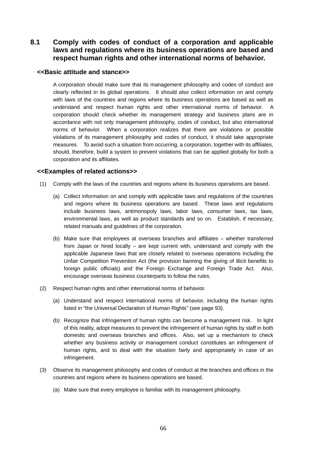## **8.1 Comply with codes of conduct of a corporation and applicable laws and regulations where its business operations are based and respect human rights and other international norms of behavior.**

#### **<<Basic attitude and stance>>**

A corporation should make sure that its management philosophy and codes of conduct are clearly reflected in its global operations. It should also collect information on and comply with laws of the countries and regions where its business operations are based as well as understand and respect human rights and other international norms of behavior. A corporation should check whether its management strategy and business plans are in accordance with not only management philosophy, codes of conduct, but also international norms of behavior. When a corporation realizes that there are violations or possible violations of its management philosophy and codes of conduct, it should take appropriate measures. To avoid such a situation from occurring, a corporation, together with its affiliates, should, therefore, build a system to prevent violations that can be applied globally for both a corporation and its affiliates.

- (1) Comply with the laws of the countries and regions where its business operations are based.
	- (a) Collect information on and comply with applicable laws and regulations of the countries and regions where its business operations are based. These laws and regulations include business laws, antimonopoly laws, labor laws, consumer laws, tax laws, environmental laws, as well as product standards and so on. Establish, if necessary, related manuals and guidelines of the corporation.
	- (b) Make sure that employees at overseas branches and affiliates whether transferred from Japan or hired locally – are kept current with, understand and comply with the applicable Japanese laws that are closely related to overseas operations including the Unfair Competition Prevention Act (the provision banning the giving of illicit benefits to foreign public officials) and the Foreign Exchange and Foreign Trade Act. Also, encourage overseas business counterparts to follow the rules.
- (2) Respect human rights and other international norms of behavior.
	- (a) Understand and respect international norms of behavior, including the human rights listed in "the Universal Declaration of Human Rights" (see page 93).
	- (b) Recognize that infringement of human rights can become a management risk. In light of this reality, adopt measures to prevent the infringement of human rights by staff in both domestic and overseas branches and offices. Also, set up a mechanism to check whether any business activity or management conduct constitutes an infringement of human rights, and to deal with the situation fairly and appropriately in case of an infringement.
- (3) Observe its management philosophy and codes of conduct at the branches and offices in the countries and regions where its business operations are based.
	- (a) Make sure that every employee is familiar with its management philosophy.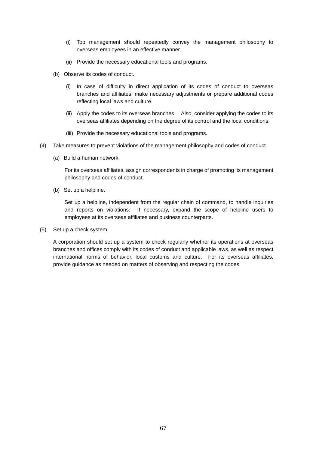- (i) Top management should repeatedly convey the management philosophy to overseas employees in an effective manner.
- (ii) Provide the necessary educational tools and programs.
- (b) Observe its codes of conduct.
	- (i) In case of difficulty in direct application of its codes of conduct to overseas branches and affiliates, make necessary adjustments or prepare additional codes reflecting local laws and culture.
	- (ii) Apply the codes to its overseas branches. Also, consider applying the codes to its overseas affiliates depending on the degree of its control and the local conditions.
	- (iii) Provide the necessary educational tools and programs.
- (4) Take measures to prevent violations of the management philosophy and codes of conduct.
	- (a) Build a human network.

For its overseas affiliates, assign correspondents in charge of promoting its management philosophy and codes of conduct.

(b) Set up a helpline.

Set up a helpline, independent from the regular chain of command, to handle inquiries and reports on violations. If necessary, expand the scope of helpline users to employees at its overseas affiliates and business counterparts.

(5) Set up a check system.

A corporation should set up a system to check regularly whether its operations at overseas branches and offices comply with its codes of conduct and applicable laws, as well as respect international norms of behavior, local customs and culture. For its overseas affiliates, provide guidance as needed on matters of observing and respecting the codes.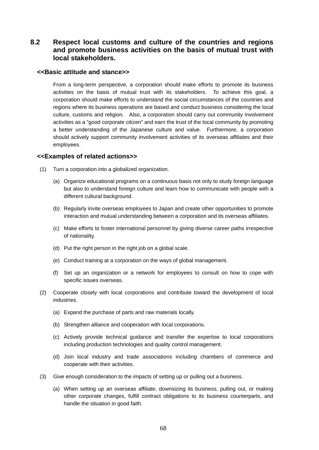## **8.2 Respect local customs and culture of the countries and regions and promote business activities on the basis of mutual trust with local stakeholders.**

## **<<Basic attitude and stance>>**

From a long-term perspective, a corporation should make efforts to promote its business activities on the basis of mutual trust with its stakeholders. To achieve this goal, a corporation should make efforts to understand the social circumstances of the countries and regions where its business operations are based and conduct business considering the local culture, customs and religion. Also, a corporation should carry out community involvement activities as a "good corporate citizen" and earn the trust of the local community by promoting a better understanding of the Japanese culture and value. Furthermore, a corporation should actively support community involvement activities of its overseas affiliates and their employees.

- (1) Turn a corporation into a globalized organization.
	- (a) Organize educational programs on a continuous basis not only to study foreign language but also to understand foreign culture and learn how to communicate with people with a different cultural background.
	- (b) Regularly invite overseas employees to Japan and create other opportunities to promote interaction and mutual understanding between a corporation and its overseas affiliates.
	- (c) Make efforts to foster international personnel by giving diverse career paths irrespective of nationality.
	- (d) Put the right person in the right job on a global scale.
	- (e) Conduct training at a corporation on the ways of global management.
	- (f) Set up an organization or a network for employees to consult on how to cope with specific issues overseas.
- (2) Cooperate closely with local corporations and contribute toward the development of local industries.
	- (a) Expand the purchase of parts and raw materials locally.
	- (b) Strengthen alliance and cooperation with local corporations.
	- (c) Actively provide technical guidance and transfer the expertise to local corporations including production technologies and quality control management.
	- (d) Join local industry and trade associations including chambers of commerce and cooperate with their activities.
- (3) Give enough consideration to the impacts of setting up or pulling out a business.
	- (a) When setting up an overseas affiliate, downsizing its business, pulling out, or making other corporate changes, fulfill contract obligations to its business counterparts, and handle the situation in good faith.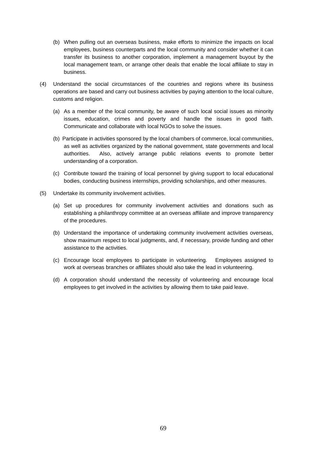- (b) When pulling out an overseas business, make efforts to minimize the impacts on local employees, business counterparts and the local community and consider whether it can transfer its business to another corporation, implement a management buyout by the local management team, or arrange other deals that enable the local affiliate to stay in business.
- (4) Understand the social circumstances of the countries and regions where its business operations are based and carry out business activities by paying attention to the local culture, customs and religion.
	- (a) As a member of the local community, be aware of such local social issues as minority issues, education, crimes and poverty and handle the issues in good faith. Communicate and collaborate with local NGOs to solve the issues.
	- (b) Participate in activities sponsored by the local chambers of commerce, local communities, as well as activities organized by the national government, state governments and local authorities. Also, actively arrange public relations events to promote better understanding of a corporation.
	- (c) Contribute toward the training of local personnel by giving support to local educational bodies, conducting business internships, providing scholarships, and other measures.
- (5) Undertake its community involvement activities.
	- (a) Set up procedures for community involvement activities and donations such as establishing a philanthropy committee at an overseas affiliate and improve transparency of the procedures.
	- (b) Understand the importance of undertaking community involvement activities overseas, show maximum respect to local judgments, and, if necessary, provide funding and other assistance to the activities.
	- (c) Encourage local employees to participate in volunteering. Employees assigned to work at overseas branches or affiliates should also take the lead in volunteering.
	- (d) A corporation should understand the necessity of volunteering and encourage local employees to get involved in the activities by allowing them to take paid leave.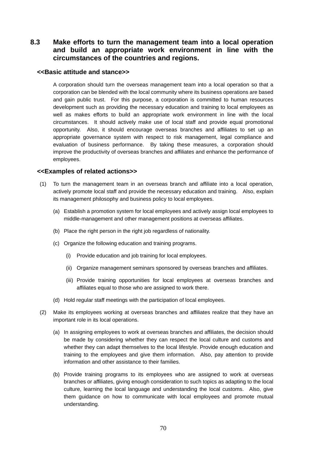## **8.3 Make efforts to turn the management team into a local operation and build an appropriate work environment in line with the circumstances of the countries and regions.**

#### **<<Basic attitude and stance>>**

A corporation should turn the overseas management team into a local operation so that a corporation can be blended with the local community where its business operations are based and gain public trust. For this purpose, a corporation is committed to human resources development such as providing the necessary education and training to local employees as well as makes efforts to build an appropriate work environment in line with the local circumstances. It should actively make use of local staff and provide equal promotional opportunity. Also, it should encourage overseas branches and affiliates to set up an appropriate governance system with respect to risk management, legal compliance and evaluation of business performance. By taking these measures, a corporation should improve the productivity of overseas branches and affiliates and enhance the performance of employees.

- (1) To turn the management team in an overseas branch and affiliate into a local operation, actively promote local staff and provide the necessary education and training. Also, explain its management philosophy and business policy to local employees.
	- (a) Establish a promotion system for local employees and actively assign local employees to middle-management and other management positions at overseas affiliates.
	- (b) Place the right person in the right job regardless of nationality.
	- (c) Organize the following education and training programs.
		- (i) Provide education and job training for local employees.
		- (ii) Organize management seminars sponsored by overseas branches and affiliates.
		- (iii) Provide training opportunities for local employees at overseas branches and affiliates equal to those who are assigned to work there.
	- (d) Hold regular staff meetings with the participation of local employees.
- (2) Make its employees working at overseas branches and affiliates realize that they have an important role in its local operations.
	- (a) In assigning employees to work at overseas branches and affiliates, the decision should be made by considering whether they can respect the local culture and customs and whether they can adapt themselves to the local lifestyle. Provide enough education and training to the employees and give them information. Also, pay attention to provide information and other assistance to their families.
	- (b) Provide training programs to its employees who are assigned to work at overseas branches or affiliates, giving enough consideration to such topics as adapting to the local culture, learning the local language and understanding the local customs. Also, give them guidance on how to communicate with local employees and promote mutual understanding.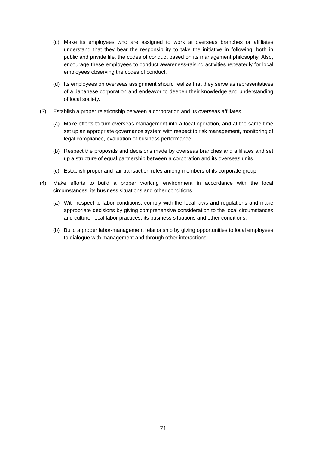- (c) Make its employees who are assigned to work at overseas branches or affiliates understand that they bear the responsibility to take the initiative in following, both in public and private life, the codes of conduct based on its management philosophy. Also, encourage these employees to conduct awareness-raising activities repeatedly for local employees observing the codes of conduct.
- (d) Its employees on overseas assignment should realize that they serve as representatives of a Japanese corporation and endeavor to deepen their knowledge and understanding of local society.
- (3) Establish a proper relationship between a corporation and its overseas affiliates.
	- (a) Make efforts to turn overseas management into a local operation, and at the same time set up an appropriate governance system with respect to risk management, monitoring of legal compliance, evaluation of business performance.
	- (b) Respect the proposals and decisions made by overseas branches and affiliates and set up a structure of equal partnership between a corporation and its overseas units.
	- (c) Establish proper and fair transaction rules among members of its corporate group.
- (4) Make efforts to build a proper working environment in accordance with the local circumstances, its business situations and other conditions.
	- (a) With respect to labor conditions, comply with the local laws and regulations and make appropriate decisions by giving comprehensive consideration to the local circumstances and culture, local labor practices, its business situations and other conditions.
	- (b) Build a proper labor-management relationship by giving opportunities to local employees to dialogue with management and through other interactions.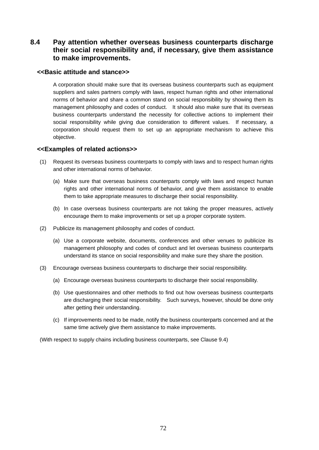## **8.4 Pay attention whether overseas business counterparts discharge their social responsibility and, if necessary, give them assistance to make improvements.**

### **<<Basic attitude and stance>>**

A corporation should make sure that its overseas business counterparts such as equipment suppliers and sales partners comply with laws, respect human rights and other international norms of behavior and share a common stand on social responsibility by showing them its management philosophy and codes of conduct. It should also make sure that its overseas business counterparts understand the necessity for collective actions to implement their social responsibility while giving due consideration to different values. If necessary, a corporation should request them to set up an appropriate mechanism to achieve this objective.

### **<<Examples of related actions>>**

- (1) Request its overseas business counterparts to comply with laws and to respect human rights and other international norms of behavior.
	- (a) Make sure that overseas business counterparts comply with laws and respect human rights and other international norms of behavior, and give them assistance to enable them to take appropriate measures to discharge their social responsibility.
	- (b) In case overseas business counterparts are not taking the proper measures, actively encourage them to make improvements or set up a proper corporate system.
- (2) Publicize its management philosophy and codes of conduct.
	- (a) Use a corporate website, documents, conferences and other venues to publicize its management philosophy and codes of conduct and let overseas business counterparts understand its stance on social responsibility and make sure they share the position.
- (3) Encourage overseas business counterparts to discharge their social responsibility.
	- (a) Encourage overseas business counterparts to discharge their social responsibility.
	- (b) Use questionnaires and other methods to find out how overseas business counterparts are discharging their social responsibility. Such surveys, however, should be done only after getting their understanding.
	- (c) If improvements need to be made, notify the business counterparts concerned and at the same time actively give them assistance to make improvements.

(With respect to supply chains including business counterparts, see Clause 9.4)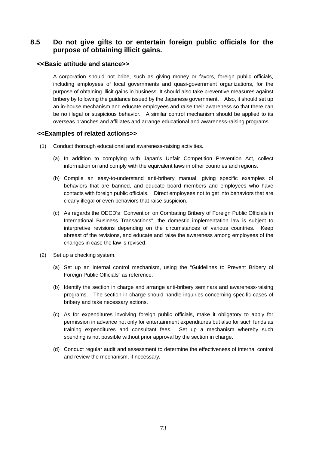## **8.5 Do not give gifts to or entertain foreign public officials for the purpose of obtaining illicit gains.**

### **<<Basic attitude and stance>>**

A corporation should not bribe, such as giving money or favors, foreign public officials, including employees of local governments and quasi-government organizations, for the purpose of obtaining illicit gains in business. It should also take preventive measures against bribery by following the guidance issued by the Japanese government. Also, it should set up an in-house mechanism and educate employees and raise their awareness so that there can be no illegal or suspicious behavior. A similar control mechanism should be applied to its overseas branches and affiliates and arrange educational and awareness-raising programs.

- (1) Conduct thorough educational and awareness-raising activities.
	- (a) In addition to complying with Japan's Unfair Competition Prevention Act, collect information on and comply with the equivalent laws in other countries and regions.
	- (b) Compile an easy-to-understand anti-bribery manual, giving specific examples of behaviors that are banned, and educate board members and employees who have contacts with foreign public officials. Direct employees not to get into behaviors that are clearly illegal or even behaviors that raise suspicion.
	- (c) As regards the OECD's "Convention on Combating Bribery of Foreign Public Officials in International Business Transactions", the domestic implementation law is subject to interpretive revisions depending on the circumstances of various countries. Keep abreast of the revisions, and educate and raise the awareness among employees of the changes in case the law is revised.
- (2) Set up a checking system.
	- (a) Set up an internal control mechanism, using the "Guidelines to Prevent Bribery of Foreign Public Officials" as reference.
	- (b) Identify the section in charge and arrange anti-bribery seminars and awareness-raising programs. The section in charge should handle inquiries concerning specific cases of bribery and take necessary actions.
	- (c) As for expenditures involving foreign public officials, make it obligatory to apply for permission in advance not only for entertainment expenditures but also for such funds as training expenditures and consultant fees. Set up a mechanism whereby such spending is not possible without prior approval by the section in charge.
	- (d) Conduct regular audit and assessment to determine the effectiveness of internal control and review the mechanism, if necessary.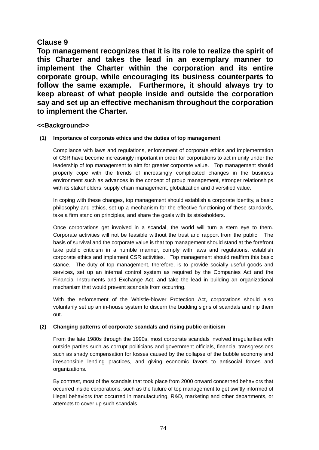# **Clause 9**

**Top management recognizes that it is its role to realize the spirit of this Charter and takes the lead in an exemplary manner to implement the Charter within the corporation and its entire corporate group, while encouraging its business counterparts to follow the same example. Furthermore, it should always try to keep abreast of what people inside and outside the corporation say and set up an effective mechanism throughout the corporation to implement the Charter.** 

## **<<Background>>**

## **(1) Importance of corporate ethics and the duties of top management**

Compliance with laws and regulations, enforcement of corporate ethics and implementation of CSR have become increasingly important in order for corporations to act in unity under the leadership of top management to aim for greater corporate value. Top management should properly cope with the trends of increasingly complicated changes in the business environment such as advances in the concept of group management, stronger relationships with its stakeholders, supply chain management, globalization and diversified value.

In coping with these changes, top management should establish a corporate identity, a basic philosophy and ethics, set up a mechanism for the effective functioning of these standards, take a firm stand on principles, and share the goals with its stakeholders.

Once corporations get involved in a scandal, the world will turn a stern eye to them. Corporate activities will not be feasible without the trust and rapport from the public. The basis of survival and the corporate value is that top management should stand at the forefront, take public criticism in a humble manner, comply with laws and regulations, establish corporate ethics and implement CSR activities. Top management should reaffirm this basic stance. The duty of top management, therefore, is to provide socially useful goods and services, set up an internal control system as required by the Companies Act and the Financial Instruments and Exchange Act, and take the lead in building an organizational mechanism that would prevent scandals from occurring.

With the enforcement of the Whistle-blower Protection Act, corporations should also voluntarily set up an in-house system to discern the budding signs of scandals and nip them out.

#### **(2) Changing patterns of corporate scandals and rising public criticism**

From the late 1980s through the 1990s, most corporate scandals involved irregularities with outside parties such as corrupt politicians and government officials, financial transgressions such as shady compensation for losses caused by the collapse of the bubble economy and irresponsible lending practices, and giving economic favors to antisocial forces and organizations.

By contrast, most of the scandals that took place from 2000 onward concerned behaviors that occurred inside corporations, such as the failure of top management to get swiftly informed of illegal behaviors that occurred in manufacturing, R&D, marketing and other departments, or attempts to cover up such scandals.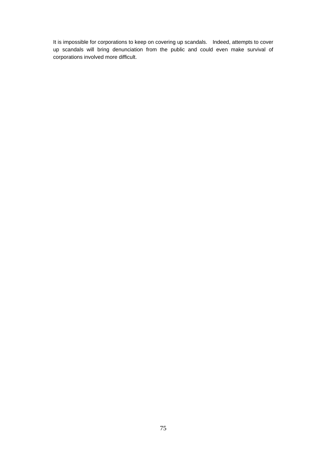It is impossible for corporations to keep on covering up scandals. Indeed, attempts to cover up scandals will bring denunciation from the public and could even make survival of corporations involved more difficult.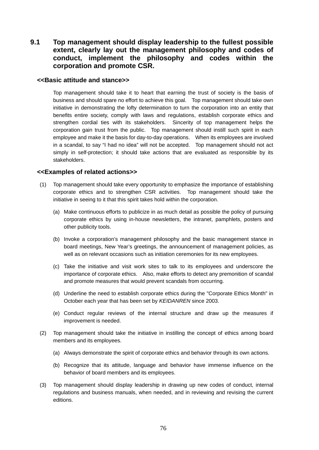## **9.1 Top management should display leadership to the fullest possible extent, clearly lay out the management philosophy and codes of conduct, implement the philosophy and codes within the corporation and promote CSR.**

### **<<Basic attitude and stance>>**

Top management should take it to heart that earning the trust of society is the basis of business and should spare no effort to achieve this goal. Top management should take own initiative in demonstrating the lofty determination to turn the corporation into an entity that benefits entire society, comply with laws and regulations, establish corporate ethics and strengthen cordial ties with its stakeholders. Sincerity of top management helps the corporation gain trust from the public. Top management should instill such spirit in each employee and make it the basis for day-to-day operations. When its employees are involved in a scandal, to say "I had no idea" will not be accepted. Top management should not act simply in self-protection; it should take actions that are evaluated as responsible by its stakeholders.

- (1) Top management should take every opportunity to emphasize the importance of establishing corporate ethics and to strengthen CSR activities. Top management should take the initiative in seeing to it that this spirit takes hold within the corporation.
	- (a) Make continuous efforts to publicize in as much detail as possible the policy of pursuing corporate ethics by using in-house newsletters, the intranet, pamphlets, posters and other publicity tools.
	- (b) Invoke a corporation's management philosophy and the basic management stance in board meetings, New Year's greetings, the announcement of management policies, as well as on relevant occasions such as initiation ceremonies for its new employees.
	- (c) Take the initiative and visit work sites to talk to its employees and underscore the importance of corporate ethics. Also, make efforts to detect any premonition of scandal and promote measures that would prevent scandals from occurring.
	- (d) Underline the need to establish corporate ethics during the "Corporate Ethics Month" in October each year that has been set by *KEIDANREN* since 2003.
	- (e) Conduct regular reviews of the internal structure and draw up the measures if improvement is needed.
- (2) Top management should take the initiative in instilling the concept of ethics among board members and its employees.
	- (a) Always demonstrate the spirit of corporate ethics and behavior through its own actions.
	- (b) Recognize that its attitude, language and behavior have immense influence on the behavior of board members and its employees.
- (3) Top management should display leadership in drawing up new codes of conduct, internal regulations and business manuals, when needed, and in reviewing and revising the current editions.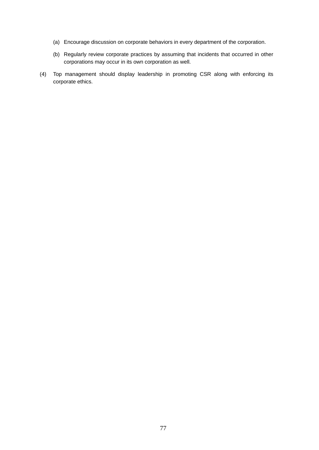- (a) Encourage discussion on corporate behaviors in every department of the corporation.
- (b) Regularly review corporate practices by assuming that incidents that occurred in other corporations may occur in its own corporation as well.
- (4) Top management should display leadership in promoting CSR along with enforcing its corporate ethics.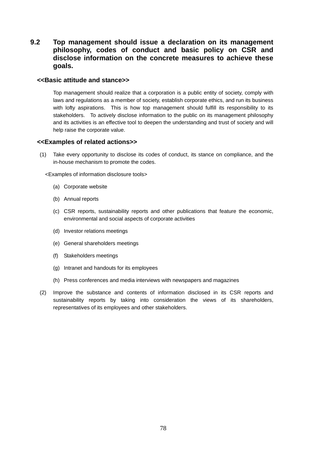## **9.2 Top management should issue a declaration on its management philosophy, codes of conduct and basic policy on CSR and disclose information on the concrete measures to achieve these goals.**

### **<<Basic attitude and stance>>**

Top management should realize that a corporation is a public entity of society, comply with laws and regulations as a member of society, establish corporate ethics, and run its business with lofty aspirations. This is how top management should fulfill its responsibility to its stakeholders. To actively disclose information to the public on its management philosophy and its activities is an effective tool to deepen the understanding and trust of society and will help raise the corporate value.

## **<<Examples of related actions>>**

(1) Take every opportunity to disclose its codes of conduct, its stance on compliance, and the in-house mechanism to promote the codes.

<Examples of information disclosure tools>

- (a) Corporate website
- (b) Annual reports
- (c) CSR reports, sustainability reports and other publications that feature the economic, environmental and social aspects of corporate activities
- (d) Investor relations meetings
- (e) General shareholders meetings
- (f) Stakeholders meetings
- (g) Intranet and handouts for its employees
- (h) Press conferences and media interviews with newspapers and magazines
- (2) Improve the substance and contents of information disclosed in its CSR reports and sustainability reports by taking into consideration the views of its shareholders, representatives of its employees and other stakeholders.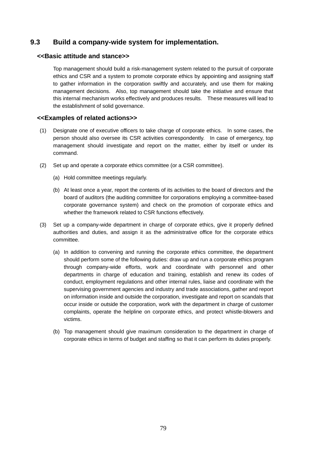## **9.3 Build a company-wide system for implementation.**

## **<<Basic attitude and stance>>**

Top management should build a risk-management system related to the pursuit of corporate ethics and CSR and a system to promote corporate ethics by appointing and assigning staff to gather information in the corporation swiftly and accurately, and use them for making management decisions. Also, top management should take the initiative and ensure that this internal mechanism works effectively and produces results. These measures will lead to the establishment of solid governance.

- (1) Designate one of executive officers to take charge of corporate ethics. In some cases, the person should also oversee its CSR activities correspondently. In case of emergency, top management should investigate and report on the matter, either by itself or under its command.
- (2) Set up and operate a corporate ethics committee (or a CSR committee).
	- (a) Hold committee meetings regularly.
	- (b) At least once a year, report the contents of its activities to the board of directors and the board of auditors (the auditing committee for corporations employing a committee-based corporate governance system) and check on the promotion of corporate ethics and whether the framework related to CSR functions effectively.
- (3) Set up a company-wide department in charge of corporate ethics, give it properly defined authorities and duties, and assign it as the administrative office for the corporate ethics committee.
	- (a) In addition to convening and running the corporate ethics committee, the department should perform some of the following duties: draw up and run a corporate ethics program through company-wide efforts, work and coordinate with personnel and other departments in charge of education and training, establish and renew its codes of conduct, employment regulations and other internal rules, liaise and coordinate with the supervising government agencies and industry and trade associations, gather and report on information inside and outside the corporation, investigate and report on scandals that occur inside or outside the corporation, work with the department in charge of customer complaints, operate the helpline on corporate ethics, and protect whistle-blowers and victims.
	- (b) Top management should give maximum consideration to the department in charge of corporate ethics in terms of budget and staffing so that it can perform its duties properly.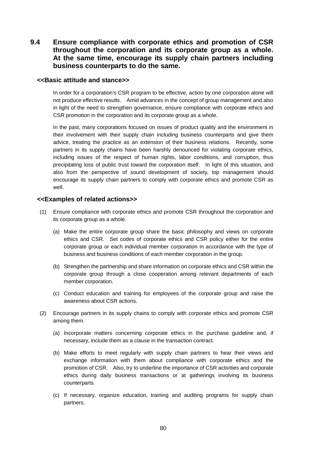**9.4 Ensure compliance with corporate ethics and promotion of CSR throughout the corporation and its corporate group as a whole. At the same time, encourage its supply chain partners including business counterparts to do the same.** 

### **<<Basic attitude and stance>>**

In order for a corporation's CSR program to be effective, action by one corporation alone will not produce effective results. Amid advances in the concept of group management and also in light of the need to strengthen governance, ensure compliance with corporate ethics and CSR promotion in the corporation and its corporate group as a whole.

In the past, many corporations focused on issues of product quality and the environment in their involvement with their supply chain including business counterparts and give them advice, treating the practice as an extension of their business relations. Recently, some partners in its supply chains have been harshly denounced for violating corporate ethics, including issues of the respect of human rights, labor conditions, and corruption, thus precipitating loss of public trust toward the corporation itself. In light of this situation, and also from the perspective of sound development of society, top management should encourage its supply chain partners to comply with corporate ethics and promote CSR as well.

- (1) Ensure compliance with corporate ethics and promote CSR throughout the corporation and its corporate group as a whole.
	- (a) Make the entire corporate group share the basic philosophy and views on corporate ethics and CSR. Set codes of corporate ethics and CSR policy either for the entire corporate group or each individual member corporation in accordance with the type of business and business conditions of each member corporation in the group.
	- (b) Strengthen the partnership and share information on corporate ethics and CSR within the corporate group through a close cooperation among relevant departments of each member corporation.
	- (c) Conduct education and training for employees of the corporate group and raise the awareness about CSR actions.
- (2) Encourage partners in its supply chains to comply with corporate ethics and promote CSR among them.
	- (a) Incorporate matters concerning corporate ethics in the purchase guideline and, if necessary, include them as a clause in the transaction contract.
	- (b) Make efforts to meet regularly with supply chain partners to hear their views and exchange information with them about compliance with corporate ethics and the promotion of CSR. Also, try to underline the importance of CSR activities and corporate ethics during daily business transactions or at gatherings involving its business counterparts.
	- (c) If necessary, organize education, training and auditing programs for supply chain partners.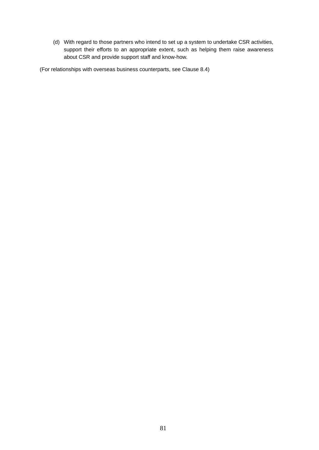(d) With regard to those partners who intend to set up a system to undertake CSR activities, support their efforts to an appropriate extent, such as helping them raise awareness about CSR and provide support staff and know-how.

(For relationships with overseas business counterparts, see Clause 8.4)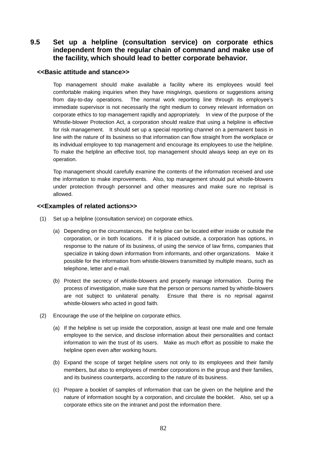## **9.5 Set up a helpline (consultation service) on corporate ethics independent from the regular chain of command and make use of the facility, which should lead to better corporate behavior.**

### **<<Basic attitude and stance>>**

Top management should make available a facility where its employees would feel comfortable making inquiries when they have misgivings, questions or suggestions arising from day-to-day operations. The normal work reporting line through its employee's immediate supervisor is not necessarily the right medium to convey relevant information on corporate ethics to top management rapidly and appropriately. In view of the purpose of the Whistle-blower Protection Act, a corporation should realize that using a helpline is effective for risk management. It should set up a special reporting channel on a permanent basis in line with the nature of its business so that information can flow straight from the workplace or its individual employee to top management and encourage its employees to use the helpline. To make the helpline an effective tool, top management should always keep an eye on its operation.

Top management should carefully examine the contents of the information received and use the information to make improvements. Also, top management should put whistle-blowers under protection through personnel and other measures and make sure no reprisal is allowed.

- (1) Set up a helpline (consultation service) on corporate ethics.
	- (a) Depending on the circumstances, the helpline can be located either inside or outside the corporation, or in both locations. If it is placed outside, a corporation has options, in response to the nature of its business, of using the service of law firms, companies that specialize in taking down information from informants, and other organizations. Make it possible for the information from whistle-blowers transmitted by multiple means, such as telephone, letter and e-mail.
	- (b) Protect the secrecy of whistle-blowers and properly manage information. During the process of investigation, make sure that the person or persons named by whistle-blowers are not subject to unilateral penalty. Ensure that there is no reprisal against whistle-blowers who acted in good faith.
- (2) Encourage the use of the helpline on corporate ethics.
	- (a) If the helpline is set up inside the corporation, assign at least one male and one female employee to the service, and disclose information about their personalities and contact information to win the trust of its users. Make as much effort as possible to make the helpline open even after working hours.
	- (b) Expand the scope of target helpline users not only to its employees and their family members, but also to employees of member corporations in the group and their families, and its business counterparts, according to the nature of its business.
	- (c) Prepare a booklet of samples of information that can be given on the helpline and the nature of information sought by a corporation, and circulate the booklet. Also, set up a corporate ethics site on the intranet and post the information there.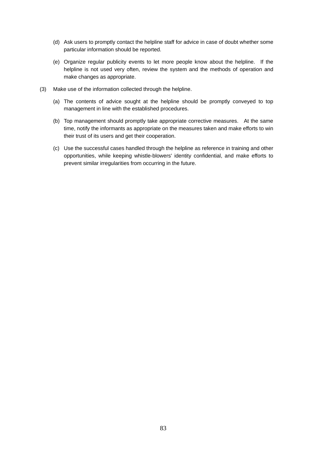- (d) Ask users to promptly contact the helpline staff for advice in case of doubt whether some particular information should be reported.
- (e) Organize regular publicity events to let more people know about the helpline. If the helpline is not used very often, review the system and the methods of operation and make changes as appropriate.
- (3) Make use of the information collected through the helpline.
	- (a) The contents of advice sought at the helpline should be promptly conveyed to top management in line with the established procedures.
	- (b) Top management should promptly take appropriate corrective measures. At the same time, notify the informants as appropriate on the measures taken and make efforts to win their trust of its users and get their cooperation.
	- (c) Use the successful cases handled through the helpline as reference in training and other opportunities, while keeping whistle-blowers' identity confidential, and make efforts to prevent similar irregularities from occurring in the future.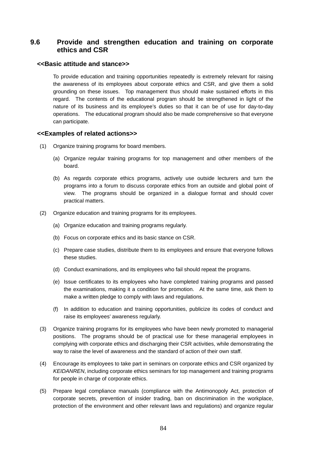## **9.6 Provide and strengthen education and training on corporate ethics and CSR**

### **<<Basic attitude and stance>>**

To provide education and training opportunities repeatedly is extremely relevant for raising the awareness of its employees about corporate ethics and CSR, and give them a solid grounding on these issues. Top management thus should make sustained efforts in this regard. The contents of the educational program should be strengthened in light of the nature of its business and its employee's duties so that it can be of use for day-to-day operations. The educational program should also be made comprehensive so that everyone can participate.

- (1) Organize training programs for board members.
	- (a) Organize regular training programs for top management and other members of the board.
	- (b) As regards corporate ethics programs, actively use outside lecturers and turn the programs into a forum to discuss corporate ethics from an outside and global point of view. The programs should be organized in a dialogue format and should cover practical matters.
- (2) Organize education and training programs for its employees.
	- (a) Organize education and training programs regularly.
	- (b) Focus on corporate ethics and its basic stance on CSR.
	- (c) Prepare case studies, distribute them to its employees and ensure that everyone follows these studies.
	- (d) Conduct examinations, and its employees who fail should repeat the programs.
	- (e) Issue certificates to its employees who have completed training programs and passed the examinations, making it a condition for promotion. At the same time, ask them to make a written pledge to comply with laws and regulations.
	- (f) In addition to education and training opportunities, publicize its codes of conduct and raise its employees' awareness regularly.
- (3) Organize training programs for its employees who have been newly promoted to managerial positions. The programs should be of practical use for these managerial employees in complying with corporate ethics and discharging their CSR activities, while demonstrating the way to raise the level of awareness and the standard of action of their own staff.
- (4) Encourage its employees to take part in seminars on corporate ethics and CSR organized by *KEIDANREN*, including corporate ethics seminars for top management and training programs for people in charge of corporate ethics.
- (5) Prepare legal compliance manuals (compliance with the Antimonopoly Act, protection of corporate secrets, prevention of insider trading, ban on discrimination in the workplace, protection of the environment and other relevant laws and regulations) and organize regular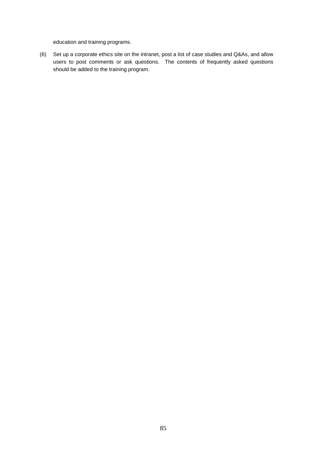education and training programs.

(6) Set up a corporate ethics site on the intranet, post a list of case studies and Q&As, and allow users to post comments or ask questions. The contents of frequently asked questions should be added to the training program.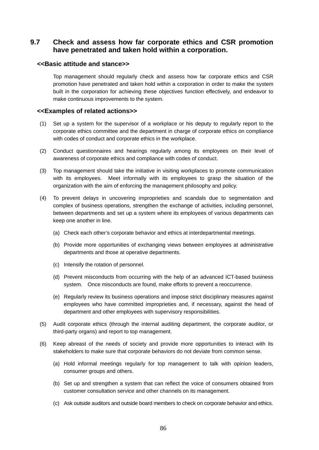## **9.7 Check and assess how far corporate ethics and CSR promotion have penetrated and taken hold within a corporation.**

### **<<Basic attitude and stance>>**

Top management should regularly check and assess how far corporate ethics and CSR promotion have penetrated and taken hold within a corporation in order to make the system built in the corporation for achieving these objectives function effectively, and endeavor to make continuous improvements to the system.

- (1) Set up a system for the supervisor of a workplace or his deputy to regularly report to the corporate ethics committee and the department in charge of corporate ethics on compliance with codes of conduct and corporate ethics in the workplace.
- (2) Conduct questionnaires and hearings regularly among its employees on their level of awareness of corporate ethics and compliance with codes of conduct.
- (3) Top management should take the initiative in visiting workplaces to promote communication with its employees. Meet informally with its employees to grasp the situation of the organization with the aim of enforcing the management philosophy and policy.
- (4) To prevent delays in uncovering improprieties and scandals due to segmentation and complex of business operations, strengthen the exchange of activities, including personnel, between departments and set up a system where its employees of various departments can keep one another in line.
	- (a) Check each other's corporate behavior and ethics at interdepartmental meetings.
	- (b) Provide more opportunities of exchanging views between employees at administrative departments and those at operative departments.
	- (c) Intensify the rotation of personnel.
	- (d) Prevent misconducts from occurring with the help of an advanced ICT-based business system. Once misconducts are found, make efforts to prevent a reoccurrence.
	- (e) Regularly review its business operations and impose strict disciplinary measures against employees who have committed improprieties and, if necessary, against the head of department and other employees with supervisory responsibilities.
- (5) Audit corporate ethics (through the internal auditing department, the corporate auditor, or third-party organs) and report to top management.
- (6) Keep abreast of the needs of society and provide more opportunities to interact with its stakeholders to make sure that corporate behaviors do not deviate from common sense.
	- (a) Hold informal meetings regularly for top management to talk with opinion leaders, consumer groups and others.
	- (b) Set up and strengthen a system that can reflect the voice of consumers obtained from customer consultation service and other channels on its management.
	- (c) Ask outside auditors and outside board members to check on corporate behavior and ethics.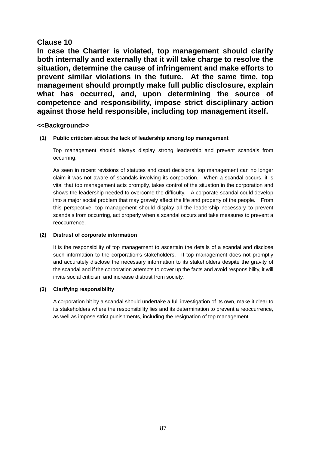# **Clause 10**

**In case the Charter is violated, top management should clarify both internally and externally that it will take charge to resolve the situation, determine the cause of infringement and make efforts to prevent similar violations in the future. At the same time, top management should promptly make full public disclosure, explain what has occurred, and, upon determining the source of competence and responsibility, impose strict disciplinary action against those held responsible, including top management itself.** 

## **<<Background>>**

## **(1) Public criticism about the lack of leadership among top management**

Top management should always display strong leadership and prevent scandals from occurring.

As seen in recent revisions of statutes and court decisions, top management can no longer claim it was not aware of scandals involving its corporation. When a scandal occurs, it is vital that top management acts promptly, takes control of the situation in the corporation and shows the leadership needed to overcome the difficulty. A corporate scandal could develop into a major social problem that may gravely affect the life and property of the people. From this perspective, top management should display all the leadership necessary to prevent scandals from occurring, act properly when a scandal occurs and take measures to prevent a reoccurrence.

## **(2) Distrust of corporate information**

It is the responsibility of top management to ascertain the details of a scandal and disclose such information to the corporation's stakeholders. If top management does not promptly and accurately disclose the necessary information to its stakeholders despite the gravity of the scandal and if the corporation attempts to cover up the facts and avoid responsibility, it will invite social criticism and increase distrust from society.

## **(3) Clarifying responsibility**

A corporation hit by a scandal should undertake a full investigation of its own, make it clear to its stakeholders where the responsibility lies and its determination to prevent a reoccurrence, as well as impose strict punishments, including the resignation of top management.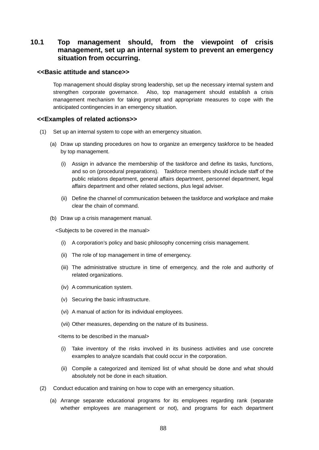## **10.1 Top management should, from the viewpoint of crisis management, set up an internal system to prevent an emergency situation from occurring.**

### **<<Basic attitude and stance>>**

Top management should display strong leadership, set up the necessary internal system and strengthen corporate governance. Also, top management should establish a crisis management mechanism for taking prompt and appropriate measures to cope with the anticipated contingencies in an emergency situation.

## **<<Examples of related actions>>**

- (1) Set up an internal system to cope with an emergency situation.
	- (a) Draw up standing procedures on how to organize an emergency taskforce to be headed by top management.
		- (i) Assign in advance the membership of the taskforce and define its tasks, functions, and so on (procedural preparations). Taskforce members should include staff of the public relations department, general affairs department, personnel department, legal affairs department and other related sections, plus legal adviser.
		- (ii) Define the channel of communication between the taskforce and workplace and make clear the chain of command.
	- (b) Draw up a crisis management manual.

<Subjects to be covered in the manual>

- (i) A corporation's policy and basic philosophy concerning crisis management.
- (ii) The role of top management in time of emergency.
- (iii) The administrative structure in time of emergency, and the role and authority of related organizations.
- (iv) A communication system.
- (v) Securing the basic infrastructure.
- (vi) A manual of action for its individual employees.
- (vii) Other measures, depending on the nature of its business.

<Items to be described in the manual>

- (i) Take inventory of the risks involved in its business activities and use concrete examples to analyze scandals that could occur in the corporation.
- (ii) Compile a categorized and itemized list of what should be done and what should absolutely not be done in each situation.
- (2) Conduct education and training on how to cope with an emergency situation.
	- (a) Arrange separate educational programs for its employees regarding rank (separate whether employees are management or not), and programs for each department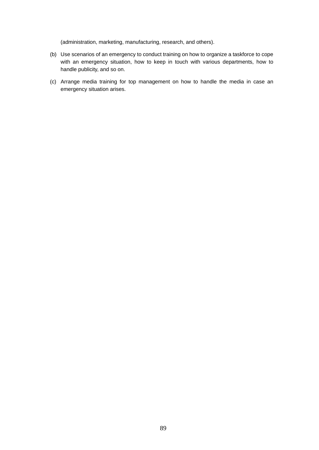(administration, marketing, manufacturing, research, and others).

- (b) Use scenarios of an emergency to conduct training on how to organize a taskforce to cope with an emergency situation, how to keep in touch with various departments, how to handle publicity, and so on.
- (c) Arrange media training for top management on how to handle the media in case an emergency situation arises.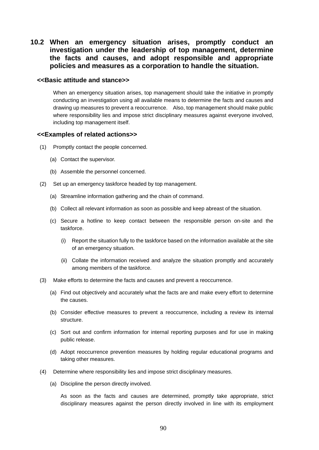## **10.2 When an emergency situation arises, promptly conduct an investigation under the leadership of top management, determine the facts and causes, and adopt responsible and appropriate policies and measures as a corporation to handle the situation.**

#### **<<Basic attitude and stance>>**

When an emergency situation arises, top management should take the initiative in promptly conducting an investigation using all available means to determine the facts and causes and drawing up measures to prevent a reoccurrence. Also, top management should make public where responsibility lies and impose strict disciplinary measures against everyone involved, including top management itself.

### **<<Examples of related actions>>**

- (1) Promptly contact the people concerned.
	- (a) Contact the supervisor.
	- (b) Assemble the personnel concerned.
- (2) Set up an emergency taskforce headed by top management.
	- (a) Streamline information gathering and the chain of command.
	- (b) Collect all relevant information as soon as possible and keep abreast of the situation.
	- (c) Secure a hotline to keep contact between the responsible person on-site and the taskforce.
		- (i) Report the situation fully to the taskforce based on the information available at the site of an emergency situation.
		- (ii) Collate the information received and analyze the situation promptly and accurately among members of the taskforce.
- (3) Make efforts to determine the facts and causes and prevent a reoccurrence.
	- (a) Find out objectively and accurately what the facts are and make every effort to determine the causes.
	- (b) Consider effective measures to prevent a reoccurrence, including a review its internal structure.
	- (c) Sort out and confirm information for internal reporting purposes and for use in making public release.
	- (d) Adopt reoccurrence prevention measures by holding regular educational programs and taking other measures.
- (4) Determine where responsibility lies and impose strict disciplinary measures.
	- (a) Discipline the person directly involved.

 As soon as the facts and causes are determined, promptly take appropriate, strict disciplinary measures against the person directly involved in line with its employment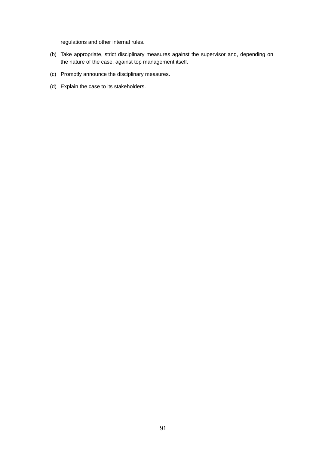regulations and other internal rules.

- (b) Take appropriate, strict disciplinary measures against the supervisor and, depending on the nature of the case, against top management itself.
- (c) Promptly announce the disciplinary measures.
- (d) Explain the case to its stakeholders.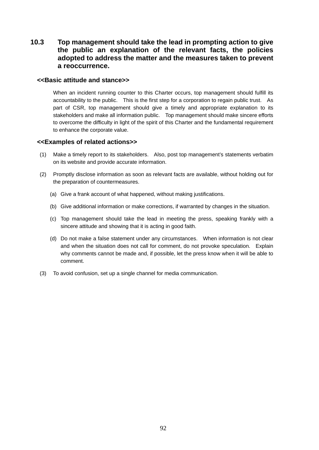## **10.3 Top management should take the lead in prompting action to give the public an explanation of the relevant facts, the policies adopted to address the matter and the measures taken to prevent a reoccurrence.**

### **<<Basic attitude and stance>>**

When an incident running counter to this Charter occurs, top management should fulfill its accountability to the public. This is the first step for a corporation to regain public trust. As part of CSR, top management should give a timely and appropriate explanation to its stakeholders and make all information public. Top management should make sincere efforts to overcome the difficulty in light of the spirit of this Charter and the fundamental requirement to enhance the corporate value.

- (1) Make a timely report to its stakeholders. Also, post top management's statements verbatim on its website and provide accurate information.
- (2) Promptly disclose information as soon as relevant facts are available, without holding out for the preparation of countermeasures.
	- (a) Give a frank account of what happened, without making justifications.
	- (b) Give additional information or make corrections, if warranted by changes in the situation.
	- (c) Top management should take the lead in meeting the press, speaking frankly with a sincere attitude and showing that it is acting in good faith.
	- (d) Do not make a false statement under any circumstances. When information is not clear and when the situation does not call for comment, do not provoke speculation. Explain why comments cannot be made and, if possible, let the press know when it will be able to comment.
- (3) To avoid confusion, set up a single channel for media communication.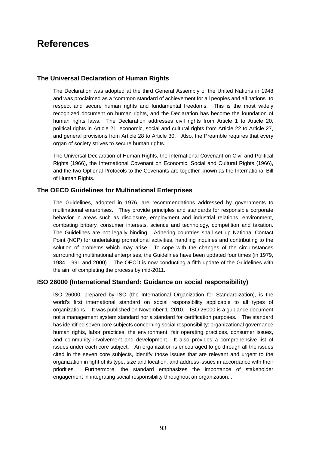# **References**

#### **The Universal Declaration of Human Rights**

The Declaration was adopted at the third General Assembly of the United Nations in 1948 and was proclaimed as a "common standard of achievement for all peoples and all nations" to respect and secure human rights and fundamental freedoms. This is the most widely recognized document on human rights, and the Declaration has become the foundation of human rights laws. The Declaration addresses civil rights from Article 1 to Article 20. political rights in Article 21, economic, social and cultural rights from Article 22 to Article 27, and general provisions from Article 28 to Article 30. Also, the Preamble requires that every organ of society strives to secure human rights.

The Universal Declaration of Human Rights, the International Covenant on Civil and Political Rights (1966), the International Covenant on Economic, Social and Cultural Rights (1966), and the two Optional Protocols to the Covenants are together known as the International Bill of Human Rights.

#### **The OECD Guidelines for Multinational Enterprises**

The Guidelines, adopted in 1976, are recommendations addressed by governments to multinational enterprises. They provide principles and standards for responsible corporate behavior in areas such as disclosure, employment and industrial relations, environment, combating bribery, consumer interests, science and technology, competition and taxation. The Guidelines are not legally binding. Adhering countries shall set up National Contact Point (NCP) for undertaking promotional activities, handling inquiries and contributing to the solution of problems which may arise. To cope with the changes of the circumstances surrounding multinational enterprises, the Guidelines have been updated four times (in 1979, 1984, 1991 and 2000). The OECD is now conducting a fifth update of the Guidelines with the aim of completing the process by mid-2011.

#### **ISO 26000 (International Standard: Guidance on social responsibility)**

ISO 26000, prepared by ISO (the International Organization for Standardization), is the world's first international standard on social responsibility applicable to all types of organizations. It was published on November 1, 2010. ISO 26000 is a guidance document, not a management system standard nor a standard for certification purposes. The standard has identified seven core subjects concerning social responsibility: organizational governance, human rights, labor practices, the environment, fair operating practices, consumer issues, and community involvement and development. It also provides a comprehensive list of issues under each core subject. An organization is encouraged to go through all the issues cited in the seven core subjects, identify those issues that are relevant and urgent to the organization in light of its type, size and location, and address issues in accordance with their priorities. Furthermore, the standard emphasizes the importance of stakeholder engagement in integrating social responsibility throughout an organization. .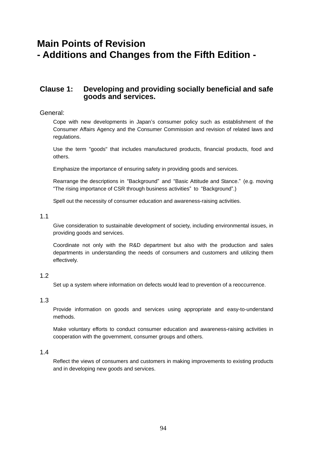# **Main Points of Revision - Additions and Changes from the Fifth Edition -**

# **Clause 1: Developing and providing socially beneficial and safe goods and services.**

# General:

 Cope with new developments in Japan's consumer policy such as establishment of the Consumer Affairs Agency and the Consumer Commission and revision of related laws and regulations.

 Use the term "goods" that includes manufactured products, financial products, food and others.

Emphasize the importance of ensuring safety in providing goods and services.

 Rearrange the descriptions in "Background" and "Basic Attitude and Stance." (e.g. moving "The rising importance of CSR through business activities" to "Background".)

Spell out the necessity of consumer education and awareness-raising activities.

### 1.1

 Give consideration to sustainable development of society, including environmental issues, in providing goods and services.

 Coordinate not only with the R&D department but also with the production and sales departments in understanding the needs of consumers and customers and utilizing them effectively.

# 1.2

Set up a system where information on defects would lead to prevention of a reoccurrence.

### 1.3

 Provide information on goods and services using appropriate and easy-to-understand methods.

 Make voluntary efforts to conduct consumer education and awareness-raising activities in cooperation with the government, consumer groups and others.

### 1.4

 Reflect the views of consumers and customers in making improvements to existing products and in developing new goods and services.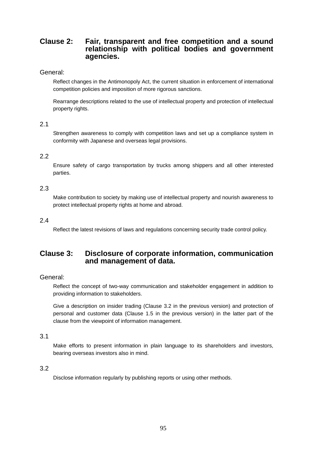# **Clause 2: Fair, transparent and free competition and a sound relationship with political bodies and government agencies.**

# General:

 Reflect changes in the Antimonopoly Act, the current situation in enforcement of international competition policies and imposition of more rigorous sanctions.

 Rearrange descriptions related to the use of intellectual property and protection of intellectual property rights.

### 2.1

 Strengthen awareness to comply with competition laws and set up a compliance system in conformity with Japanese and overseas legal provisions.

# 2.2

 Ensure safety of cargo transportation by trucks among shippers and all other interested parties.

# 2.3

 Make contribution to society by making use of intellectual property and nourish awareness to protect intellectual property rights at home and abroad.

# 2.4

Reflect the latest revisions of laws and regulations concerning security trade control policy.

# **Clause 3: Disclosure of corporate information, communication and management of data.**

# General:

 Reflect the concept of two-way communication and stakeholder engagement in addition to providing information to stakeholders.

 Give a description on insider trading (Clause 3.2 in the previous version) and protection of personal and customer data (Clause 1.5 in the previous version) in the latter part of the clause from the viewpoint of information management.

## 3.1

 Make efforts to present information in plain language to its shareholders and investors, bearing overseas investors also in mind.

# 3.2

Disclose information regularly by publishing reports or using other methods.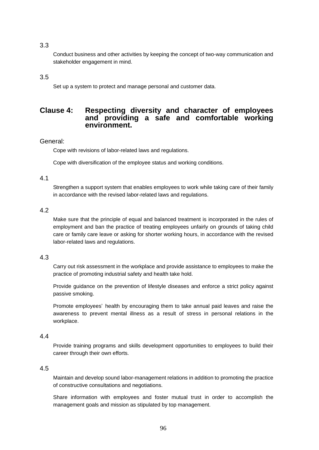# 3.3

 Conduct business and other activities by keeping the concept of two-way communication and stakeholder engagement in mind.

# 3.5

Set up a system to protect and manage personal and customer data.

# **Clause 4: Respecting diversity and character of employees and providing a safe and comfortable working environment.**

#### General:

Cope with revisions of labor-related laws and regulations.

Cope with diversification of the employee status and working conditions.

#### 4.1

 Strengthen a support system that enables employees to work while taking care of their family in accordance with the revised labor-related laws and regulations.

### 4.2

 Make sure that the principle of equal and balanced treatment is incorporated in the rules of employment and ban the practice of treating employees unfairly on grounds of taking child care or family care leave or asking for shorter working hours, in accordance with the revised labor-related laws and regulations.

## 4.3

 Carry out risk assessment in the workplace and provide assistance to employees to make the practice of promoting industrial safety and health take hold.

 Provide guidance on the prevention of lifestyle diseases and enforce a strict policy against passive smoking.

 Promote employees' health by encouraging them to take annual paid leaves and raise the awareness to prevent mental illness as a result of stress in personal relations in the workplace.

### 4.4

 Provide training programs and skills development opportunities to employees to build their career through their own efforts.

#### 4.5

 Maintain and develop sound labor-management relations in addition to promoting the practice of constructive consultations and negotiations.

 Share information with employees and foster mutual trust in order to accomplish the management goals and mission as stipulated by top management.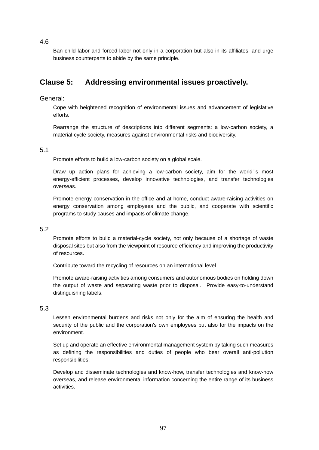4.6

 Ban child labor and forced labor not only in a corporation but also in its affiliates, and urge business counterparts to abide by the same principle.

# **Clause 5: Addressing environmental issues proactively.**

General:

 Cope with heightened recognition of environmental issues and advancement of legislative efforts.

 Rearrange the structure of descriptions into different segments: a low-carbon society, a material-cycle society, measures against environmental risks and biodiversity.

#### 5.1

Promote efforts to build a low-carbon society on a global scale.

Draw up action plans for achieving a low-carbon society, aim for the world's most energy-efficient processes, develop innovative technologies, and transfer technologies overseas.

 Promote energy conservation in the office and at home, conduct aware-raising activities on energy conservation among employees and the public, and cooperate with scientific programs to study causes and impacts of climate change.

#### 5.2

 Promote efforts to build a material-cycle society, not only because of a shortage of waste disposal sites but also from the viewpoint of resource efficiency and improving the productivity of resources.

Contribute toward the recycling of resources on an international level.

 Promote aware-raising activities among consumers and autonomous bodies on holding down the output of waste and separating waste prior to disposal. Provide easy-to-understand distinguishing labels.

### 5.3

 Lessen environmental burdens and risks not only for the aim of ensuring the health and security of the public and the corporation's own employees but also for the impacts on the environment.

 Set up and operate an effective environmental management system by taking such measures as defining the responsibilities and duties of people who bear overall anti-pollution responsibilities.

 Develop and disseminate technologies and know-how, transfer technologies and know-how overseas, and release environmental information concerning the entire range of its business activities.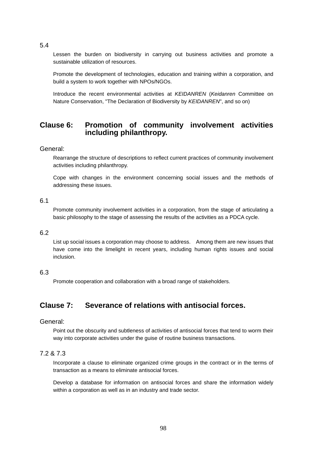5.4

 Lessen the burden on biodiversity in carrying out business activities and promote a sustainable utilization of resources.

 Promote the development of technologies, education and training within a corporation, and build a system to work together with NPOs/NGOs.

 Introduce the recent environmental activities at *KEIDANREN* (*Keidanren* Committee on Nature Conservation, "The Declaration of Biodiversity by *KEIDANREN*", and so on)

# **Clause 6: Promotion of community involvement activities including philanthropy.**

General:

 Rearrange the structure of descriptions to reflect current practices of community involvement activities including philanthropy.

 Cope with changes in the environment concerning social issues and the methods of addressing these issues.

# 6.1

 Promote community involvement activities in a corporation, from the stage of articulating a basic philosophy to the stage of assessing the results of the activities as a PDCA cycle.

# 6.2

 List up social issues a corporation may choose to address. Among them are new issues that have come into the limelight in recent years, including human rights issues and social inclusion.

#### 6.3

Promote cooperation and collaboration with a broad range of stakeholders.

# **Clause 7: Severance of relations with antisocial forces.**

#### General:

 Point out the obscurity and subtleness of activities of antisocial forces that tend to worm their way into corporate activities under the quise of routine business transactions.

# 7.2 & 7.3

 Incorporate a clause to eliminate organized crime groups in the contract or in the terms of transaction as a means to eliminate antisocial forces.

 Develop a database for information on antisocial forces and share the information widely within a corporation as well as in an industry and trade sector.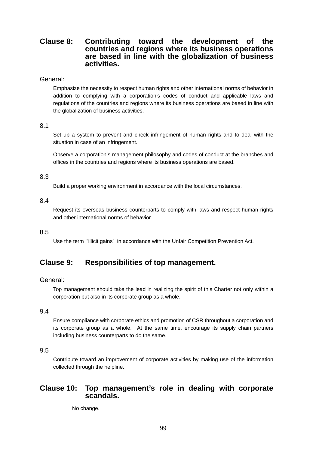# **Clause 8: Contributing toward the development of the countries and regions where its business operations are based in line with the globalization of business activities.**

### General:

 Emphasize the necessity to respect human rights and other international norms of behavior in addition to complying with a corporation's codes of conduct and applicable laws and regulations of the countries and regions where its business operations are based in line with the globalization of business activities.

# 8.1

 Set up a system to prevent and check infringement of human rights and to deal with the situation in case of an infringement.

 Observe a corporation's management philosophy and codes of conduct at the branches and offices in the countries and regions where its business operations are based.

### 8.3

Build a proper working environment in accordance with the local circumstances.

# 8.4

 Request its overseas business counterparts to comply with laws and respect human rights and other international norms of behavior.

# 8.5

Use the term "illicit gains" in accordance with the Unfair Competition Prevention Act.

# **Clause 9: Responsibilities of top management.**

### General:

 Top management should take the lead in realizing the spirit of this Charter not only within a corporation but also in its corporate group as a whole.

### 9.4

 Ensure compliance with corporate ethics and promotion of CSR throughout a corporation and its corporate group as a whole. At the same time, encourage its supply chain partners including business counterparts to do the same.

# 9.5

 Contribute toward an improvement of corporate activities by making use of the information collected through the helpline.

# **Clause 10: Top management's role in dealing with corporate scandals.**

No change.